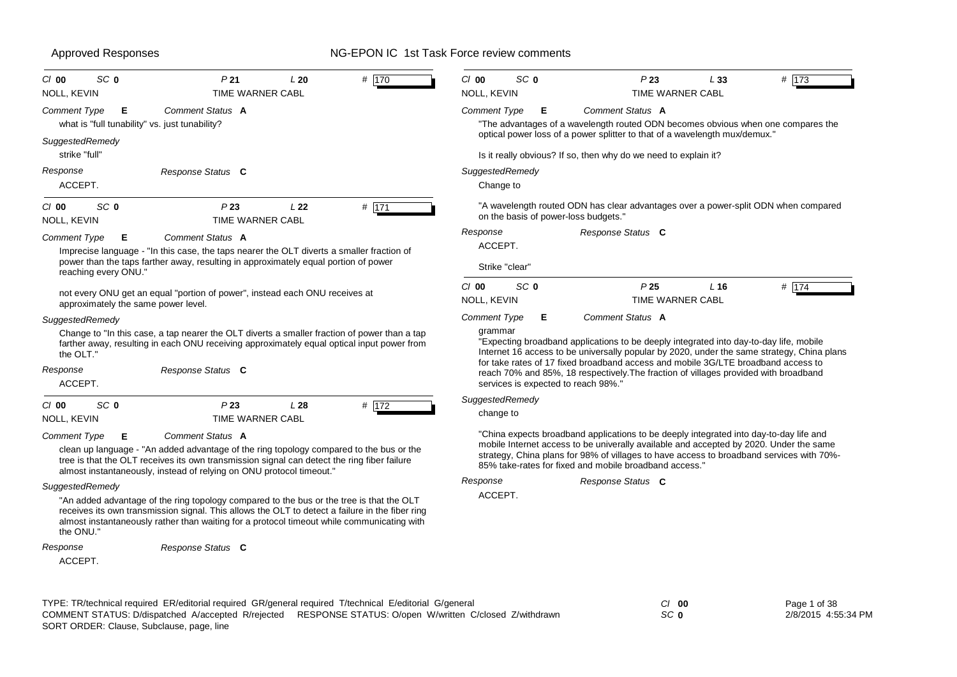ACCEPT.

*Response*

*Response Status* **C**

# Approved Responses **NG-EPON IC 1st Task Force review comments**

| SC <sub>0</sub><br>$CI$ 00<br><b>NOLL, KEVIN</b>                           | P <sub>21</sub><br>L20<br><b>TIME WARNER CABL</b>                                                                                                                                                                                                                                         | # 170 | SC <sub>0</sub><br>$Cl$ 00<br><b>NOLL, KEVIN</b> | P <sub>23</sub><br><b>TIME WARNER CABL</b>                                                                                                                                                                                                   | # 173<br>L33                                                                               |
|----------------------------------------------------------------------------|-------------------------------------------------------------------------------------------------------------------------------------------------------------------------------------------------------------------------------------------------------------------------------------------|-------|--------------------------------------------------|----------------------------------------------------------------------------------------------------------------------------------------------------------------------------------------------------------------------------------------------|--------------------------------------------------------------------------------------------|
| <b>Comment Type</b><br>Е<br>what is "full tunability" vs. just tunability? | Comment Status A                                                                                                                                                                                                                                                                          |       | <b>Comment Type</b><br>Е                         | Comment Status A<br>"The advantages of a wavelength routed ODN becomes obvious when one compares the<br>optical power loss of a power splitter to that of a wavelength mux/demux."                                                           |                                                                                            |
| SuggestedRemedy<br>strike "full"                                           |                                                                                                                                                                                                                                                                                           |       |                                                  | Is it really obvious? If so, then why do we need to explain it?                                                                                                                                                                              |                                                                                            |
| Response<br>ACCEPT.                                                        | Response Status C                                                                                                                                                                                                                                                                         |       | SuggestedRemedy<br>Change to                     |                                                                                                                                                                                                                                              |                                                                                            |
| SC <sub>0</sub><br>$Cl$ 00<br><b>NOLL, KEVIN</b>                           | P <sub>23</sub><br>L <sub>22</sub><br><b>TIME WARNER CABL</b>                                                                                                                                                                                                                             | # 171 | on the basis of power-loss budgets."             | "A wavelength routed ODN has clear advantages over a power-split ODN when compared                                                                                                                                                           |                                                                                            |
| Comment Type<br>Е                                                          | Comment Status A                                                                                                                                                                                                                                                                          |       | Response                                         | Response Status C                                                                                                                                                                                                                            |                                                                                            |
|                                                                            | Imprecise language - "In this case, the taps nearer the OLT diverts a smaller fraction of                                                                                                                                                                                                 |       | ACCEPT.                                          |                                                                                                                                                                                                                                              |                                                                                            |
| reaching every ONU."                                                       | power than the taps farther away, resulting in approximately equal portion of power                                                                                                                                                                                                       |       | Strike "clear"                                   |                                                                                                                                                                                                                                              |                                                                                            |
| approximately the same power level.                                        | not every ONU get an equal "portion of power", instead each ONU receives at                                                                                                                                                                                                               |       | SC <sub>0</sub><br>$Cl$ 00<br><b>NOLL, KEVIN</b> | P <sub>25</sub><br>TIME WARNER CABL                                                                                                                                                                                                          | # 174<br>$L$ 16                                                                            |
| SuggestedRemedy                                                            |                                                                                                                                                                                                                                                                                           |       | <b>Comment Type</b><br>Е                         | Comment Status A                                                                                                                                                                                                                             |                                                                                            |
| the OLT."                                                                  | Change to "In this case, a tap nearer the OLT diverts a smaller fraction of power than a tap<br>farther away, resulting in each ONU receiving approximately equal optical input power from                                                                                                |       | grammar                                          | "Expecting broadband applications to be deeply integrated into day-to-day life, mobile                                                                                                                                                       | Internet 16 access to be universally popular by 2020, under the same strategy, China plans |
| Response<br>ACCEPT.                                                        | Response Status C                                                                                                                                                                                                                                                                         |       | services is expected to reach 98%."              | for take rates of 17 fixed broadband access and mobile 3G/LTE broadband access to<br>reach 70% and 85%, 18 respectively. The fraction of villages provided with broadband                                                                    |                                                                                            |
| SC <sub>0</sub><br>$Cl$ 00                                                 | P <sub>23</sub><br>L28                                                                                                                                                                                                                                                                    | # 172 | SuggestedRemedy                                  |                                                                                                                                                                                                                                              |                                                                                            |
| <b>NOLL, KEVIN</b>                                                         | <b>TIME WARNER CABL</b>                                                                                                                                                                                                                                                                   |       | change to                                        |                                                                                                                                                                                                                                              |                                                                                            |
| Comment Type<br>Е                                                          | Comment Status A                                                                                                                                                                                                                                                                          |       |                                                  | "China expects broadband applications to be deeply integrated into day-to-day life and                                                                                                                                                       |                                                                                            |
|                                                                            | clean up language - "An added advantage of the ring topology compared to the bus or the<br>tree is that the OLT receives its own transmission signal can detect the ring fiber failure<br>almost instantaneously, instead of relying on ONU protocol timeout."                            |       |                                                  | mobile Internet access to be univerally available and accepted by 2020. Under the same<br>strategy, China plans for 98% of villages to have access to broadband services with 70%-<br>85% take-rates for fixed and mobile broadband access." |                                                                                            |
| SuggestedRemedy                                                            |                                                                                                                                                                                                                                                                                           |       | Response                                         | Response Status C                                                                                                                                                                                                                            |                                                                                            |
| the ONU."                                                                  | "An added advantage of the ring topology compared to the bus or the tree is that the OLT<br>receives its own transmission signal. This allows the OLT to detect a failure in the fiber ring<br>almost instantaneously rather than waiting for a protocol timeout while communicating with |       | ACCEPT.                                          |                                                                                                                                                                                                                                              |                                                                                            |

| TYPE: TR/technical required ER/editorial required GR/general required T/technical E/editorial G/general   | $Cl$ 00 |
|-----------------------------------------------------------------------------------------------------------|---------|
| COMMENT STATUS: D/dispatched A/accepted R/rejected RESPONSE STATUS: O/open W/written C/closed Z/withdrawn | SC 0    |
| SORT ORDER: Clause, Subclause, page, line                                                                 |         |

Page 1 of 38 2/8/2015 4:55:34 PM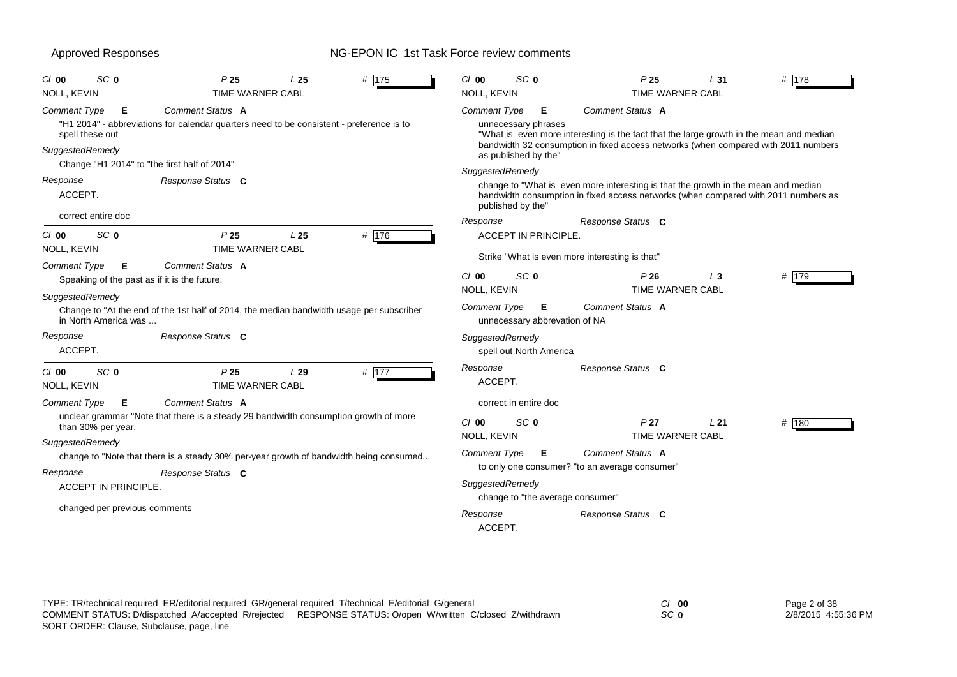| SC <sub>0</sub><br>$Cl$ 00<br>NOLL, KEVIN                                                                                             | P <sub>25</sub><br><b>TIME WARNER CABL</b>                                                                                                                                                                              | L <sub>25</sub> | # 175   | $Cl$ 00<br>NOLL, KEVIN                                                                  | SC <sub>0</sub>                                                                   | P <sub>25</sub><br><b>TIME WARNER CABL</b>                                                                                                                                                                                                                                                                                                                                    | L31 | $# \overline{178}$ |
|---------------------------------------------------------------------------------------------------------------------------------------|-------------------------------------------------------------------------------------------------------------------------------------------------------------------------------------------------------------------------|-----------------|---------|-----------------------------------------------------------------------------------------|-----------------------------------------------------------------------------------|-------------------------------------------------------------------------------------------------------------------------------------------------------------------------------------------------------------------------------------------------------------------------------------------------------------------------------------------------------------------------------|-----|--------------------|
| <b>Comment Type</b><br>Е<br>spell these out<br>SuggestedRemedy<br>Change "H1 2014" to "the first half of 2014"<br>Response<br>ACCEPT. | Comment Status A<br>"H1 2014" - abbreviations for calendar quarters need to be consistent - preference is to<br>Response Status C                                                                                       |                 |         | <b>Comment Type</b><br>SuggestedRemedy                                                  | Е<br>unnecessary phrases<br>as published by the"<br>published by the"             | Comment Status A<br>"What is even more interesting is the fact that the large growth in the mean and median<br>bandwidth 32 consumption in fixed access networks (when compared with 2011 numbers<br>change to "What is even more interesting is that the growth in the mean and median<br>bandwidth consumption in fixed access networks (when compared with 2011 numbers as |     |                    |
| correct entire doc<br>SC <sub>0</sub><br>$Cl$ 00<br>NOLL, KEVIN                                                                       | P <sub>25</sub><br>TIME WARNER CABL                                                                                                                                                                                     | L <sub>25</sub> | # 176   | Response                                                                                | <b>ACCEPT IN PRINCIPLE</b>                                                        | Response Status C<br>Strike "What is even more interesting is that"                                                                                                                                                                                                                                                                                                           |     |                    |
| Comment Type<br>Е<br>Speaking of the past as if it is the future.<br>SuggestedRemedy<br>in North America was                          | Comment Status A<br>Change to "At the end of the 1st half of 2014, the median bandwidth usage per subscriber                                                                                                            |                 |         | $Cl$ 00<br>NOLL, KEVIN<br><b>Comment Type</b>                                           | SC <sub>0</sub><br>Е<br>unnecessary abbrevation of NA                             | P26<br>TIME WARNER CABL<br>Comment Status A                                                                                                                                                                                                                                                                                                                                   | L3  | # 179              |
| Response<br>ACCEPT.<br>SC <sub>0</sub><br>$Cl$ 00<br>NOLL, KEVIN                                                                      | Response Status C<br>P <sub>25</sub><br>TIME WARNER CABL                                                                                                                                                                | L29             | # $177$ | SuggestedRemedy<br>Response<br>ACCEPT.                                                  | spell out North America                                                           | Response Status C                                                                                                                                                                                                                                                                                                                                                             |     |                    |
| Comment Type<br>E<br>than 30% per year,<br>SuggestedRemedy<br>Response<br>ACCEPT IN PRINCIPLE.<br>changed per previous comments       | Comment Status A<br>unclear grammar "Note that there is a steady 29 bandwidth consumption growth of more<br>change to "Note that there is a steady 30% per-year growth of bandwidth being consumed<br>Response Status C |                 |         | $Cl$ 00<br>NOLL, KEVIN<br><b>Comment Type</b><br>SuggestedRemedy<br>Response<br>ACCEPT. | correct in entire doc<br>SC <sub>0</sub><br>Е<br>change to "the average consumer" | P <sub>27</sub><br><b>TIME WARNER CABL</b><br>Comment Status A<br>to only one consumer? "to an average consumer"<br>Response Status C                                                                                                                                                                                                                                         | L21 | # 180              |

| TYPE: TR/technical required ER/editorial required GR/general required T/technical E/editorial G/general   | $CI$ 00 | Page 2 of 38        |
|-----------------------------------------------------------------------------------------------------------|---------|---------------------|
| COMMENT STATUS: D/dispatched A/accepted R/rejected RESPONSE STATUS: O/open W/written C/closed Z/withdrawn | SC 0    | 2/8/2015 4:55:36 PM |
| SORT ORDER: Clause, Subclause, page, line                                                                 |         |                     |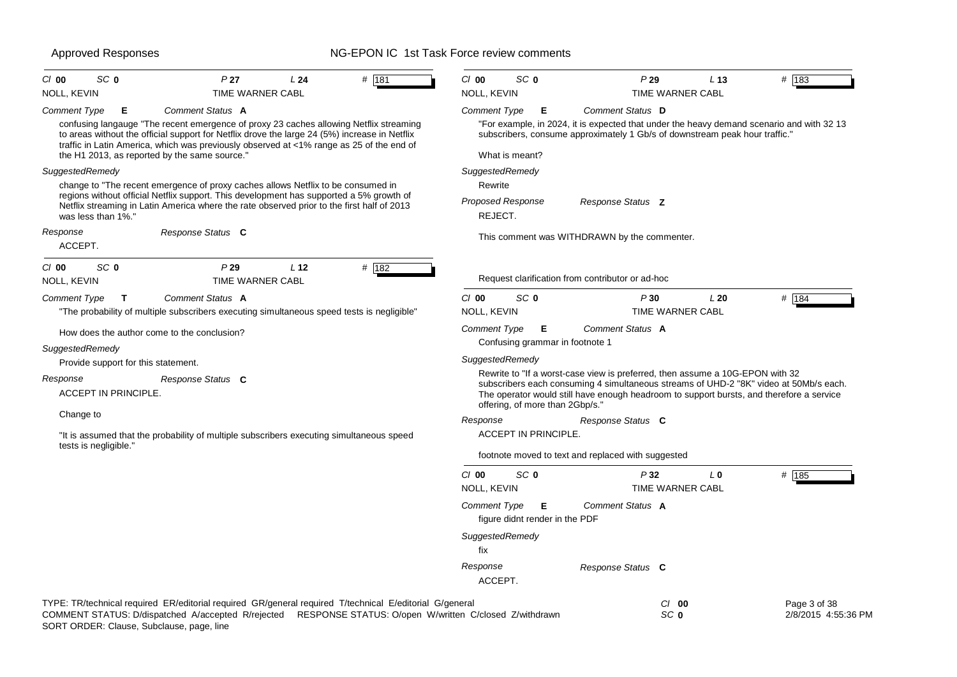| SC <sub>0</sub><br>P <sub>27</sub><br># 181<br>$CI$ 00<br>L24                                                                                                                                                                                                                                                                | $Cl$ 00<br>SC <sub>0</sub><br>P29<br># 183<br>L <sub>13</sub>                                                                                                                                                                                                                                         |
|------------------------------------------------------------------------------------------------------------------------------------------------------------------------------------------------------------------------------------------------------------------------------------------------------------------------------|-------------------------------------------------------------------------------------------------------------------------------------------------------------------------------------------------------------------------------------------------------------------------------------------------------|
| NOLL, KEVIN<br>TIME WARNER CABL                                                                                                                                                                                                                                                                                              | NOLL, KEVIN<br>TIME WARNER CABL                                                                                                                                                                                                                                                                       |
| Comment Status A<br>Comment Type<br>Е<br>confusing langauge "The recent emergence of proxy 23 caches allowing Netflix streaming<br>to areas without the official support for Netflix drove the large 24 (5%) increase in Netflix<br>traffic in Latin America, which was previously observed at <1% range as 25 of the end of | Comment Status D<br>Comment Type<br>Е<br>"For example, in 2024, it is expected that under the heavy demand scenario and with 32 13<br>subscribers, consume approximately 1 Gb/s of downstream peak hour traffic."                                                                                     |
| the H1 2013, as reported by the same source."                                                                                                                                                                                                                                                                                | What is meant?                                                                                                                                                                                                                                                                                        |
| SuggestedRemedy<br>change to "The recent emergence of proxy caches allows Netflix to be consumed in<br>regions without official Netflix support. This development has supported a 5% growth of                                                                                                                               | SuggestedRemedy<br>Rewrite<br>Proposed Response<br>Response Status Z                                                                                                                                                                                                                                  |
| Netflix streaming in Latin America where the rate observed prior to the first half of 2013<br>was less than 1%."                                                                                                                                                                                                             | REJECT.                                                                                                                                                                                                                                                                                               |
| Response<br>Response Status C<br>ACCEPT.                                                                                                                                                                                                                                                                                     | This comment was WITHDRAWN by the commenter.                                                                                                                                                                                                                                                          |
| $CI$ 00<br>SC <sub>0</sub><br>P29<br>L <sub>12</sub><br># 182<br>TIME WARNER CABL<br>NOLL, KEVIN                                                                                                                                                                                                                             | Request clarification from contributor or ad-hoc                                                                                                                                                                                                                                                      |
| Comment Status A<br><b>Comment Type</b><br>T<br>"The probability of multiple subscribers executing simultaneous speed tests is negligible"                                                                                                                                                                                   | $Cl$ 00<br>SC <sub>0</sub><br>P30<br>L20<br># 184<br>NOLL, KEVIN<br>TIME WARNER CABL                                                                                                                                                                                                                  |
| How does the author come to the conclusion?<br>SuggestedRemedy                                                                                                                                                                                                                                                               | Comment Type<br>Е<br>Comment Status A<br>Confusing grammar in footnote 1                                                                                                                                                                                                                              |
| Provide support for this statement.                                                                                                                                                                                                                                                                                          | SuggestedRemedy                                                                                                                                                                                                                                                                                       |
| Response<br>Response Status C<br>ACCEPT IN PRINCIPLE.                                                                                                                                                                                                                                                                        | Rewrite to "If a worst-case view is preferred, then assume a 10G-EPON with 32<br>subscribers each consuming 4 simultaneous streams of UHD-2 "8K" video at 50Mb/s each.<br>The operator would still have enough headroom to support bursts, and therefore a service<br>offering, of more than 2Gbp/s." |
| Change to                                                                                                                                                                                                                                                                                                                    | Response<br>Response Status C                                                                                                                                                                                                                                                                         |
| "It is assumed that the probability of multiple subscribers executing simultaneous speed                                                                                                                                                                                                                                     | ACCEPT IN PRINCIPLE.                                                                                                                                                                                                                                                                                  |
| tests is negligible.                                                                                                                                                                                                                                                                                                         | footnote moved to text and replaced with suggested                                                                                                                                                                                                                                                    |
|                                                                                                                                                                                                                                                                                                                              | $Cl$ 00<br>SC <sub>0</sub><br># 185<br>P32<br>L <sub>0</sub><br>NOLL, KEVIN<br>TIME WARNER CABL                                                                                                                                                                                                       |
|                                                                                                                                                                                                                                                                                                                              | Comment Status A<br><b>Comment Type</b><br>Е<br>figure didnt render in the PDF                                                                                                                                                                                                                        |
|                                                                                                                                                                                                                                                                                                                              | SuggestedRemedy<br>fix                                                                                                                                                                                                                                                                                |
|                                                                                                                                                                                                                                                                                                                              | Response<br>Response Status C<br>ACCEPT.                                                                                                                                                                                                                                                              |
| TYPE: TR/technical required ER/editorial required GR/general required T/technical E/editorial G/general<br>COMMENT STATUS: D/dispatched A/accepted R/rejected RESPONSE STATUS: O/open W/written C/closed Z/withdrawn<br>SORT ORDER: Clause, Subclause, page, line                                                            | $C/I$ 00<br>Page 3 of 38<br>SC <sub>0</sub><br>2/8/2015 4:55:36 PM                                                                                                                                                                                                                                    |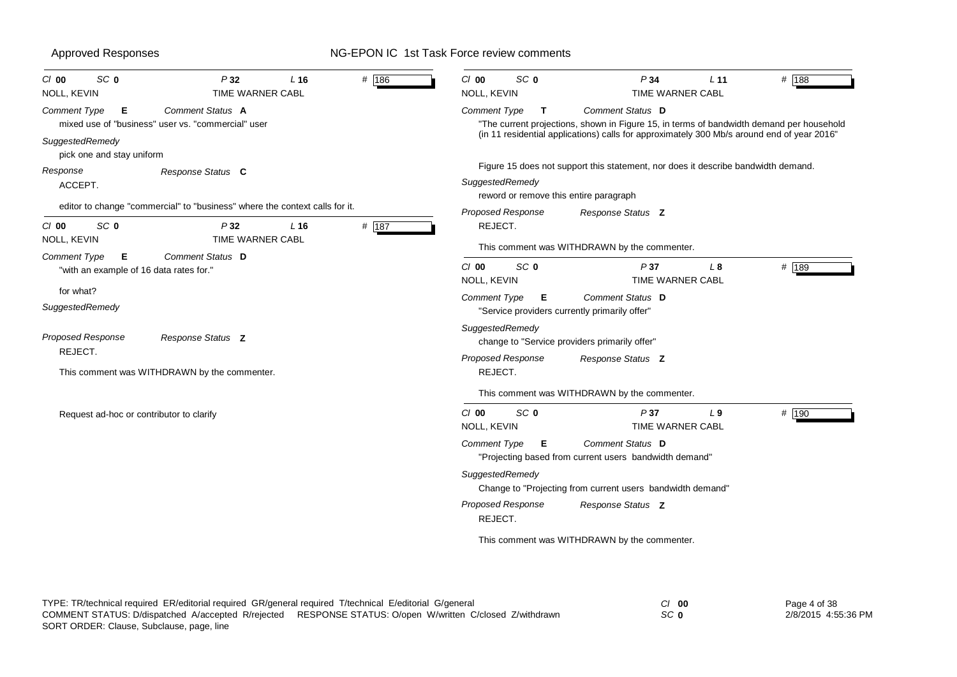| SC <sub>0</sub><br>$CI$ 00<br>NOLL, KEVIN                                                                                       | P32<br>TIME WARNER CABL        | L16 | # 186 | SC <sub>0</sub><br>$CI$ 00<br>NOLL, KEVIN                             | P34<br>TIME WARNER CABL                                                                                                                                                                                    | L <sub>11</sub> | # 188 |
|---------------------------------------------------------------------------------------------------------------------------------|--------------------------------|-----|-------|-----------------------------------------------------------------------|------------------------------------------------------------------------------------------------------------------------------------------------------------------------------------------------------------|-----------------|-------|
| <b>Comment Type</b><br>Е<br>mixed use of "business" user vs. "commercial" user<br>SuggestedRemedy<br>pick one and stay uniform  | Comment Status A               |     |       | <b>Comment Type</b><br>T                                              | Comment Status D<br>"The current projections, shown in Figure 15, in terms of bandwidth demand per household<br>(in 11 residential applications) calls for approximately 300 Mb/s around end of year 2016" |                 |       |
| Response<br>ACCEPT.                                                                                                             | Response Status C              |     |       | SuggestedRemedy<br>reword or remove this entire paragraph             | Figure 15 does not support this statement, nor does it describe bandwidth demand.                                                                                                                          |                 |       |
| editor to change "commercial" to "business" where the context calls for it.<br>SC <sub>0</sub><br>$Cl$ 00<br><b>NOLL, KEVIN</b> | P32<br><b>TIME WARNER CABL</b> | L16 | # 187 | <b>Proposed Response</b><br>REJECT.                                   | Response Status Z                                                                                                                                                                                          |                 |       |
| Comment Type<br>Е<br>"with an example of 16 data rates for."                                                                    | Comment Status D               |     |       | SC <sub>0</sub><br>C/00<br>NOLL, KEVIN                                | This comment was WITHDRAWN by the commenter.<br>P37<br><b>TIME WARNER CABL</b>                                                                                                                             | L <sub>8</sub>  | # 189 |
| for what?<br>SuggestedRemedy                                                                                                    |                                |     |       | <b>Comment Type</b><br>E.                                             | Comment Status D<br>"Service providers currently primarily offer"                                                                                                                                          |                 |       |
| Proposed Response<br>REJECT.                                                                                                    | Response Status Z              |     |       | SuggestedRemedy<br><b>Proposed Response</b>                           | change to "Service providers primarily offer"<br>Response Status Z                                                                                                                                         |                 |       |
| This comment was WITHDRAWN by the commenter.                                                                                    |                                |     |       | REJECT.                                                               | This comment was WITHDRAWN by the commenter.                                                                                                                                                               |                 |       |
| Request ad-hoc or contributor to clarify                                                                                        |                                |     |       | SC <sub>0</sub><br>$Cl$ 00<br><b>NOLL, KEVIN</b><br>Comment Type<br>Е | P37<br><b>TIME WARNER CABL</b><br>Comment Status D<br>"Projecting based from current users bandwidth demand"                                                                                               | L <sub>9</sub>  | # 190 |
|                                                                                                                                 |                                |     |       | SuggestedRemedy                                                       | Change to "Projecting from current users bandwidth demand"                                                                                                                                                 |                 |       |
|                                                                                                                                 |                                |     |       | <b>Proposed Response</b><br>REJECT.                                   | Response Status Z                                                                                                                                                                                          |                 |       |
|                                                                                                                                 |                                |     |       |                                                                       | This comment was WITHDRAWN by the commenter.                                                                                                                                                               |                 |       |

| TYPE: TR/technical required ER/editorial required GR/general required T/technical E/editorial G/general |                                                        | <i>CI</i> 00 | Page 4 of 38        |
|---------------------------------------------------------------------------------------------------------|--------------------------------------------------------|--------------|---------------------|
| COMMENT STATUS: D/dispatched A/accepted R/rejected                                                      | RESPONSE STATUS: O/open W/written C/closed Z/withdrawn | SC 0         | 2/8/2015 4:55:36 PM |
| SORT ORDER: Clause, Subclause, page, line                                                               |                                                        |              |                     |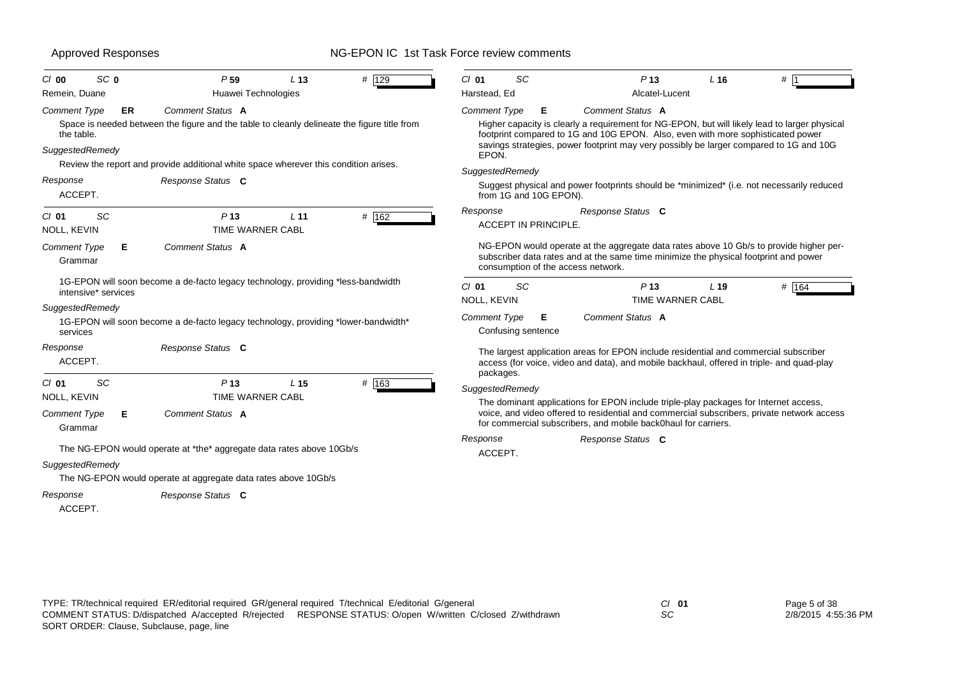| SC <sub>0</sub><br>$CI$ 00                           | P <sub>59</sub>                                                                                                                                                                                                             | L <sub>13</sub> | # 129 | C/01                         | <b>SC</b>                   | P <sub>13</sub>                                                                                                                                        |                         | $L$ 16          | #                                                                                                                                                                                       |
|------------------------------------------------------|-----------------------------------------------------------------------------------------------------------------------------------------------------------------------------------------------------------------------------|-----------------|-------|------------------------------|-----------------------------|--------------------------------------------------------------------------------------------------------------------------------------------------------|-------------------------|-----------------|-----------------------------------------------------------------------------------------------------------------------------------------------------------------------------------------|
| Remein, Duane                                        | Huawei Technologies                                                                                                                                                                                                         |                 |       | Harstead, Ed                 |                             |                                                                                                                                                        | Alcatel-Lucent          |                 |                                                                                                                                                                                         |
| <b>Comment Type</b><br>the table.<br>SuggestedRemedy | <b>Comment Status A</b><br><b>ER</b><br>Space is needed between the figure and the table to cleanly delineate the figure title from<br>Review the report and provide additional white space wherever this condition arises. |                 |       | <b>Comment Type</b><br>EPON. | Е                           | Comment Status A<br>footprint compared to 1G and 10G EPON. Also, even with more sophisticated power                                                    |                         |                 | Higher capacity is clearly a requirement for NG-EPON, but will likely lead to larger physical<br>savings strategies, power footprint may very possibly be larger compared to 1G and 10G |
| Response<br>ACCEPT.                                  | Response Status C                                                                                                                                                                                                           |                 |       | SuggestedRemedy              | from 1G and 10G EPON).      |                                                                                                                                                        |                         |                 | Suggest physical and power footprints should be *minimized* (i.e. not necessarily reduced                                                                                               |
| SC<br>$Cl$ 01<br><b>NOLL, KEVIN</b>                  | P <sub>13</sub><br><b>TIME WARNER CABL</b>                                                                                                                                                                                  | L <sub>11</sub> | # 162 | Response                     | <b>ACCEPT IN PRINCIPLE.</b> | Response Status C                                                                                                                                      |                         |                 |                                                                                                                                                                                         |
| <b>Comment Type</b><br>Grammar                       | Comment Status A<br>Е                                                                                                                                                                                                       |                 |       |                              |                             | subscriber data rates and at the same time minimize the physical footprint and power<br>consumption of the access network.                             |                         |                 | NG-EPON would operate at the aggregate data rates above 10 Gb/s to provide higher per-                                                                                                  |
| intensive* services                                  | 1G-EPON will soon become a de-facto legacy technology, providing *less-bandwidth                                                                                                                                            |                 |       | $CI$ 01<br>NOLL, KEVIN       | SC                          | P <sub>13</sub>                                                                                                                                        | <b>TIME WARNER CABL</b> | L <sub>19</sub> | # $164$                                                                                                                                                                                 |
| SuggestedRemedy<br>services                          | 1G-EPON will soon become a de-facto legacy technology, providing *lower-bandwidth*                                                                                                                                          |                 |       | <b>Comment Type</b>          | Е<br>Confusing sentence     | Comment Status A                                                                                                                                       |                         |                 |                                                                                                                                                                                         |
| Response<br>ACCEPT.                                  | Response Status C                                                                                                                                                                                                           |                 |       | packages.                    |                             | The largest application areas for EPON include residential and commercial subscriber                                                                   |                         |                 | access (for voice, video and data), and mobile backhaul, offered in triple- and quad-play                                                                                               |
| SC<br>$Cl$ 01                                        | P <sub>13</sub>                                                                                                                                                                                                             | L <sub>15</sub> | # 163 | SuggestedRemedy              |                             |                                                                                                                                                        |                         |                 |                                                                                                                                                                                         |
| <b>NOLL, KEVIN</b><br>Comment Type<br>Grammar        | <b>TIME WARNER CABL</b><br>Comment Status A<br>Е                                                                                                                                                                            |                 |       |                              |                             | The dominant applications for EPON include triple-play packages for Internet access,<br>for commercial subscribers, and mobile back0haul for carriers. |                         |                 | voice, and video offered to residential and commercial subscribers, private network access                                                                                              |
| SuggestedRemedy                                      | The NG-EPON would operate at *the* aggregate data rates above 10Gb/s                                                                                                                                                        |                 |       | Response<br>ACCEPT.          |                             | Response Status C                                                                                                                                      |                         |                 |                                                                                                                                                                                         |
|                                                      | The NG-EPON would operate at aggregate data rates above 10Gb/s                                                                                                                                                              |                 |       |                              |                             |                                                                                                                                                        |                         |                 |                                                                                                                                                                                         |
| Response<br>ACCEPT.                                  | Response Status C                                                                                                                                                                                                           |                 |       |                              |                             |                                                                                                                                                        |                         |                 |                                                                                                                                                                                         |

*SC*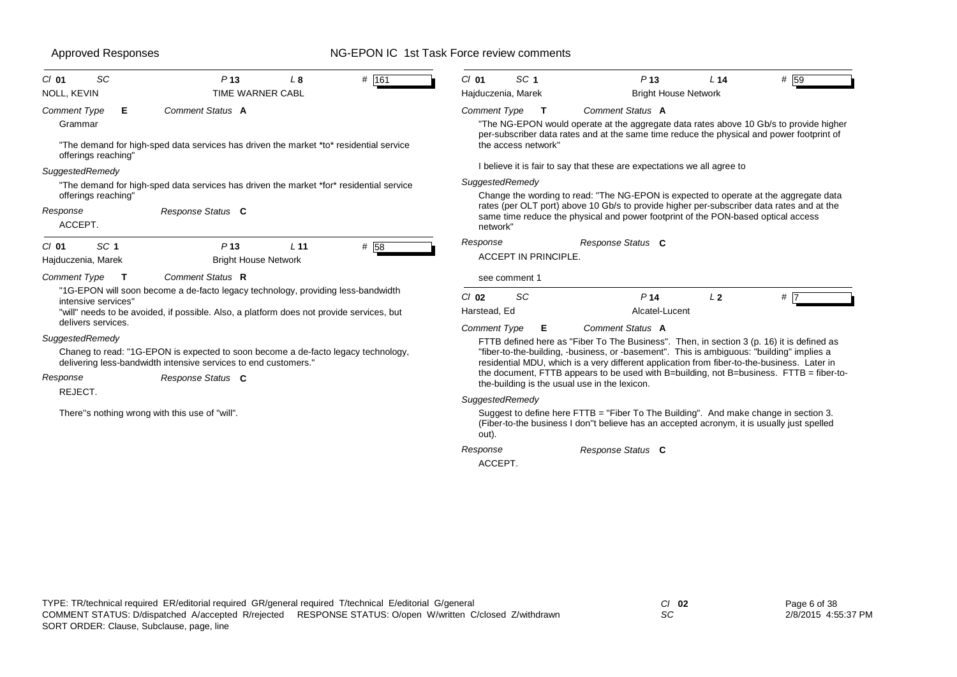| SC<br>$Cl$ 01<br>NOLL, KEVIN                               | P <sub>13</sub><br>L8<br>TIME WARNER CABL                                                                                                            | $#$ 161 | SC <sub>1</sub><br>$Cl$ 01<br>Hajduczenia, Marek |   | P <sub>13</sub><br><b>Bright House Network</b>                                              | L <sub>14</sub> | #159                                                                                                                                                                                     |
|------------------------------------------------------------|------------------------------------------------------------------------------------------------------------------------------------------------------|---------|--------------------------------------------------|---|---------------------------------------------------------------------------------------------|-----------------|------------------------------------------------------------------------------------------------------------------------------------------------------------------------------------------|
| <b>Comment Type</b><br>Е<br>Grammar<br>offerings reaching' | Comment Status A<br>"The demand for high-sped data services has driven the market *to* residential service                                           |         | <b>Comment Type</b><br>the access network"       | T | Comment Status A<br>I believe it is fair to say that these are expectations we all agree to |                 | "The NG-EPON would operate at the aggregate data rates above 10 Gb/s to provide higher<br>per-subscriber data rates and at the same time reduce the physical and power footprint of      |
| SuggestedRemedy                                            |                                                                                                                                                      |         | SuggestedRemedy                                  |   |                                                                                             |                 |                                                                                                                                                                                          |
| offerings reaching'                                        | "The demand for high-sped data services has driven the market *for* residential service                                                              |         |                                                  |   |                                                                                             |                 | Change the wording to read: "The NG-EPON is expected to operate at the aggregate data                                                                                                    |
| Response<br>ACCEPT.                                        | Response Status C                                                                                                                                    |         | network"                                         |   | same time reduce the physical and power footprint of the PON-based optical access           |                 | rates (per OLT port) above 10 Gb/s to provide higher per-subscriber data rates and at the                                                                                                |
| SC <sub>1</sub><br>$CI$ 01<br>Hajduczenia, Marek           | P <sub>13</sub><br>L <sub>11</sub><br><b>Bright House Network</b>                                                                                    | # 58    | Response<br><b>ACCEPT IN PRINCIPLE.</b>          |   | Response Status C                                                                           |                 |                                                                                                                                                                                          |
| Comment Type<br>$\mathsf{T}$                               | Comment Status R                                                                                                                                     |         | see comment 1                                    |   |                                                                                             |                 |                                                                                                                                                                                          |
| intensive services"                                        | "1G-EPON will soon become a de-facto legacy technology, providing less-bandwidth                                                                     |         | SC<br>$Cl$ 02                                    |   | P <sub>14</sub>                                                                             | L <sub>2</sub>  | #17                                                                                                                                                                                      |
| delivers services.                                         | "will" needs to be avoided, if possible. Also, a platform does not provide services, but                                                             |         | Harstead, Ed                                     |   | Alcatel-Lucent                                                                              |                 |                                                                                                                                                                                          |
|                                                            |                                                                                                                                                      |         | <b>Comment Type</b>                              | Е | Comment Status A                                                                            |                 |                                                                                                                                                                                          |
| SuggestedRemedy                                            | Chaneg to read: "1G-EPON is expected to soon become a de-facto legacy technology,<br>delivering less-bandwidth intensive services to end customers." |         |                                                  |   | "fiber-to-the-building, -business, or -basement". This is ambiguous: "building" implies a   |                 | FTTB defined here as "Fiber To The Business". Then, in section 3 (p. 16) it is defined as<br>residential MDU, which is a very different application from fiber-to-the-business. Later in |
| Response<br>REJECT.                                        | Response Status C                                                                                                                                    |         | the-building is the usual use in the lexicon.    |   |                                                                                             |                 | the document, FTTB appears to be used with B=building, not B=business. FTTB = fiber-to-                                                                                                  |
|                                                            |                                                                                                                                                      |         | SuggestedRemedy                                  |   |                                                                                             |                 |                                                                                                                                                                                          |
|                                                            | There"s nothing wrong with this use of "will".                                                                                                       |         | out).                                            |   |                                                                                             |                 | Suggest to define here FTTB = "Fiber To The Building". And make change in section 3.<br>(Fiber-to-the business I don"t believe has an accepted acronym, it is usually just spelled       |
|                                                            |                                                                                                                                                      |         | Response                                         |   | Response Status C                                                                           |                 |                                                                                                                                                                                          |

*Response Status* **C**

ACCEPT.

*SC*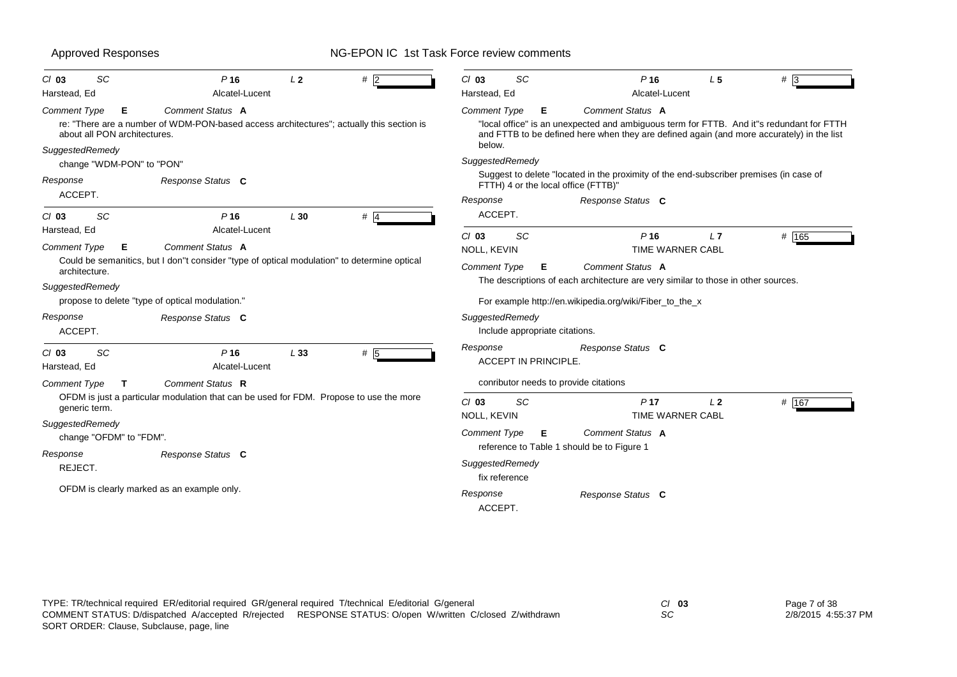| SC<br>$Cl$ 03<br>Harstead, Ed                                        | P <sub>16</sub><br>Alcatel-Lucent                                                                                                 | L <sub>2</sub> | #2  | $Cl$ 03<br>SC<br>Harstead, Ed                                   | P <sub>16</sub><br>Alcatel-Lucent                                                                                                                                                                         | L <sub>5</sub> | $#$ 3 |
|----------------------------------------------------------------------|-----------------------------------------------------------------------------------------------------------------------------------|----------------|-----|-----------------------------------------------------------------|-----------------------------------------------------------------------------------------------------------------------------------------------------------------------------------------------------------|----------------|-------|
| Comment Type<br>Е<br>about all PON architectures.<br>SuggestedRemedy | Comment Status A<br>re: "There are a number of WDM-PON-based access architectures"; actually this section is                      |                |     | Comment Type<br>E.<br>below.                                    | Comment Status A<br>"local office" is an unexpected and ambiguous term for FTTB. And it"s redundant for FTTH<br>and FTTB to be defined here when they are defined again (and more accurately) in the list |                |       |
| change "WDM-PON" to "PON"                                            |                                                                                                                                   |                |     | SuggestedRemedy                                                 |                                                                                                                                                                                                           |                |       |
| Response                                                             | Response Status C                                                                                                                 |                |     | FTTH) 4 or the local office (FTTB)"                             | Suggest to delete "located in the proximity of the end-subscriber premises (in case of                                                                                                                    |                |       |
| ACCEPT.<br><b>SC</b><br>$Cl$ 03                                      | $P$ 16                                                                                                                            | L30            | # 4 | Response<br>ACCEPT.                                             | Response Status C                                                                                                                                                                                         |                |       |
| Harstead, Ed<br><b>Comment Type</b><br>Е<br>architecture.            | Alcatel-Lucent<br>Comment Status A<br>Could be semanitics, but I don"t consider "type of optical modulation" to determine optical |                |     | SC<br>$Cl$ 03<br><b>NOLL, KEVIN</b><br><b>Comment Type</b><br>Е | P <sub>16</sub><br><b>TIME WARNER CABL</b><br>Comment Status A<br>The descriptions of each architecture are very similar to those in other sources.                                                       | L7             | # 165 |
| SuggestedRemedy                                                      | propose to delete "type of optical modulation."                                                                                   |                |     |                                                                 | For example http://en.wikipedia.org/wiki/Fiber_to_the_x                                                                                                                                                   |                |       |
| Response<br>ACCEPT.                                                  | Response Status C                                                                                                                 |                |     | SuggestedRemedy<br>Include appropriate citations.               |                                                                                                                                                                                                           |                |       |
| SC<br>$Cl$ 03<br>Harstead, Ed                                        | $P$ 16<br>Alcatel-Lucent                                                                                                          | L33            | # 5 | Response<br><b>ACCEPT IN PRINCIPLE</b>                          | Response Status C                                                                                                                                                                                         |                |       |
| <b>Comment Type</b><br>T                                             | Comment Status R                                                                                                                  |                |     | conributor needs to provide citations                           |                                                                                                                                                                                                           |                |       |
| generic term.                                                        | OFDM is just a particular modulation that can be used for FDM. Propose to use the more                                            |                |     | SC<br>$Cl$ 03<br><b>NOLL, KEVIN</b>                             | P <sub>17</sub><br><b>TIME WARNER CABL</b>                                                                                                                                                                | L <sub>2</sub> | # 167 |
| SuggestedRemedy<br>change "OFDM" to "FDM".                           |                                                                                                                                   |                |     | <b>Comment Type</b><br>E                                        | Comment Status A                                                                                                                                                                                          |                |       |
| Response<br>REJECT.                                                  | Response Status C                                                                                                                 |                |     | SuggestedRemedy<br>fix reference                                | reference to Table 1 should be to Figure 1                                                                                                                                                                |                |       |
|                                                                      | OFDM is clearly marked as an example only.                                                                                        |                |     | Response<br>ACCEPT.                                             | Response Status C                                                                                                                                                                                         |                |       |

| TYPE: TR/technical required ER/editorial required GR/general required T/technical E/editorial G/general |                                                                                                           | $Cl$ 03 | Page 7 of 38        |
|---------------------------------------------------------------------------------------------------------|-----------------------------------------------------------------------------------------------------------|---------|---------------------|
|                                                                                                         | COMMENT STATUS: D/dispatched A/accepted R/rejected RESPONSE STATUS: O/open W/written C/closed Z/withdrawn | SC      | 2/8/2015 4:55:37 PM |
| SORT ORDER: Clause, Subclause, page, line                                                               |                                                                                                           |         |                     |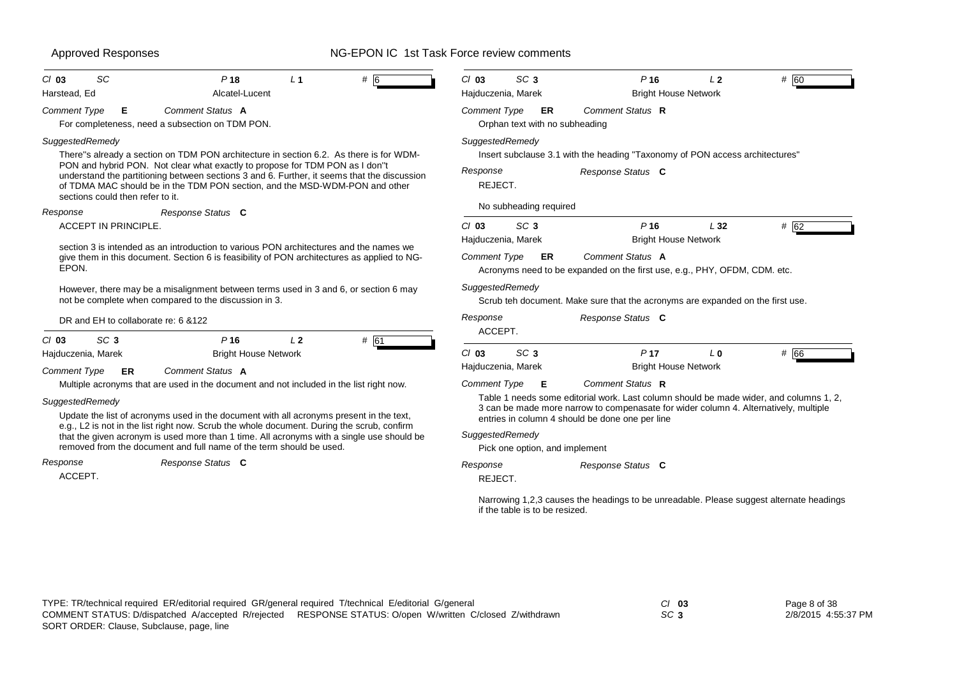| SC <sub>3</sub><br>$Cl$ 03<br>P16<br>L <sub>2</sub><br>Hajduczenia, Marek<br><b>Bright House Network</b><br>Comment Type<br>Comment Status R<br>ER<br>Orphan text with no subheading<br>SuggestedRemedy<br>There"s already a section on TDM PON architecture in section 6.2. As there is for WDM-<br>Insert subclause 3.1 with the heading "Taxonomy of PON access architectures"<br>Response<br>Response Status C<br>understand the partitioning between sections 3 and 6. Further, it seems that the discussion<br>REJECT.<br>of TDMA MAC should be in the TDM PON section, and the MSD-WDM-PON and other<br>No subheading required<br>$Cl$ 03<br>SC <sub>3</sub><br>P <sub>16</sub><br>L32<br><b>Bright House Network</b><br>Hajduczenia, Marek<br>section 3 is intended as an introduction to various PON architectures and the names we<br>Comment Status A<br>Comment Type<br>ER<br>give them in this document. Section 6 is feasibility of PON architectures as applied to NG-<br>Acronyms need to be expanded on the first use, e.g., PHY, OFDM, CDM. etc.<br>SuggestedRemedy<br>However, there may be a misalignment between terms used in 3 and 6, or section 6 may<br>Scrub teh document. Make sure that the acronyms are expanded on the first use.<br>Response<br>Response Status C<br>ACCEPT.<br>SC <sub>3</sub><br>$Cl$ 03<br>P <sub>17</sub><br>L <sub>0</sub><br><b>Bright House Network</b><br>Hajduczenia, Marek | # 60<br># 62<br># 66                                                                                                                                                                 |
|-------------------------------------------------------------------------------------------------------------------------------------------------------------------------------------------------------------------------------------------------------------------------------------------------------------------------------------------------------------------------------------------------------------------------------------------------------------------------------------------------------------------------------------------------------------------------------------------------------------------------------------------------------------------------------------------------------------------------------------------------------------------------------------------------------------------------------------------------------------------------------------------------------------------------------------------------------------------------------------------------------------------------------------------------------------------------------------------------------------------------------------------------------------------------------------------------------------------------------------------------------------------------------------------------------------------------------------------------------------------------------------------------------------------------------------|--------------------------------------------------------------------------------------------------------------------------------------------------------------------------------------|
|                                                                                                                                                                                                                                                                                                                                                                                                                                                                                                                                                                                                                                                                                                                                                                                                                                                                                                                                                                                                                                                                                                                                                                                                                                                                                                                                                                                                                                     |                                                                                                                                                                                      |
|                                                                                                                                                                                                                                                                                                                                                                                                                                                                                                                                                                                                                                                                                                                                                                                                                                                                                                                                                                                                                                                                                                                                                                                                                                                                                                                                                                                                                                     |                                                                                                                                                                                      |
|                                                                                                                                                                                                                                                                                                                                                                                                                                                                                                                                                                                                                                                                                                                                                                                                                                                                                                                                                                                                                                                                                                                                                                                                                                                                                                                                                                                                                                     |                                                                                                                                                                                      |
|                                                                                                                                                                                                                                                                                                                                                                                                                                                                                                                                                                                                                                                                                                                                                                                                                                                                                                                                                                                                                                                                                                                                                                                                                                                                                                                                                                                                                                     |                                                                                                                                                                                      |
|                                                                                                                                                                                                                                                                                                                                                                                                                                                                                                                                                                                                                                                                                                                                                                                                                                                                                                                                                                                                                                                                                                                                                                                                                                                                                                                                                                                                                                     |                                                                                                                                                                                      |
|                                                                                                                                                                                                                                                                                                                                                                                                                                                                                                                                                                                                                                                                                                                                                                                                                                                                                                                                                                                                                                                                                                                                                                                                                                                                                                                                                                                                                                     |                                                                                                                                                                                      |
|                                                                                                                                                                                                                                                                                                                                                                                                                                                                                                                                                                                                                                                                                                                                                                                                                                                                                                                                                                                                                                                                                                                                                                                                                                                                                                                                                                                                                                     |                                                                                                                                                                                      |
|                                                                                                                                                                                                                                                                                                                                                                                                                                                                                                                                                                                                                                                                                                                                                                                                                                                                                                                                                                                                                                                                                                                                                                                                                                                                                                                                                                                                                                     |                                                                                                                                                                                      |
|                                                                                                                                                                                                                                                                                                                                                                                                                                                                                                                                                                                                                                                                                                                                                                                                                                                                                                                                                                                                                                                                                                                                                                                                                                                                                                                                                                                                                                     |                                                                                                                                                                                      |
|                                                                                                                                                                                                                                                                                                                                                                                                                                                                                                                                                                                                                                                                                                                                                                                                                                                                                                                                                                                                                                                                                                                                                                                                                                                                                                                                                                                                                                     |                                                                                                                                                                                      |
|                                                                                                                                                                                                                                                                                                                                                                                                                                                                                                                                                                                                                                                                                                                                                                                                                                                                                                                                                                                                                                                                                                                                                                                                                                                                                                                                                                                                                                     |                                                                                                                                                                                      |
|                                                                                                                                                                                                                                                                                                                                                                                                                                                                                                                                                                                                                                                                                                                                                                                                                                                                                                                                                                                                                                                                                                                                                                                                                                                                                                                                                                                                                                     |                                                                                                                                                                                      |
| Comment Status R<br><b>Comment Type</b><br>E<br>Multiple acronyms that are used in the document and not included in the list right now.                                                                                                                                                                                                                                                                                                                                                                                                                                                                                                                                                                                                                                                                                                                                                                                                                                                                                                                                                                                                                                                                                                                                                                                                                                                                                             |                                                                                                                                                                                      |
| Table 1 needs some editorial work. Last column should be made wider, and columns 1, 2,<br>3 can be made more narrow to compenasate for wider column 4. Alternatively, multiple<br>Update the list of acronyms used in the document with all acronyms present in the text,<br>entries in column 4 should be done one per line                                                                                                                                                                                                                                                                                                                                                                                                                                                                                                                                                                                                                                                                                                                                                                                                                                                                                                                                                                                                                                                                                                        |                                                                                                                                                                                      |
| e.g., L2 is not in the list right now. Scrub the whole document. During the scrub, confirm<br>SuggestedRemedy                                                                                                                                                                                                                                                                                                                                                                                                                                                                                                                                                                                                                                                                                                                                                                                                                                                                                                                                                                                                                                                                                                                                                                                                                                                                                                                       |                                                                                                                                                                                      |
| Pick one option, and implement                                                                                                                                                                                                                                                                                                                                                                                                                                                                                                                                                                                                                                                                                                                                                                                                                                                                                                                                                                                                                                                                                                                                                                                                                                                                                                                                                                                                      |                                                                                                                                                                                      |
| Response<br>Response Status C                                                                                                                                                                                                                                                                                                                                                                                                                                                                                                                                                                                                                                                                                                                                                                                                                                                                                                                                                                                                                                                                                                                                                                                                                                                                                                                                                                                                       |                                                                                                                                                                                      |
| REJECT.                                                                                                                                                                                                                                                                                                                                                                                                                                                                                                                                                                                                                                                                                                                                                                                                                                                                                                                                                                                                                                                                                                                                                                                                                                                                                                                                                                                                                             |                                                                                                                                                                                      |
| if the table is to be resized.                                                                                                                                                                                                                                                                                                                                                                                                                                                                                                                                                                                                                                                                                                                                                                                                                                                                                                                                                                                                                                                                                                                                                                                                                                                                                                                                                                                                      |                                                                                                                                                                                      |
|                                                                                                                                                                                                                                                                                                                                                                                                                                                                                                                                                                                                                                                                                                                                                                                                                                                                                                                                                                                                                                                                                                                                                                                                                                                                                                                                                                                                                                     | that the given acronym is used more than 1 time. All acronyms with a single use should be<br>Narrowing 1,2,3 causes the headings to be unreadable. Please suggest alternate headings |

*SC* **3**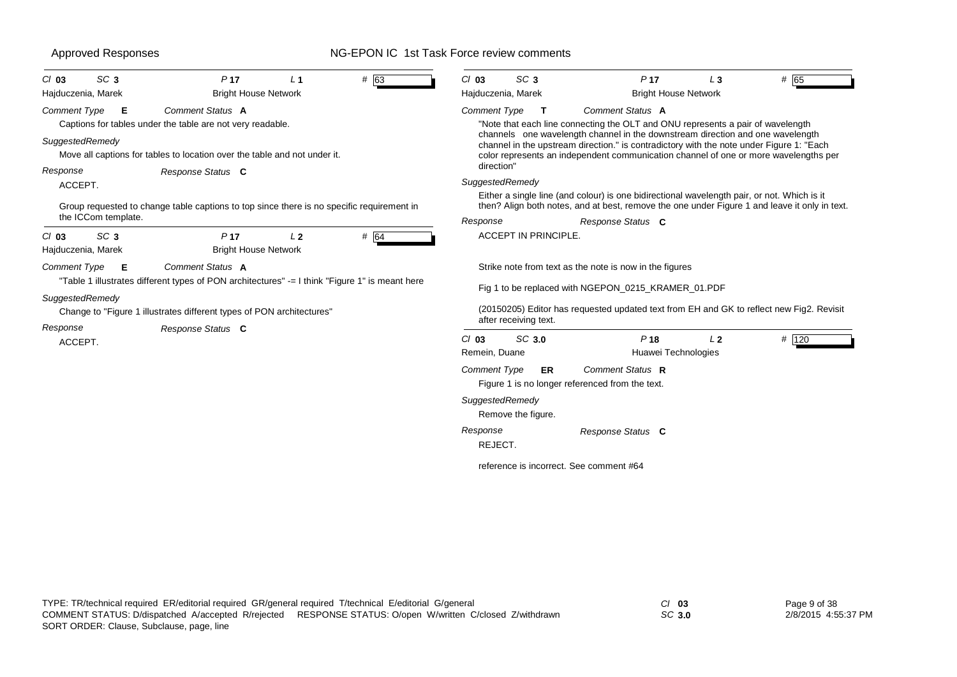| <b>Approved Responses</b>                        |                                                                                                                                                                                             | NG-EPON IC 1st Task Force review comments        |                                                                                                                                                                                                                                                                                      |       |
|--------------------------------------------------|---------------------------------------------------------------------------------------------------------------------------------------------------------------------------------------------|--------------------------------------------------|--------------------------------------------------------------------------------------------------------------------------------------------------------------------------------------------------------------------------------------------------------------------------------------|-------|
| SC <sub>3</sub><br>$Cl$ 03<br>Hajduczenia, Marek | P <sub>17</sub><br>$#$ 63<br>L <sub>1</sub><br><b>Bright House Network</b>                                                                                                                  | SC <sub>3</sub><br>$Cl$ 03<br>Hajduczenia, Marek | P <sub>17</sub><br>$L_3$<br><b>Bright House Network</b>                                                                                                                                                                                                                              | # 65  |
| Comment Type<br>Е<br>SuggestedRemedy             | Comment Status A<br>Captions for tables under the table are not very readable.                                                                                                              | <b>Comment Type</b><br>т                         | Comment Status A<br>"Note that each line connecting the OLT and ONU represents a pair of wavelength<br>channels one wavelength channel in the downstream direction and one wavelength<br>channel in the upstream direction." is contradictory with the note under Figure 1: "Each    |       |
| Response<br>ACCEPT.                              | Move all captions for tables to location over the table and not under it.<br>Response Status C<br>Group requested to change table captions to top since there is no specific requirement in | direction"<br>SuggestedRemedy                    | color represents an independent communication channel of one or more wavelengths per<br>Either a single line (and colour) is one bidirectional wavelength pair, or not. Which is it<br>then? Align both notes, and at best, remove the one under Figure 1 and leave it only in text. |       |
| the ICCom template.                              |                                                                                                                                                                                             | Response<br>ACCEPT IN PRINCIPLE.                 | Response Status C                                                                                                                                                                                                                                                                    |       |
| SC <sub>3</sub><br>$Cl$ 03<br>Hajduczenia, Marek | # 64<br>P <sub>17</sub><br>L <sub>2</sub><br><b>Bright House Network</b>                                                                                                                    |                                                  |                                                                                                                                                                                                                                                                                      |       |
| <b>Comment Type</b><br>Е                         | Comment Status A<br>"Table 1 illustrates different types of PON architectures" -= I think "Figure 1" is meant here                                                                          |                                                  | Strike note from text as the note is now in the figures<br>Fig 1 to be replaced with NGEPON 0215 KRAMER 01.PDF                                                                                                                                                                       |       |
| SuggestedRemedy                                  | Change to "Figure 1 illustrates different types of PON architectures"                                                                                                                       | after receiving text.                            | (20150205) Editor has requested updated text from EH and GK to reflect new Fig2. Revisit                                                                                                                                                                                             |       |
| Response<br>ACCEPT.                              | Response Status C                                                                                                                                                                           | SC 3.0<br>$Cl$ 03<br>Remein, Duane               | P <sub>18</sub><br>L <sub>2</sub><br>Huawei Technologies                                                                                                                                                                                                                             | # 120 |
|                                                  |                                                                                                                                                                                             | <b>Comment Type</b><br>ER                        | Comment Status R<br>Figure 1 is no longer referenced from the text.                                                                                                                                                                                                                  |       |
|                                                  |                                                                                                                                                                                             | SuggestedRemedy<br>Remove the figure.            |                                                                                                                                                                                                                                                                                      |       |
|                                                  |                                                                                                                                                                                             | Response                                         | Response Status C                                                                                                                                                                                                                                                                    |       |

reference is incorrect. See comment #64

REJECT.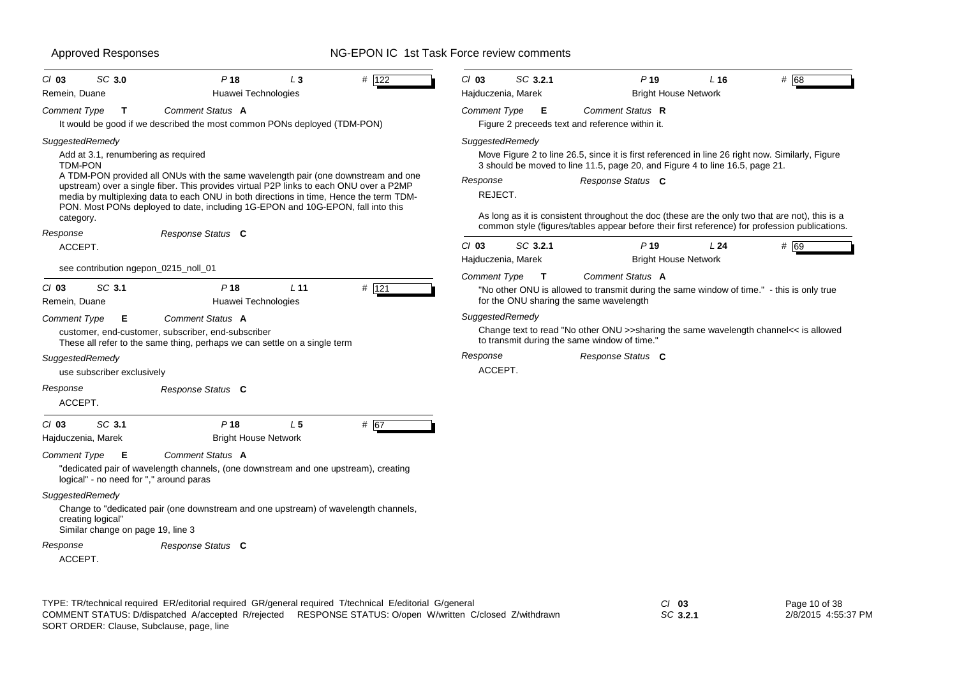| SC 3.0<br>$Cl$ 03<br>Remein, Duane                                                                                                     | P <sub>18</sub><br>$L_3$<br>Huawei Technologies                                                                                                                                                                                                                                                                                                                               | # 122   | $Cl$ 03<br>Hajduczenia, Marek                                 | SC 3.2.1     | P <sub>19</sub><br><b>Bright House Network</b>                                                                                                                                                                                                                                                                                                                                                             | L <sub>16</sub> | # 68 |
|----------------------------------------------------------------------------------------------------------------------------------------|-------------------------------------------------------------------------------------------------------------------------------------------------------------------------------------------------------------------------------------------------------------------------------------------------------------------------------------------------------------------------------|---------|---------------------------------------------------------------|--------------|------------------------------------------------------------------------------------------------------------------------------------------------------------------------------------------------------------------------------------------------------------------------------------------------------------------------------------------------------------------------------------------------------------|-----------------|------|
| <b>Comment Type</b><br>$\mathbf{T}$                                                                                                    | Comment Status A<br>It would be good if we described the most common PONs deployed (TDM-PON)                                                                                                                                                                                                                                                                                  |         | <b>Comment Type</b>                                           | E            | Comment Status R<br>Figure 2 preceeds text and reference within it.                                                                                                                                                                                                                                                                                                                                        |                 |      |
| SuggestedRemedy<br>Add at 3.1, renumbering as required<br><b>TDM-PON</b><br>category.<br>Response                                      | A TDM-PON provided all ONUs with the same wavelength pair (one downstream and one<br>upstream) over a single fiber. This provides virtual P2P links to each ONU over a P2MP<br>media by multiplexing data to each ONU in both directions in time. Hence the term TDM-<br>PON. Most PONs deployed to date, including 1G-EPON and 10G-EPON, fall into this<br>Response Status C |         | SuggestedRemedy<br>Response<br>REJECT.                        |              | Move Figure 2 to line 26.5, since it is first referenced in line 26 right now. Similarly, Figure<br>3 should be moved to line 11.5, page 20, and Figure 4 to line 16.5, page 21.<br>Response Status C<br>As long as it is consistent throughout the doc (these are the only two that are not), this is a<br>common style (figures/tables appear before their first reference) for profession publications. |                 |      |
| ACCEPT.                                                                                                                                |                                                                                                                                                                                                                                                                                                                                                                               |         | $Cl$ 03                                                       | SC 3.2.1     | P <sub>19</sub>                                                                                                                                                                                                                                                                                                                                                                                            | L24             | # 69 |
| see contribution ngepon_0215_noll_01                                                                                                   |                                                                                                                                                                                                                                                                                                                                                                               |         | Hajduczenia, Marek                                            |              | <b>Bright House Network</b>                                                                                                                                                                                                                                                                                                                                                                                |                 |      |
| SC 3.1<br>$Cl$ 03<br>Remein, Duane<br><b>Comment Type</b><br>Е<br>SuggestedRemedy<br>use subscriber exclusively<br>Response<br>ACCEPT. | $P$ 18<br>L <sub>11</sub><br>Huawei Technologies<br>Comment Status A<br>customer, end-customer, subscriber, end-subscriber<br>These all refer to the same thing, perhaps we can settle on a single term<br>Response Status C                                                                                                                                                  | $#$ 121 | <b>Comment Type</b><br>SuggestedRemedy<br>Response<br>ACCEPT. | $\mathbf{T}$ | Comment Status A<br>"No other ONU is allowed to transmit during the same window of time." - this is only true<br>for the ONU sharing the same wavelength<br>Change text to read "No other ONU >>sharing the same wavelength channel<< is allowed<br>to transmit during the same window of time.'<br>Response Status C                                                                                      |                 |      |
| SC 3.1<br>$Cl$ 03<br>Hajduczenia, Marek                                                                                                | P <sub>18</sub><br>L <sub>5</sub><br><b>Bright House Network</b>                                                                                                                                                                                                                                                                                                              | # 67    |                                                               |              |                                                                                                                                                                                                                                                                                                                                                                                                            |                 |      |
| <b>Comment Type</b><br>Е<br>logical" - no need for "," around paras                                                                    | Comment Status A<br>"dedicated pair of wavelength channels, (one downstream and one upstream), creating                                                                                                                                                                                                                                                                       |         |                                                               |              |                                                                                                                                                                                                                                                                                                                                                                                                            |                 |      |
| SuggestedRemedy<br>creating logical"<br>Similar change on page 19, line 3                                                              | Change to "dedicated pair (one downstream and one upstream) of wavelength channels,                                                                                                                                                                                                                                                                                           |         |                                                               |              |                                                                                                                                                                                                                                                                                                                                                                                                            |                 |      |
| Response<br>ACCEPT.                                                                                                                    | Response Status C                                                                                                                                                                                                                                                                                                                                                             |         |                                                               |              |                                                                                                                                                                                                                                                                                                                                                                                                            |                 |      |

TYPE: TR/technical required ER/editorial required GR/general required T/technical E/editorial G/general *Cl* **03** SORT ORDER: Clause, Subclause, page, line COMMENT STATUS: D/dispatched A/accepted R/rejected RESPONSE STATUS: O/open W/written C/closed Z/withdrawn

*SC* **3.2.1**

Page 10 of 38 2/8/2015 4:55:37 PM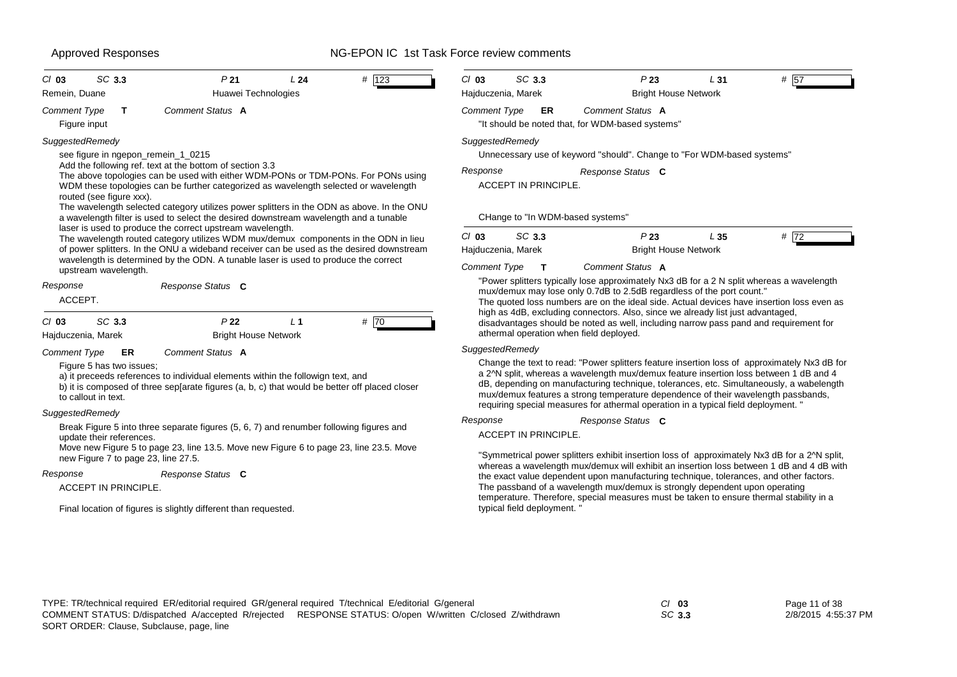| SC 3.3                                                                                                                                                                                                                                                                                                                                                                                                                                                                                                                                                                                                                                                                                                                                                                                                                                                                                                           | SC 3.3                                                                                                                                                                                                                                                                                                                                                                                                                                                                                                       |
|------------------------------------------------------------------------------------------------------------------------------------------------------------------------------------------------------------------------------------------------------------------------------------------------------------------------------------------------------------------------------------------------------------------------------------------------------------------------------------------------------------------------------------------------------------------------------------------------------------------------------------------------------------------------------------------------------------------------------------------------------------------------------------------------------------------------------------------------------------------------------------------------------------------|--------------------------------------------------------------------------------------------------------------------------------------------------------------------------------------------------------------------------------------------------------------------------------------------------------------------------------------------------------------------------------------------------------------------------------------------------------------------------------------------------------------|
| $Cl$ 03                                                                                                                                                                                                                                                                                                                                                                                                                                                                                                                                                                                                                                                                                                                                                                                                                                                                                                          | $Cl$ 03                                                                                                                                                                                                                                                                                                                                                                                                                                                                                                      |
| P <sub>21</sub>                                                                                                                                                                                                                                                                                                                                                                                                                                                                                                                                                                                                                                                                                                                                                                                                                                                                                                  | P23                                                                                                                                                                                                                                                                                                                                                                                                                                                                                                          |
| L24                                                                                                                                                                                                                                                                                                                                                                                                                                                                                                                                                                                                                                                                                                                                                                                                                                                                                                              | L31                                                                                                                                                                                                                                                                                                                                                                                                                                                                                                          |
| $#$ 123                                                                                                                                                                                                                                                                                                                                                                                                                                                                                                                                                                                                                                                                                                                                                                                                                                                                                                          | # 57                                                                                                                                                                                                                                                                                                                                                                                                                                                                                                         |
| Huawei Technologies                                                                                                                                                                                                                                                                                                                                                                                                                                                                                                                                                                                                                                                                                                                                                                                                                                                                                              | <b>Bright House Network</b>                                                                                                                                                                                                                                                                                                                                                                                                                                                                                  |
| Remein, Duane                                                                                                                                                                                                                                                                                                                                                                                                                                                                                                                                                                                                                                                                                                                                                                                                                                                                                                    | Hajduczenia, Marek                                                                                                                                                                                                                                                                                                                                                                                                                                                                                           |
| Comment Status A                                                                                                                                                                                                                                                                                                                                                                                                                                                                                                                                                                                                                                                                                                                                                                                                                                                                                                 | Comment Status A                                                                                                                                                                                                                                                                                                                                                                                                                                                                                             |
| <b>Comment Type</b>                                                                                                                                                                                                                                                                                                                                                                                                                                                                                                                                                                                                                                                                                                                                                                                                                                                                                              | <b>Comment Type</b>                                                                                                                                                                                                                                                                                                                                                                                                                                                                                          |
| $\mathbf{T}$                                                                                                                                                                                                                                                                                                                                                                                                                                                                                                                                                                                                                                                                                                                                                                                                                                                                                                     | ER                                                                                                                                                                                                                                                                                                                                                                                                                                                                                                           |
| Figure input                                                                                                                                                                                                                                                                                                                                                                                                                                                                                                                                                                                                                                                                                                                                                                                                                                                                                                     | "It should be noted that, for WDM-based systems"                                                                                                                                                                                                                                                                                                                                                                                                                                                             |
| SuggestedRemedy<br>see figure in ngepon_remein_1_0215<br>Add the following ref. text at the bottom of section 3.3<br>The above topologies can be used with either WDM-PONs or TDM-PONs. For PONs using<br>WDM these topologies can be further categorized as wavelength selected or wavelength<br>routed (see figure xxx).<br>The wavelength selected category utilizes power splitters in the ODN as above. In the ONU<br>a wavelength filter is used to select the desired downstream wavelength and a tunable<br>laser is used to produce the correct upstream wavelength.<br>The wavelength routed category utilizes WDM mux/demux components in the ODN in lieu<br>of power splitters. In the ONU a wideband receiver can be used as the desired downstream<br>wavelength is determined by the ODN. A tunable laser is used to produce the correct<br>upstream wavelength.<br>Response<br>Response Status C | SuggestedRemedy<br>Unnecessary use of keyword "should". Change to "For WDM-based systems"<br>Response<br>Response Status C<br>ACCEPT IN PRINCIPLE.<br>CHange to "In WDM-based systems"<br>SC 3.3<br>P23<br>$Cl$ 03<br>L35<br># 72<br><b>Bright House Network</b><br>Hajduczenia, Marek<br><b>Comment Type</b><br>Comment Status A<br>T<br>"Power splitters typically lose approximately Nx3 dB for a 2 N split whereas a wavelength<br>mux/demux may lose only 0.7dB to 2.5dB regardless of the port count." |
| ACCEPT.<br>SC 3.3<br>P <sub>22</sub><br>L <sub>1</sub><br># 70<br>$Cl$ 03<br><b>Bright House Network</b><br>Hajduczenia, Marek                                                                                                                                                                                                                                                                                                                                                                                                                                                                                                                                                                                                                                                                                                                                                                                   | The quoted loss numbers are on the ideal side. Actual devices have insertion loss even as<br>high as 4dB, excluding connectors. Also, since we already list just advantaged,<br>disadvantages should be noted as well, including narrow pass pand and requirement for<br>athermal operation when field deployed.                                                                                                                                                                                             |
| Comment Status A<br><b>Comment Type</b><br>ER<br>Figure 5 has two issues:<br>a) it preceeds references to individual elements within the followign text, and<br>b) it is composed of three sep[arate figures (a, b, c) that would be better off placed closer<br>to callout in text.                                                                                                                                                                                                                                                                                                                                                                                                                                                                                                                                                                                                                             | SuggestedRemedy<br>Change the text to read: "Power splitters feature insertion loss of approximately Nx3 dB for<br>a 2^N split, whereas a wavelength mux/demux feature insertion loss between 1 dB and 4<br>dB, depending on manufacturing technique, tolerances, etc. Simultaneously, a wabelength<br>mux/demux features a strong temperature dependence of their wavelength passbands,<br>requiring special measures for athermal operation in a typical field deployment. "                               |
| SuggestedRemedy                                                                                                                                                                                                                                                                                                                                                                                                                                                                                                                                                                                                                                                                                                                                                                                                                                                                                                  | Response                                                                                                                                                                                                                                                                                                                                                                                                                                                                                                     |
| Break Figure 5 into three separate figures (5, 6, 7) and renumber following figures and                                                                                                                                                                                                                                                                                                                                                                                                                                                                                                                                                                                                                                                                                                                                                                                                                          | Response Status C                                                                                                                                                                                                                                                                                                                                                                                                                                                                                            |
| update their references.                                                                                                                                                                                                                                                                                                                                                                                                                                                                                                                                                                                                                                                                                                                                                                                                                                                                                         | <b>ACCEPT IN PRINCIPLE.</b>                                                                                                                                                                                                                                                                                                                                                                                                                                                                                  |
| Move new Figure 5 to page 23, line 13.5. Move new Figure 6 to page 23, line 23.5. Move                                                                                                                                                                                                                                                                                                                                                                                                                                                                                                                                                                                                                                                                                                                                                                                                                           | "Symmetrical power splitters exhibit insertion loss of approximately Nx3 dB for a 2^N split,                                                                                                                                                                                                                                                                                                                                                                                                                 |
| new Figure 7 to page 23, line 27.5.                                                                                                                                                                                                                                                                                                                                                                                                                                                                                                                                                                                                                                                                                                                                                                                                                                                                              | whereas a wavelength mux/demux will exhibit an insertion loss between 1 dB and 4 dB with                                                                                                                                                                                                                                                                                                                                                                                                                     |
| Response                                                                                                                                                                                                                                                                                                                                                                                                                                                                                                                                                                                                                                                                                                                                                                                                                                                                                                         | the exact value dependent upon manufacturing technique, tolerances, and other factors.                                                                                                                                                                                                                                                                                                                                                                                                                       |
| Response Status C                                                                                                                                                                                                                                                                                                                                                                                                                                                                                                                                                                                                                                                                                                                                                                                                                                                                                                | The passband of a wavelength mux/demux is strongly dependent upon operating                                                                                                                                                                                                                                                                                                                                                                                                                                  |
| ACCEPT IN PRINCIPLE.                                                                                                                                                                                                                                                                                                                                                                                                                                                                                                                                                                                                                                                                                                                                                                                                                                                                                             | temperature. Therefore, special measures must be taken to ensure thermal stability in a                                                                                                                                                                                                                                                                                                                                                                                                                      |
| Final location of figures is slightly different than requested.                                                                                                                                                                                                                                                                                                                                                                                                                                                                                                                                                                                                                                                                                                                                                                                                                                                  | typical field deployment.                                                                                                                                                                                                                                                                                                                                                                                                                                                                                    |

*SC* **3.3**

Page 11 of 38 2/8/2015 4:55:37 PM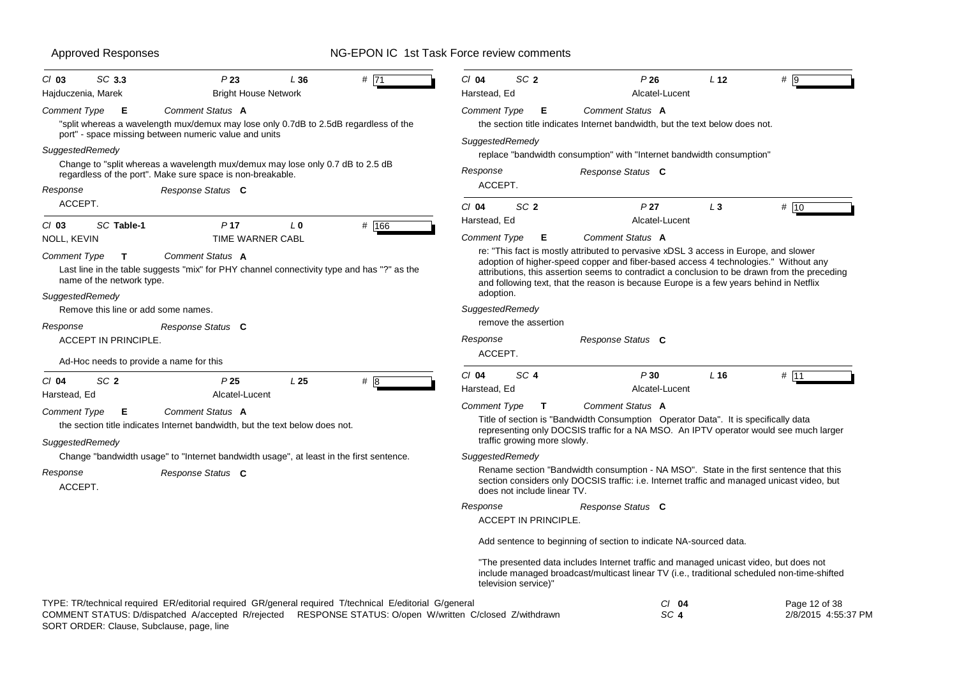| SC 3.3<br>$Cl$ 03<br>Hajduczenia, Marek                                          | P23<br><b>Bright House Network</b>                                                                                                                                                                                   | L36             | #71   | $Cl$ 04<br>SC <sub>2</sub><br>Harstead, Ed               | P26<br>Alcatel-Lucent                                                                                                                                                                                                                                                                                                                                                                     | L <sub>12</sub> | # 9                                  |
|----------------------------------------------------------------------------------|----------------------------------------------------------------------------------------------------------------------------------------------------------------------------------------------------------------------|-----------------|-------|----------------------------------------------------------|-------------------------------------------------------------------------------------------------------------------------------------------------------------------------------------------------------------------------------------------------------------------------------------------------------------------------------------------------------------------------------------------|-----------------|--------------------------------------|
| Comment Type<br>E                                                                | Comment Status A<br>"split whereas a wavelength mux/demux may lose only 0.7dB to 2.5dB regardless of the<br>port" - space missing between numeric value and units                                                    |                 |       | <b>Comment Type</b><br>Е                                 | Comment Status A<br>the section title indicates Internet bandwidth, but the text below does not.                                                                                                                                                                                                                                                                                          |                 |                                      |
| SuggestedRemedy<br>Response                                                      | Change to "split whereas a wavelength mux/demux may lose only 0.7 dB to 2.5 dB<br>regardless of the port". Make sure space is non-breakable.<br>Response Status C                                                    |                 |       | SuggestedRemedy<br>Response<br>ACCEPT.                   | replace "bandwidth consumption" with "Internet bandwidth consumption"<br>Response Status C                                                                                                                                                                                                                                                                                                |                 |                                      |
| ACCEPT.<br>SC Table-1<br>$Cl$ 03                                                 | P <sub>17</sub>                                                                                                                                                                                                      | L <sub>0</sub>  | # 166 | SC <sub>2</sub><br>$Cl$ 04<br>Harstead, Ed               | P27<br>Alcatel-Lucent                                                                                                                                                                                                                                                                                                                                                                     | $L_3$           | # 10                                 |
| NOLL, KEVIN<br>Comment Type<br>T<br>name of the network type.<br>SuggestedRemedy | TIME WARNER CABL<br>Comment Status A<br>Last line in the table suggests "mix" for PHY channel connectivity type and has "?" as the                                                                                   |                 |       | Comment Type<br>Е<br>adoption.                           | Comment Status A<br>re: "This fact is mostly attributed to pervasive xDSL 3 access in Europe, and slower<br>adoption of higher-speed copper and fiber-based access 4 technologies." Without any<br>attributions, this assertion seems to contradict a conclusion to be drawn from the preceding<br>and following text, that the reason is because Europe is a few years behind in Netflix |                 |                                      |
| Remove this line or add some names.                                              |                                                                                                                                                                                                                      |                 |       | SuggestedRemedy<br>remove the assertion                  |                                                                                                                                                                                                                                                                                                                                                                                           |                 |                                      |
| Response<br><b>ACCEPT IN PRINCIPLE.</b>                                          | Response Status C                                                                                                                                                                                                    |                 |       | Response<br>ACCEPT.                                      | Response Status C                                                                                                                                                                                                                                                                                                                                                                         |                 |                                      |
| Ad-Hoc needs to provide a name for this                                          |                                                                                                                                                                                                                      |                 |       |                                                          |                                                                                                                                                                                                                                                                                                                                                                                           |                 |                                      |
| SC <sub>2</sub><br>$Cl$ 04<br>Harstead, Ed                                       | P <sub>25</sub><br>Alcatel-Lucent                                                                                                                                                                                    | L <sub>25</sub> | #8    | SC <sub>4</sub><br>$Cl$ 04<br>Harstead, Ed               | P30<br>Alcatel-Lucent                                                                                                                                                                                                                                                                                                                                                                     | $L$ 16          | # $11$                               |
| Comment Type<br>Е<br>SuggestedRemedy                                             | Comment Status A<br>the section title indicates Internet bandwidth, but the text below does not.                                                                                                                     |                 |       | <b>Comment Type</b><br>T<br>traffic growing more slowly. | Comment Status A<br>Title of section is "Bandwidth Consumption Operator Data". It is specifically data<br>representing only DOCSIS traffic for a NA MSO. An IPTV operator would see much larger                                                                                                                                                                                           |                 |                                      |
|                                                                                  | Change "bandwidth usage" to "Internet bandwidth usage", at least in the first sentence.                                                                                                                              |                 |       | SuggestedRemedy                                          |                                                                                                                                                                                                                                                                                                                                                                                           |                 |                                      |
| Response<br>ACCEPT.                                                              | Response Status C                                                                                                                                                                                                    |                 |       | does not include linear TV.                              | Rename section "Bandwidth consumption - NA MSO". State in the first sentence that this<br>section considers only DOCSIS traffic: i.e. Internet traffic and managed unicast video, but                                                                                                                                                                                                     |                 |                                      |
|                                                                                  |                                                                                                                                                                                                                      |                 |       | Response<br><b>ACCEPT IN PRINCIPLE.</b>                  | Response Status C                                                                                                                                                                                                                                                                                                                                                                         |                 |                                      |
|                                                                                  |                                                                                                                                                                                                                      |                 |       |                                                          | Add sentence to beginning of section to indicate NA-sourced data.                                                                                                                                                                                                                                                                                                                         |                 |                                      |
|                                                                                  |                                                                                                                                                                                                                      |                 |       | television service)"                                     | "The presented data includes Internet traffic and managed unicast video, but does not<br>include managed broadcast/multicast linear TV (i.e., traditional scheduled non-time-shifted                                                                                                                                                                                                      |                 |                                      |
|                                                                                  | TYPE: TR/technical required ER/editorial required GR/general required T/technical E/editorial G/general<br>COMMENT STATUS: D/dispatched A/accepted R/rejected RESPONSE STATUS: O/open W/written C/closed Z/withdrawn |                 |       |                                                          | $CI$ 04<br>SC <sub>4</sub>                                                                                                                                                                                                                                                                                                                                                                |                 | Page 12 of 38<br>2/8/2015 4:55:37 PM |

SORT ORDER: Clause, Subclause, page, line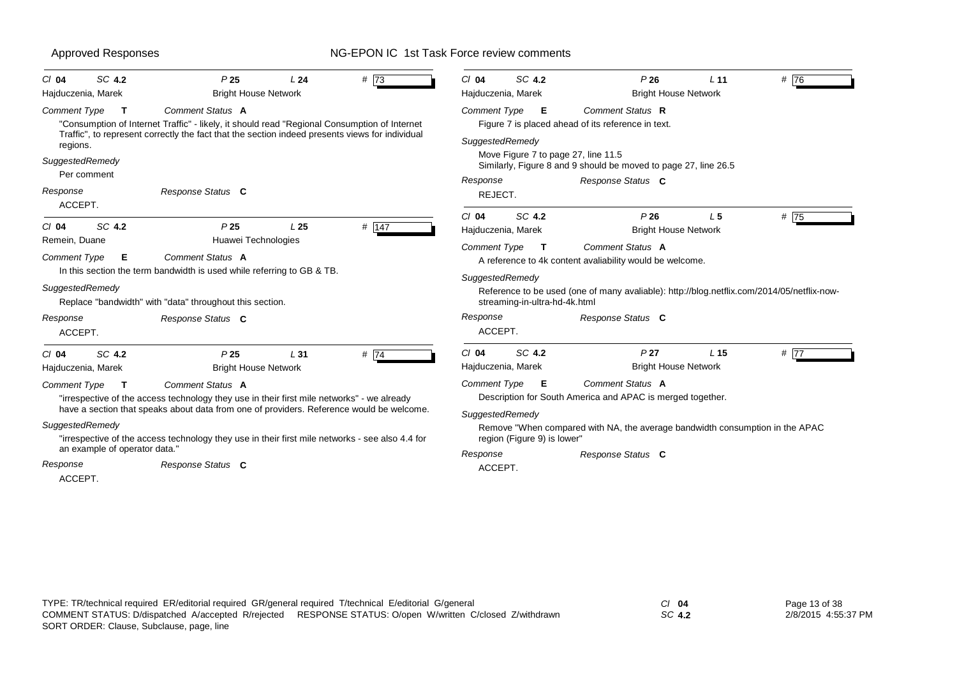| SC 4.2<br>$Cl$ 04<br>Hajduczenia, Marek                                                             | P <sub>25</sub><br>L24<br><b>Bright House Network</b>                                                                                                                                                                                                                                                                              | #73   | SC 4.2<br>$Cl$ 04<br>Hajduczenia, Marek                                                        | P26<br><b>Bright House Network</b>                                                                                                                                                  | L <sub>11</sub> | # 76   |
|-----------------------------------------------------------------------------------------------------|------------------------------------------------------------------------------------------------------------------------------------------------------------------------------------------------------------------------------------------------------------------------------------------------------------------------------------|-------|------------------------------------------------------------------------------------------------|-------------------------------------------------------------------------------------------------------------------------------------------------------------------------------------|-----------------|--------|
| <b>Comment Type</b><br>$\mathbf{T}$<br>regions.                                                     | Comment Status A<br>"Consumption of Internet Traffic" - likely, it should read "Regional Consumption of Internet<br>Traffic", to represent correctly the fact that the section indeed presents views for individual                                                                                                                |       | Comment Type E<br>SuggestedRemedy<br>Move Figure 7 to page 27, line 11.5                       | Comment Status R<br>Figure 7 is placed ahead of its reference in text.                                                                                                              |                 |        |
| SuggestedRemedy<br>Per comment<br>Response<br>ACCEPT.                                               | Response Status C                                                                                                                                                                                                                                                                                                                  |       | Response<br>REJECT.                                                                            | Similarly, Figure 8 and 9 should be moved to page 27, line 26.5<br>Response Status C                                                                                                |                 |        |
| SC 4.2<br>$Cl$ 04<br>Remein, Duane                                                                  | P <sub>25</sub><br>L <sub>25</sub><br>Huawei Technologies                                                                                                                                                                                                                                                                          | # 147 | SC 4.2<br>$Cl$ 04<br>Hajduczenia, Marek<br><b>Comment Type</b>                                 | P26<br><b>Bright House Network</b><br>Comment Status A                                                                                                                              | L <sub>5</sub>  | # 75   |
| <b>Comment Type</b><br>E<br>SuggestedRemedy                                                         | Comment Status A<br>In this section the term bandwidth is used while referring to GB & TB.<br>Replace "bandwidth" with "data" throughout this section.                                                                                                                                                                             |       | $\mathbf{T}$<br>SuggestedRemedy<br>streaming-in-ultra-hd-4k.html                               | A reference to 4k content avaliability would be welcome.<br>Reference to be used (one of many avaliable): http://blog.netflix.com/2014/05/netflix-now-                              |                 |        |
| Response<br>ACCEPT.                                                                                 | Response Status C                                                                                                                                                                                                                                                                                                                  |       | Response<br>ACCEPT.                                                                            | Response Status C                                                                                                                                                                   |                 |        |
| SC 4.2<br>$Cl$ 04<br>Hajduczenia, Marek                                                             | P <sub>25</sub><br>L31<br><b>Bright House Network</b>                                                                                                                                                                                                                                                                              | #74   | SC 4.2<br>$Cl$ 04<br>Hajduczenia, Marek                                                        | P <sub>27</sub><br><b>Bright House Network</b>                                                                                                                                      | L <sub>15</sub> | $#$ 77 |
| <b>Comment Type</b><br>$\mathbf{T}$<br>SuggestedRemedy<br>an example of operator data."<br>Response | Comment Status A<br>"irrespective of the access technology they use in their first mile networks" - we already<br>have a section that speaks about data from one of providers. Reference would be welcome.<br>"irrespective of the access technology they use in their first mile networks - see also 4.4 for<br>Response Status C |       | Comment Type <b>E</b><br>SuggestedRemedy<br>region (Figure 9) is lower"<br>Response<br>ACCEPT. | Comment Status A<br>Description for South America and APAC is merged together.<br>Remove "When compared with NA, the average bandwidth consumption in the APAC<br>Response Status C |                 |        |
| ACCEPT.                                                                                             |                                                                                                                                                                                                                                                                                                                                    |       |                                                                                                |                                                                                                                                                                                     |                 |        |

*SC* **4.2**

Page 13 of 38 2/8/2015 4:55:37 PM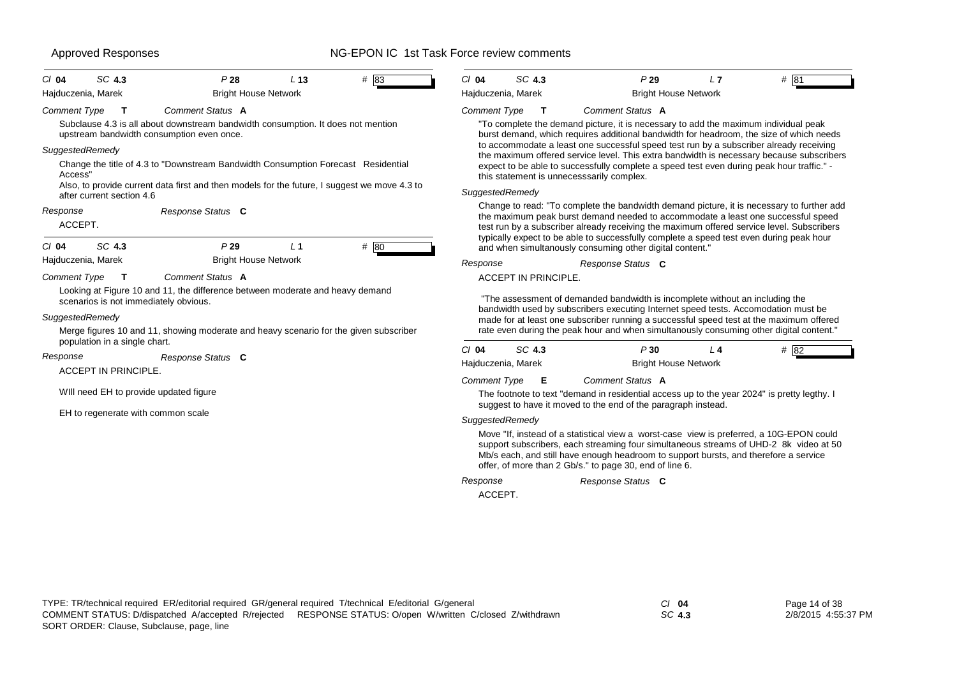| SC 4.3<br>$Cl$ 04                                                                    | P28                                                                                                                                                                                        | L <sub>13</sub> | # 83 | $Cl$ 04             | SC 4.3                       | P29                                                                                                                                                                                                                                                                                                                                                                                                                               | L7 | # 81   |
|--------------------------------------------------------------------------------------|--------------------------------------------------------------------------------------------------------------------------------------------------------------------------------------------|-----------------|------|---------------------|------------------------------|-----------------------------------------------------------------------------------------------------------------------------------------------------------------------------------------------------------------------------------------------------------------------------------------------------------------------------------------------------------------------------------------------------------------------------------|----|--------|
| Hajduczenia, Marek                                                                   | <b>Bright House Network</b>                                                                                                                                                                |                 |      |                     | Hajduczenia, Marek           | <b>Bright House Network</b>                                                                                                                                                                                                                                                                                                                                                                                                       |    |        |
| <b>Comment Type</b><br>т                                                             | Comment Status A<br>Subclause 4.3 is all about downstream bandwidth consumption. It does not mention<br>upstream bandwidth consumption even once.                                          |                 |      | <b>Comment Type</b> | $\mathbf{T}$                 | Comment Status A<br>"To complete the demand picture, it is necessary to add the maximum individual peak<br>burst demand, which requires additional bandwidth for headroom, the size of which needs                                                                                                                                                                                                                                |    |        |
| SuggestedRemedy<br>Access"<br>after current section 4.6                              | Change the title of 4.3 to "Downstream Bandwidth Consumption Forecast Residential<br>Also, to provide current data first and then models for the future, I suggest we move 4.3 to          |                 |      | SuggestedRemedy     |                              | to accommodate a least one successful speed test run by a subscriber already receiving<br>the maximum offered service level. This extra bandwidth is necessary because subscribers<br>expect to be able to successfully complete a speed test even during peak hour traffic." -<br>this statement is unnecesssarily complex.                                                                                                      |    |        |
| Response<br>ACCEPT.<br>SC 4.3<br>CI 04                                               | Response Status C<br>P29                                                                                                                                                                   | L <sub>1</sub>  | # 80 |                     |                              | Change to read: "To complete the bandwidth demand picture, it is necessary to further add<br>the maximum peak burst demand needed to accommodate a least one successful speed<br>test run by a subscriber already receiving the maximum offered service level. Subscribers<br>typically expect to be able to successfully complete a speed test even during peak hour<br>and when simultanously consuming other digital content." |    |        |
| Hajduczenia, Marek                                                                   | <b>Bright House Network</b>                                                                                                                                                                |                 |      | Response            |                              | Response Status C                                                                                                                                                                                                                                                                                                                                                                                                                 |    |        |
| <b>Comment Type</b><br>т<br>scenarios is not immediately obvious.<br>SuggestedRemedy | Comment Status A<br>Looking at Figure 10 and 11, the difference between moderate and heavy demand<br>Merge figures 10 and 11, showing moderate and heavy scenario for the given subscriber |                 |      |                     | <b>ACCEPT IN PRINCIPLE.</b>  | "The assessment of demanded bandwidth is incomplete without an including the<br>bandwidth used by subscribers executing Internet speed tests. Accomodation must be<br>made for at least one subscriber running a successful speed test at the maximum offered<br>rate even during the peak hour and when simultanously consuming other digital content."                                                                          |    |        |
| population in a single chart.<br>Response<br><b>ACCEPT IN PRINCIPLE.</b>             | Response Status C                                                                                                                                                                          |                 |      | $Cl$ 04             | SC 4.3<br>Hajduczenia, Marek | P30<br><b>Bright House Network</b>                                                                                                                                                                                                                                                                                                                                                                                                | 14 | $#$ 82 |
| WIII need EH to provide updated figure                                               |                                                                                                                                                                                            |                 |      | <b>Comment Type</b> | Е                            | Comment Status A<br>The footnote to text "demand in residential access up to the year 2024" is pretty legthy. I<br>suggest to have it moved to the end of the paragraph instead.                                                                                                                                                                                                                                                  |    |        |
| EH to regenerate with common scale                                                   |                                                                                                                                                                                            |                 |      | SuggestedRemedy     |                              | Move "If, instead of a statistical view a worst-case view is preferred, a 10G-EPON could<br>support subscribers, each streaming four simultaneous streams of UHD-2 8k video at 50<br>Mb/s each, and still have enough headroom to support bursts, and therefore a service<br>offer, of more than 2 Gb/s." to page 30, end of line 6.                                                                                              |    |        |
|                                                                                      |                                                                                                                                                                                            |                 |      | Response<br>ACCEPT. |                              | Response Status C                                                                                                                                                                                                                                                                                                                                                                                                                 |    |        |

*SC* **4.3**

Page 14 of 38 2/8/2015 4:55:37 PM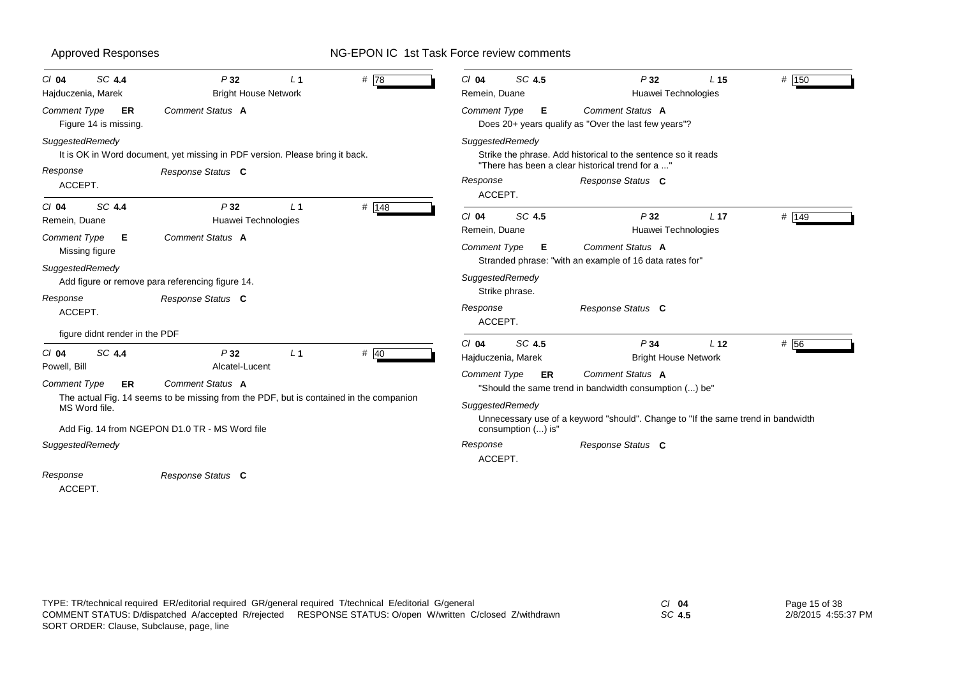## Approved Responses **NG-EPON IC 1st Task Force review comments** *Cl* **04** *SC* **4.4** *P* **32** *L* **1** *#* 78*Comment Type* **ER** Figure 14 is missing. *SuggestedRemedy* It is OK in Word document, yet missing in PDF version. Please bring it back. ACCEPT.*Comment Status* **A***Response Status* **C** Hajduczenia, Marek Bright House Network *Response Cl* **04** *SC* **4.4** *P* **32** *L* **1** *#* 148*Comment Type* **E** Missing figure *SuggestedRemedy* Add figure or remove para referencing figure 14. ACCEPT. figure didnt render in the PDF *Comment Status* **A***Response Status* **C** Remein, Duane **Huawei Technologies** *Response Cl* **04** *SC* **4.4** *P* **32** *L* **1** *#* 40*Comment Type* **ER** The actual Fig. 14 seems to be missing from the PDF, but is contained in the companion MS Word file. Add Fig. 14 from NGEPON D1.0 TR - MS Word file *SuggestedRemedy* ACCEPT. *Comment Status* **A***Response Status* **C** Powell, Bill **Alcatel-Lucent** *Response Cl* **04** *SC* **4.5** *P* **32** *L* **15** *#* 150# 150 *Comment Type* **E** Does 20+ years qualify as "Over the last few years"? *SuggestedRemedy* Strike the phrase. Add historical to the sentence so it reads "There has been a clear historical trend for a ..."ACCEPT.*Comment Status* **A***Response Status* **C** Remein, Duane **Huawei Technologies** *Response Cl* **04** *SC* **4.5** *P* **32** *L* **17** *#* 149 $# 149$ *Comment Type* **E** Stranded phrase: "with an example of 16 data rates for" *SuggestedRemedy* Strike phrase. ACCEPT. *Comment Status* **A***Response Status* **C** Remein, Duane **Huawei Technologies** *Response Cl* **04** *SC* **4.5** *P* **34** *L* **12** *#* 56*Comment Type* **ER** "Should the same trend in bandwidth consumption (...) be" *SuggestedRemedy* Unnecessary use of a keyword "should". Change to "If the same trend in bandwidth consumption (...) is" ACCEPT.*Comment Status* **A***Response Status* **C** Hajduczenia, Marek Bright House Network *Response*

*SC* **4.5**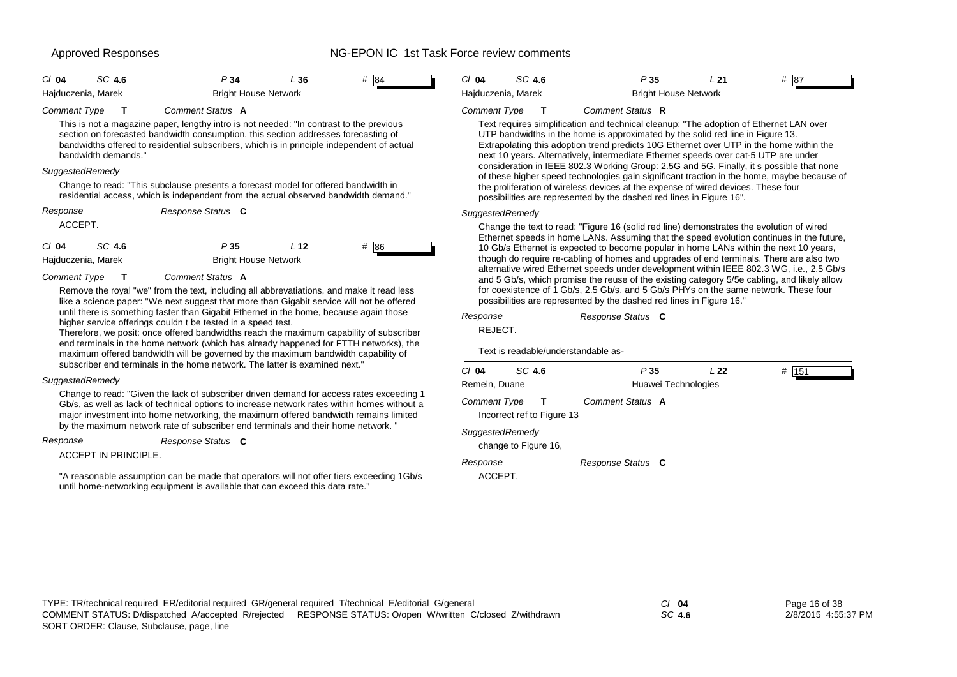| $CI$ 04             | SC 4.6             | P 34                                                                                                                                                                          | ⊥ 36 | - 84 | CI 04               | SC 4.6             | P35                                                                                                                                                                      | L 21 | # 187 |
|---------------------|--------------------|-------------------------------------------------------------------------------------------------------------------------------------------------------------------------------|------|------|---------------------|--------------------|--------------------------------------------------------------------------------------------------------------------------------------------------------------------------|------|-------|
|                     | Hajduczenia, Marek | <b>Bright House Network</b>                                                                                                                                                   |      |      |                     | Hajduczenia, Marek | Bright House Network                                                                                                                                                     |      |       |
| <b>Comment Type</b> |                    | Comment Status A                                                                                                                                                              |      |      | <b>Comment Type</b> |                    | Comment Status R                                                                                                                                                         |      |       |
|                     |                    | This is not a magazine paper, lengthy intro is not needed: "In contrast to the previous<br>section on forecasted bandwidth consumption, this section addresses forecasting of |      |      |                     |                    | Text requires simplification and technical cleanup: "The adoption of Ethernet LAN over<br>UTP bandwidths in the home is approximated by the solid red line in Figure 13. |      |       |

bandwidths offered to residential subscribers, which is in principle independent of actual bandwidth demands."

## *SuggestedRemedy*

Change to read: "This subclause presents a forecast model for offered bandwidth in residential access, which is independent from the actual observed bandwidth demand."

| Response |        | Response Status C |    |          |
|----------|--------|-------------------|----|----------|
| ACCEPT.  |        |                   |    |          |
| $Cl$ 04  | SC 4.6 | P 35              | 12 | #<br>186 |

Hajduczenia, Marek **Bright House Network** 

*Comment Type* **T** *Comment Status* **A**

Remove the royal "we" from the text, including all abbrevatiations, and make it read less like a science paper: "We next suggest that more than Gigabit service will not be offered until there is something faster than Gigabit Ethernet in the home, because again those higher service offerings couldn t be tested in a speed test.

Therefore, we posit: once offered bandwidths reach the maximum capability of subscriber end terminals in the home network (which has already happened for FTTH networks), the maximum offered bandwidth will be governed by the maximum bandwidth capability of subscriber end terminals in the home network. The latter is examined next."

## *SuggestedRemedy*

Change to read: "Given the lack of subscriber driven demand for access rates exceeding 1 Gb/s, as well as lack of technical options to increase network rates within homes without a major investment into home networking, the maximum offered bandwidth remains limited by the maximum network rate of subscriber end terminals and their home network. "

*Response*

## *Response Status* **C**

ACCEPT IN PRINCIPLE.

"A reasonable assumption can be made that operators will not offer tiers exceeding 1Gb/s until home-networking equipment is available that can exceed this data rate."

*SuggestedRemedy* Change the text to read: "Figure 16 (solid red line) demonstrates the evolution of wired Ethernet speeds in home LANs. Assuming that the speed evolution continues in the future, 10 Gb/s Ethernet is expected to become popular in home LANs within the next 10 years, though do require re-cabling of homes and upgrades of end terminals. There are also two alternative wired Ethernet speeds under development within IEEE 802.3 WG, i.e., 2.5 Gb/s and 5 Gb/s, which promise the reuse of the existing category 5/5e cabling, and likely allow for coexistence of 1 Gb/s, 2.5 Gb/s, and 5 Gb/s PHYs on the same network. These four possibilities are represented by the dashed red lines in Figure 16."

Extrapolating this adoption trend predicts 10G Ethernet over UTP in the home within the next 10 years. Alternatively, intermediate Ethernet speeds over cat-5 UTP are under consideration in IEEE 802.3 Working Group: 2.5G and 5G. Finally, it s possible that none of these higher speed technologies gain significant traction in the home, maybe because of

the proliferation of wireless devices at the expense of wired devices. These four

possibilities are represented by the dashed red lines in Figure 16".

| Response | Response Status C |  |
|----------|-------------------|--|

REJECT.

Text is readable/understandable as-

| $Cl$ 04             | SC 4.6                                     | P <sub>35</sub>   | L22                 | 151<br># |
|---------------------|--------------------------------------------|-------------------|---------------------|----------|
| Remein, Duane       |                                            |                   | Huawei Technologies |          |
| <b>Comment Type</b> | $\mathbf{T}$<br>Incorrect ref to Figure 13 | Comment Status A  |                     |          |
|                     | SuggestedRemedy<br>change to Figure 16.    |                   |                     |          |
| Response<br>ACCEPT. |                                            | Response Status C |                     |          |

*SC* **4.6**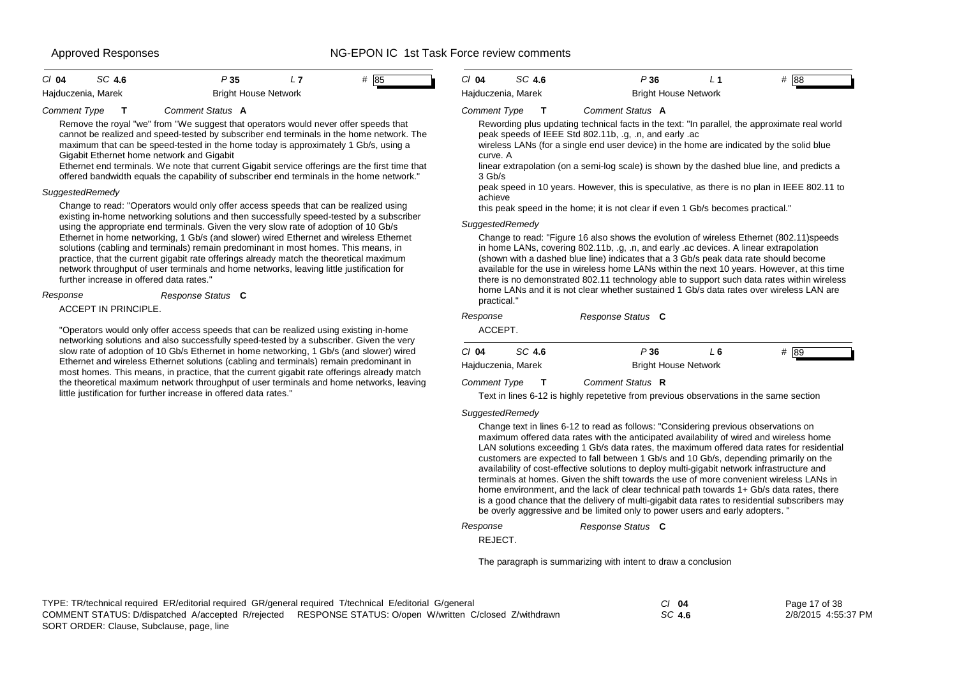| $Cl$ 04            | SC 4.6 | P 35 |                             | # 85 |  |
|--------------------|--------|------|-----------------------------|------|--|
| Hajduczenia, Marek |        |      | <b>Bright House Network</b> |      |  |

## *Comment Type* **T** *Comment Status* **A**

Remove the royal "we" from "We suggest that operators would never offer speeds that cannot be realized and speed-tested by subscriber end terminals in the home network. The maximum that can be speed-tested in the home today is approximately 1 Gb/s, using a Gigabit Ethernet home network and Gigabit

Ethernet end terminals. We note that current Gigabit service offerings are the first time that offered bandwidth equals the capability of subscriber end terminals in the home network."

## *SuggestedRemedy*

Change to read: "Operators would only offer access speeds that can be realized using existing in-home networking solutions and then successfully speed-tested by a subscriber using the appropriate end terminals. Given the very slow rate of adoption of 10 Gb/s Ethernet in home networking, 1 Gb/s (and slower) wired Ethernet and wireless Ethernet solutions (cabling and terminals) remain predominant in most homes. This means, in practice, that the current gigabit rate offerings already match the theoretical maximum network throughput of user terminals and home networks, leaving little justification for further increase in offered data rates."

## *Response*

## *Response Status* **C**

ACCEPT IN PRINCIPLE.

"Operators would only offer access speeds that can be realized using existing in-home networking solutions and also successfully speed-tested by a subscriber. Given the very slow rate of adoption of 10 Gb/s Ethernet in home networking, 1 Gb/s (and slower) wired Ethernet and wireless Ethernet solutions (cabling and terminals) remain predominant in most homes. This means, in practice, that the current gigabit rate offerings already match the theoretical maximum network throughput of user terminals and home networks, leaving little justification for further increase in offered data rates."

| CI 04              | SC 4.6 | P 36                        | # 88 |  |
|--------------------|--------|-----------------------------|------|--|
| Hajduczenia, Marek |        | <b>Bright House Network</b> |      |  |

## *Comment Type* **T** *Comment Status* **A**

Rewording plus updating technical facts in the text: "In parallel, the approximate real world peak speeds of IEEE Std 802.11b, .g, .n, and early .ac

wireless LANs (for a single end user device) in the home are indicated by the solid blue curve. A

linear extrapolation (on a semi-log scale) is shown by the dashed blue line, and predicts a 3 Gb/s

peak speed in 10 years. However, this is speculative, as there is no plan in IEEE 802.11 to achieve

this peak speed in the home; it is not clear if even 1 Gb/s becomes practical."

## *SuggestedRemedy*

Change to read: "Figure 16 also shows the evolution of wireless Ethernet (802.11)speeds in home LANs, covering 802.11b, .g, .n, and early .ac devices. A linear extrapolation (shown with a dashed blue line) indicates that a 3 Gb/s peak data rate should become available for the use in wireless home LANs within the next 10 years. However, at this time there is no demonstrated 802.11 technology able to support such data rates within wireless home LANs and it is not clear whether sustained 1 Gb/s data rates over wireless LAN are practical."

| Response<br>ACCEPT. |                    | Response Status C           |     |      |  |
|---------------------|--------------------|-----------------------------|-----|------|--|
| $Cl$ 04             | SC 4.6             | P36                         | L 6 | # 89 |  |
|                     | Hajduczenia, Marek | <b>Bright House Network</b> |     |      |  |
| <b>Comment Type</b> |                    | Comment Status R            |     |      |  |

Text in lines 6-12 is highly repetetive from previous observations in the same section

## *SuggestedRemedy*

Change text in lines 6-12 to read as follows: "Considering previous observations on maximum offered data rates with the anticipated availability of wired and wireless home LAN solutions exceeding 1 Gb/s data rates, the maximum offered data rates for residential customers are expected to fall between 1 Gb/s and 10 Gb/s, depending primarily on the availability of cost-effective solutions to deploy multi-gigabit network infrastructure and terminals at homes. Given the shift towards the use of more convenient wireless LANs in home environment, and the lack of clear technical path towards 1+ Gb/s data rates, there is a good chance that the delivery of multi-gigabit data rates to residential subscribers may be overly aggressive and be limited only to power users and early adopters. "

*Response*

REJECT.

The paragraph is summarizing with intent to draw a conclusion

*Response Status* **C**

| TYPE: TR/technical required ER/editorial required GR/general required T/technical E/editorial G/general   | CI 04  | Page 17 of 38       |
|-----------------------------------------------------------------------------------------------------------|--------|---------------------|
| COMMENT STATUS: D/dispatched A/accepted R/reiected RESPONSE STATUS: O/open W/written C/closed Z/withdrawn | SC 4.6 | 2/8/2015 4:55:37 PM |
| SORT ORDER: Clause. Subclause. page. line                                                                 |        |                     |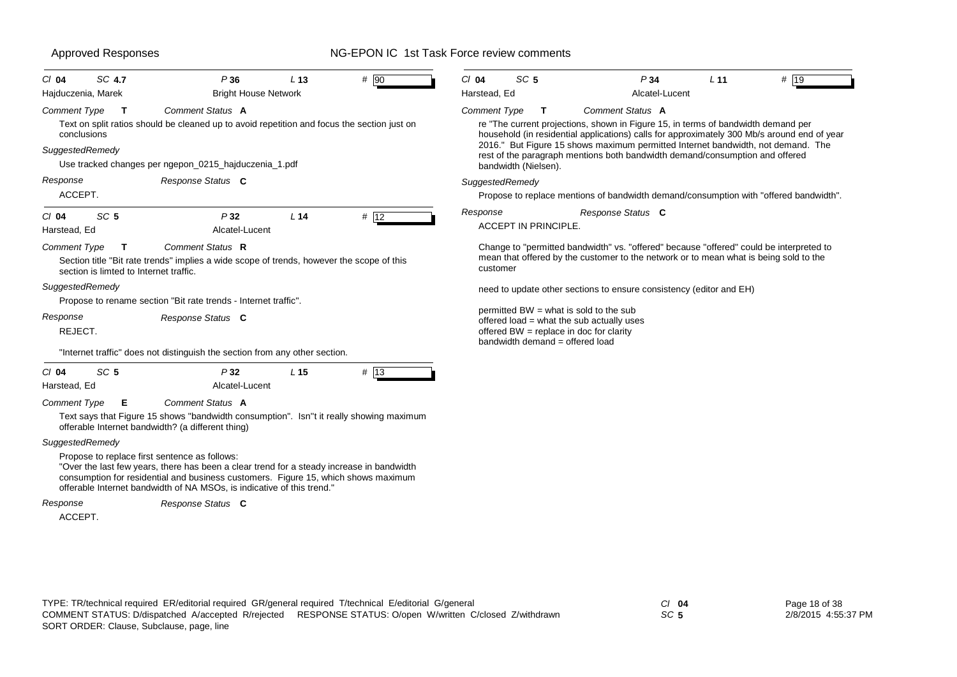| SC 4.7<br>$CI$ 04                                              | P36                                                                                                                                                                                                                                                                                                        | L <sub>13</sub> | # 90   | $Cl$ 04             | SC <sub>5</sub>                      | P34                                                                                                                                                                                                                                                                                                                                                                      | L <sub>11</sub> | $#$  19 |
|----------------------------------------------------------------|------------------------------------------------------------------------------------------------------------------------------------------------------------------------------------------------------------------------------------------------------------------------------------------------------------|-----------------|--------|---------------------|--------------------------------------|--------------------------------------------------------------------------------------------------------------------------------------------------------------------------------------------------------------------------------------------------------------------------------------------------------------------------------------------------------------------------|-----------------|---------|
| Hajduczenia, Marek                                             | <b>Bright House Network</b>                                                                                                                                                                                                                                                                                |                 |        | Harstead, Ed        |                                      | Alcatel-Lucent                                                                                                                                                                                                                                                                                                                                                           |                 |         |
| Comment Type<br>$\mathbf{T}$<br>conclusions<br>SuggestedRemedy | <b>Comment Status A</b><br>Text on split ratios should be cleaned up to avoid repetition and focus the section just on<br>Use tracked changes per ngepon_0215_hajduczenia_1.pdf                                                                                                                            |                 |        | <b>Comment Type</b> | $\mathbf{T}$<br>bandwidth (Nielsen). | Comment Status A<br>re "The current projections, shown in Figure 15, in terms of bandwidth demand per<br>household (in residential applications) calls for approximately 300 Mb/s around end of year<br>2016." But Figure 15 shows maximum permitted Internet bandwidth, not demand. The<br>rest of the paragraph mentions both bandwidth demand/consumption and offered |                 |         |
| Response                                                       | Response Status C                                                                                                                                                                                                                                                                                          |                 |        | SuggestedRemedy     |                                      |                                                                                                                                                                                                                                                                                                                                                                          |                 |         |
| ACCEPT.                                                        |                                                                                                                                                                                                                                                                                                            |                 |        |                     |                                      | Propose to replace mentions of bandwidth demand/consumption with "offered bandwidth".                                                                                                                                                                                                                                                                                    |                 |         |
| SC <sub>5</sub><br>$Cl$ 04<br>Harstead, Ed                     | P32<br>Alcatel-Lucent                                                                                                                                                                                                                                                                                      | L <sub>14</sub> | # 12   | Response            | <b>ACCEPT IN PRINCIPLE.</b>          | Response Status C                                                                                                                                                                                                                                                                                                                                                        |                 |         |
| Comment Type<br>section is limted to Internet traffic.         | Comment Status R<br>Section title "Bit rate trends" implies a wide scope of trends, however the scope of this                                                                                                                                                                                              |                 |        | customer            |                                      | Change to "permitted bandwidth" vs. "offered" because "offered" could be interpreted to<br>mean that offered by the customer to the network or to mean what is being sold to the                                                                                                                                                                                         |                 |         |
| SuggestedRemedy                                                | Propose to rename section "Bit rate trends - Internet traffic".                                                                                                                                                                                                                                            |                 |        |                     |                                      | need to update other sections to ensure consistency (editor and EH)                                                                                                                                                                                                                                                                                                      |                 |         |
| Response<br>REJECT.                                            | Response Status C                                                                                                                                                                                                                                                                                          |                 |        |                     | bandwidth demand = offered load      | permitted BW = what is sold to the sub<br>offered load = what the sub actually uses<br>offered BW = replace in doc for clarity                                                                                                                                                                                                                                           |                 |         |
|                                                                | "Internet traffic" does not distinguish the section from any other section.                                                                                                                                                                                                                                |                 |        |                     |                                      |                                                                                                                                                                                                                                                                                                                                                                          |                 |         |
| SC <sub>5</sub><br>$Cl$ 04<br>Harstead, Ed                     | P32<br>Alcatel-Lucent                                                                                                                                                                                                                                                                                      | L <sub>15</sub> | $#$ 13 |                     |                                      |                                                                                                                                                                                                                                                                                                                                                                          |                 |         |
| <b>Comment Type</b><br>Е                                       | Comment Status A<br>Text says that Figure 15 shows "bandwidth consumption". Isn"t it really showing maximum<br>offerable Internet bandwidth? (a different thing)                                                                                                                                           |                 |        |                     |                                      |                                                                                                                                                                                                                                                                                                                                                                          |                 |         |
| SuggestedRemedy                                                |                                                                                                                                                                                                                                                                                                            |                 |        |                     |                                      |                                                                                                                                                                                                                                                                                                                                                                          |                 |         |
|                                                                | Propose to replace first sentence as follows:<br>"Over the last few years, there has been a clear trend for a steady increase in bandwidth<br>consumption for residential and business customers. Figure 15, which shows maximum<br>offerable Internet bandwidth of NA MSOs, is indicative of this trend." |                 |        |                     |                                      |                                                                                                                                                                                                                                                                                                                                                                          |                 |         |
| Response                                                       | Response Status C                                                                                                                                                                                                                                                                                          |                 |        |                     |                                      |                                                                                                                                                                                                                                                                                                                                                                          |                 |         |
| ACCEPT.                                                        |                                                                                                                                                                                                                                                                                                            |                 |        |                     |                                      |                                                                                                                                                                                                                                                                                                                                                                          |                 |         |

*SC* **5**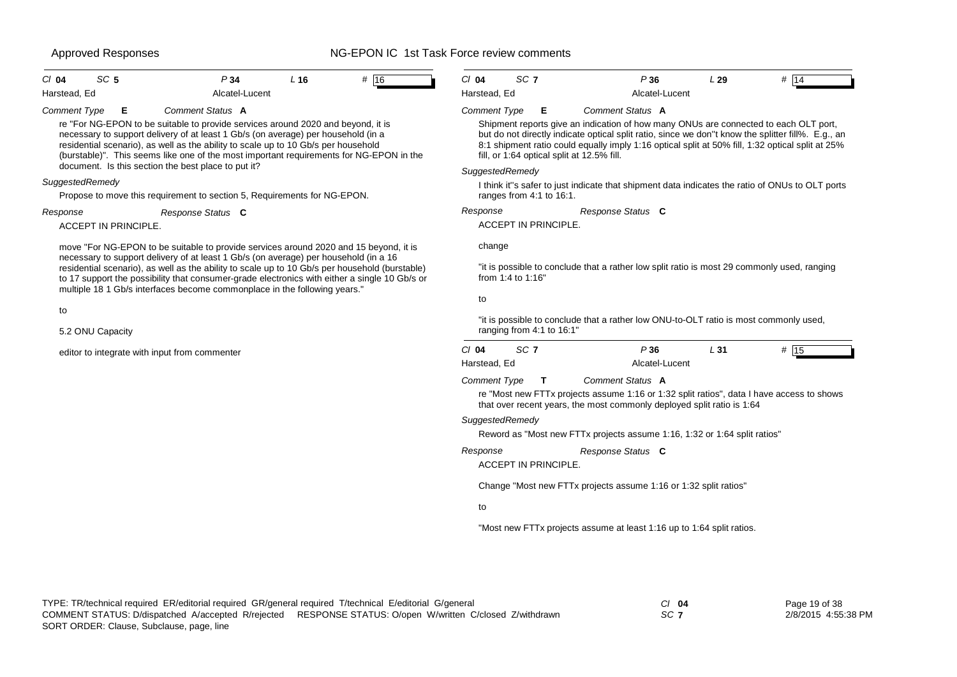| $Cl$ 04<br>SC <sub>5</sub>                                                                                                                                                                                           | P34                                                                                                                                                                                                                                                                                                                                                    | L <sub>16</sub> | # 16                                       | $Cl$ 04<br>SC <sub>7</sub>                                                                                                                                                                                                                                                                                                                   |                       | P36                                                                                         | L29    | # 14                                                                                            |  |  |
|----------------------------------------------------------------------------------------------------------------------------------------------------------------------------------------------------------------------|--------------------------------------------------------------------------------------------------------------------------------------------------------------------------------------------------------------------------------------------------------------------------------------------------------------------------------------------------------|-----------------|--------------------------------------------|----------------------------------------------------------------------------------------------------------------------------------------------------------------------------------------------------------------------------------------------------------------------------------------------------------------------------------------------|-----------------------|---------------------------------------------------------------------------------------------|--------|-------------------------------------------------------------------------------------------------|--|--|
| Harstead, Ed                                                                                                                                                                                                         | Alcatel-Lucent                                                                                                                                                                                                                                                                                                                                         |                 |                                            | Harstead, Ed                                                                                                                                                                                                                                                                                                                                 |                       | Alcatel-Lucent                                                                              |        |                                                                                                 |  |  |
| <b>Comment Type</b><br>Е                                                                                                                                                                                             | Comment Status A                                                                                                                                                                                                                                                                                                                                       |                 |                                            | Comment Type                                                                                                                                                                                                                                                                                                                                 | Е                     | Comment Status A                                                                            |        |                                                                                                 |  |  |
| document. Is this section the best place to put it?                                                                                                                                                                  | re "For NG-EPON to be suitable to provide services around 2020 and beyond, it is<br>necessary to support delivery of at least 1 Gb/s (on average) per household (in a<br>residential scenario), as well as the ability to scale up to 10 Gb/s per household<br>(burstable)". This seems like one of the most important requirements for NG-EPON in the |                 |                                            | Shipment reports give an indication of how many ONUs are connected to each OLT port,<br>but do not directly indicate optical split ratio, since we don"t know the splitter fill%. E.g., an<br>8:1 shipment ratio could equally imply 1:16 optical split at 50% fill, 1:32 optical split at 25%<br>fill, or 1:64 optical split at 12.5% fill. |                       |                                                                                             |        |                                                                                                 |  |  |
| SuggestedRemedy                                                                                                                                                                                                      |                                                                                                                                                                                                                                                                                                                                                        |                 |                                            | SuggestedRemedy                                                                                                                                                                                                                                                                                                                              |                       |                                                                                             |        |                                                                                                 |  |  |
|                                                                                                                                                                                                                      | Propose to move this requirement to section 5, Requirements for NG-EPON.                                                                                                                                                                                                                                                                               |                 |                                            | ranges from 4:1 to 16:1.                                                                                                                                                                                                                                                                                                                     |                       |                                                                                             |        | I think it"s safer to just indicate that shipment data indicates the ratio of ONUs to OLT ports |  |  |
| Response                                                                                                                                                                                                             | Response Status C                                                                                                                                                                                                                                                                                                                                      |                 |                                            | Response                                                                                                                                                                                                                                                                                                                                     |                       | Response Status C                                                                           |        |                                                                                                 |  |  |
| ACCEPT IN PRINCIPLE.                                                                                                                                                                                                 |                                                                                                                                                                                                                                                                                                                                                        |                 |                                            | <b>ACCEPT IN PRINCIPLE</b>                                                                                                                                                                                                                                                                                                                   |                       |                                                                                             |        |                                                                                                 |  |  |
|                                                                                                                                                                                                                      | move "For NG-EPON to be suitable to provide services around 2020 and 15 beyond, it is<br>necessary to support delivery of at least 1 Gb/s (on average) per household (in a 16                                                                                                                                                                          |                 |                                            | change                                                                                                                                                                                                                                                                                                                                       |                       |                                                                                             |        |                                                                                                 |  |  |
|                                                                                                                                                                                                                      | residential scenario), as well as the ability to scale up to 10 Gb/s per household (burstable)<br>to 17 support the possibility that consumer-grade electronics with either a single 10 Gb/s or<br>multiple 18 1 Gb/s interfaces become commonplace in the following years."                                                                           |                 |                                            | from 1:4 to 1:16"                                                                                                                                                                                                                                                                                                                            |                       | "it is possible to conclude that a rather low split ratio is most 29 commonly used, ranging |        |                                                                                                 |  |  |
| to                                                                                                                                                                                                                   |                                                                                                                                                                                                                                                                                                                                                        |                 |                                            | to                                                                                                                                                                                                                                                                                                                                           |                       |                                                                                             |        |                                                                                                 |  |  |
| 5.2 ONU Capacity                                                                                                                                                                                                     |                                                                                                                                                                                                                                                                                                                                                        |                 |                                            | ranging from 4:1 to 16:1"                                                                                                                                                                                                                                                                                                                    |                       | "it is possible to conclude that a rather low ONU-to-OLT ratio is most commonly used,       |        |                                                                                                 |  |  |
| editor to integrate with input from commenter                                                                                                                                                                        |                                                                                                                                                                                                                                                                                                                                                        |                 | $Cl$ 04<br>SC <sub>7</sub><br>Harstead, Ed |                                                                                                                                                                                                                                                                                                                                              | P36<br>Alcatel-Lucent | L31                                                                                         | # $15$ |                                                                                                 |  |  |
|                                                                                                                                                                                                                      |                                                                                                                                                                                                                                                                                                                                                        |                 |                                            | <b>Comment Type</b>                                                                                                                                                                                                                                                                                                                          | $\mathbf{T}$          | Comment Status A<br>that over recent years, the most commonly deployed split ratio is 1:64  |        | re "Most new FTTx projects assume 1:16 or 1:32 split ratios", data I have access to shows       |  |  |
|                                                                                                                                                                                                                      |                                                                                                                                                                                                                                                                                                                                                        |                 |                                            | SuggestedRemedy                                                                                                                                                                                                                                                                                                                              |                       |                                                                                             |        |                                                                                                 |  |  |
|                                                                                                                                                                                                                      |                                                                                                                                                                                                                                                                                                                                                        |                 |                                            |                                                                                                                                                                                                                                                                                                                                              |                       | Reword as "Most new FTTx projects assume 1:16, 1:32 or 1:64 split ratios"                   |        |                                                                                                 |  |  |
|                                                                                                                                                                                                                      |                                                                                                                                                                                                                                                                                                                                                        |                 |                                            | Response                                                                                                                                                                                                                                                                                                                                     |                       | Response Status C                                                                           |        |                                                                                                 |  |  |
|                                                                                                                                                                                                                      |                                                                                                                                                                                                                                                                                                                                                        |                 |                                            | <b>ACCEPT IN PRINCIPLE</b>                                                                                                                                                                                                                                                                                                                   |                       |                                                                                             |        |                                                                                                 |  |  |
|                                                                                                                                                                                                                      |                                                                                                                                                                                                                                                                                                                                                        |                 |                                            |                                                                                                                                                                                                                                                                                                                                              |                       | Change "Most new FTTx projects assume 1:16 or 1:32 split ratios"                            |        |                                                                                                 |  |  |
|                                                                                                                                                                                                                      |                                                                                                                                                                                                                                                                                                                                                        |                 |                                            | to                                                                                                                                                                                                                                                                                                                                           |                       |                                                                                             |        |                                                                                                 |  |  |
|                                                                                                                                                                                                                      |                                                                                                                                                                                                                                                                                                                                                        |                 |                                            |                                                                                                                                                                                                                                                                                                                                              |                       | "Most new FTTx projects assume at least 1:16 up to 1:64 split ratios.                       |        |                                                                                                 |  |  |
|                                                                                                                                                                                                                      |                                                                                                                                                                                                                                                                                                                                                        |                 |                                            |                                                                                                                                                                                                                                                                                                                                              |                       |                                                                                             |        |                                                                                                 |  |  |
|                                                                                                                                                                                                                      |                                                                                                                                                                                                                                                                                                                                                        |                 |                                            |                                                                                                                                                                                                                                                                                                                                              |                       |                                                                                             |        |                                                                                                 |  |  |
| TYPE: TR/technical required ER/editorial required GR/general required T/technical E/editorial G/general<br>COMMENT STATUS: D/dispatched A/accepted R/rejected RESPONSE STATUS: O/open W/written C/closed Z/withdrawn |                                                                                                                                                                                                                                                                                                                                                        |                 |                                            |                                                                                                                                                                                                                                                                                                                                              |                       | $CI$ 04<br>SC 7                                                                             |        | Page 19 of 38<br>2/8/2015 4:55:38 PM                                                            |  |  |

SORT ORDER: Clause, Subclause, page, line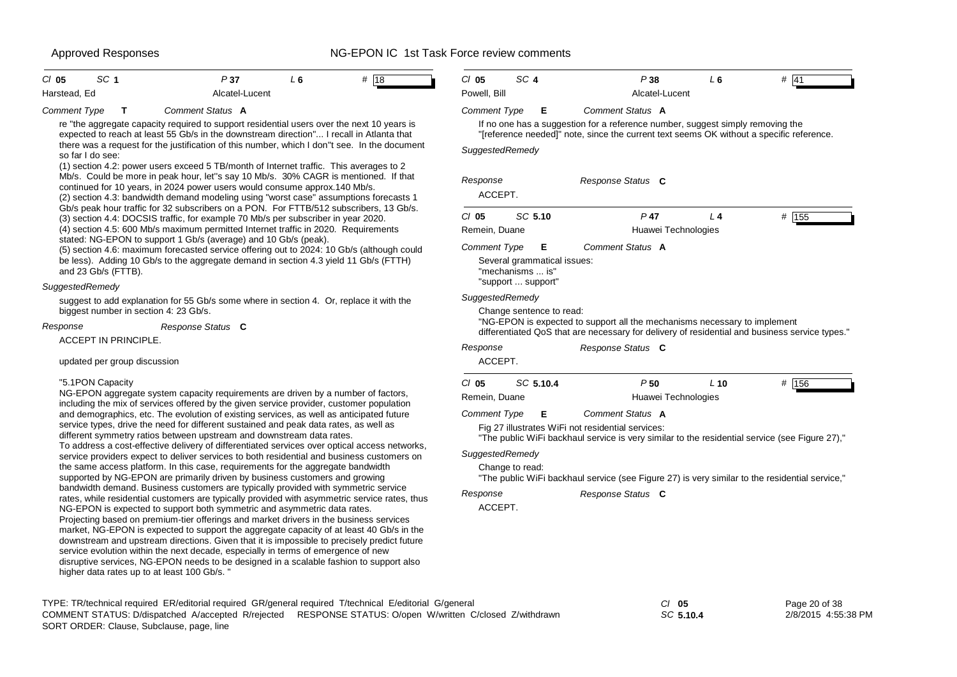| SC <sub>1</sub><br># 18<br>$Cl$ 05<br>P37<br>L6<br>Alcatel-Lucent<br>Harstead, Ed                                                                                                                                                                                                                                                                                                                                                                                                                                                                                                                                                                                                                                                                                                  | SC <sub>4</sub><br>$CI$ 05<br>Powell, Bill                                                                                                                                                   | P38<br>L6<br>Alcatel-Lucent                                                                                                                                                 | # 41          |  |  |  |
|------------------------------------------------------------------------------------------------------------------------------------------------------------------------------------------------------------------------------------------------------------------------------------------------------------------------------------------------------------------------------------------------------------------------------------------------------------------------------------------------------------------------------------------------------------------------------------------------------------------------------------------------------------------------------------------------------------------------------------------------------------------------------------|----------------------------------------------------------------------------------------------------------------------------------------------------------------------------------------------|-----------------------------------------------------------------------------------------------------------------------------------------------------------------------------|---------------|--|--|--|
| <b>Comment Type</b><br>Comment Status A<br>T                                                                                                                                                                                                                                                                                                                                                                                                                                                                                                                                                                                                                                                                                                                                       | <b>Comment Type</b><br>- E                                                                                                                                                                   | Comment Status A                                                                                                                                                            |               |  |  |  |
| re "the aggregate capacity required to support residential users over the next 10 years is<br>expected to reach at least 55 Gb/s in the downstream direction" I recall in Atlanta that<br>there was a request for the justification of this number, which I don"t see. In the document<br>so far I do see:<br>(1) section 4.2: power users exceed 5 TB/month of Internet traffic. This averages to 2                                                                                                                                                                                                                                                                                                                                                                               | SuggestedRemedy                                                                                                                                                                              | If no one has a suggestion for a reference number, suggest simply removing the<br>"[reference needed]" note, since the current text seems OK without a specific reference.  |               |  |  |  |
| Mb/s. Could be more in peak hour, let"s say 10 Mb/s. 30% CAGR is mentioned. If that<br>continued for 10 years, in 2024 power users would consume approx.140 Mb/s.<br>(2) section 4.3: bandwidth demand modeling using "worst case" assumptions forecasts 1                                                                                                                                                                                                                                                                                                                                                                                                                                                                                                                         | Response<br>Response Status C<br>ACCEPT.                                                                                                                                                     |                                                                                                                                                                             |               |  |  |  |
| Gb/s peak hour traffic for 32 subscribers on a PON. For FTTB/512 subscribers, 13 Gb/s.<br>(3) section 4.4: DOCSIS traffic, for example 70 Mb/s per subscriber in year 2020.<br>(4) section 4.5: 600 Mb/s maximum permitted Internet traffic in 2020. Requirements                                                                                                                                                                                                                                                                                                                                                                                                                                                                                                                  | SC 5.10<br>$CI$ 05<br>Remein, Duane                                                                                                                                                          | $P$ 47<br>L <sub>4</sub><br>Huawei Technologies                                                                                                                             | # $155$       |  |  |  |
| stated: NG-EPON to support 1 Gb/s (average) and 10 Gb/s (peak).<br>(5) section 4.6: maximum forecasted service offering out to 2024: 10 Gb/s (although could<br>be less). Adding 10 Gb/s to the aggregate demand in section 4.3 yield 11 Gb/s (FTTH)<br>and 23 Gb/s (FTTB).                                                                                                                                                                                                                                                                                                                                                                                                                                                                                                        | Comment Type<br>E<br>Several grammatical issues:<br>"mechanisms  is"                                                                                                                         | Comment Status A                                                                                                                                                            |               |  |  |  |
| SuggestedRemedy                                                                                                                                                                                                                                                                                                                                                                                                                                                                                                                                                                                                                                                                                                                                                                    | "support  support"                                                                                                                                                                           |                                                                                                                                                                             |               |  |  |  |
| suggest to add explanation for 55 Gb/s some where in section 4. Or, replace it with the<br>biggest number in section 4: 23 Gb/s.                                                                                                                                                                                                                                                                                                                                                                                                                                                                                                                                                                                                                                                   | SuggestedRemedy<br>Change sentence to read:                                                                                                                                                  |                                                                                                                                                                             |               |  |  |  |
| Response<br>Response Status C                                                                                                                                                                                                                                                                                                                                                                                                                                                                                                                                                                                                                                                                                                                                                      |                                                                                                                                                                                              | "NG-EPON is expected to support all the mechanisms necessary to implement<br>differentiated QoS that are necessary for delivery of residential and business service types." |               |  |  |  |
| <b>ACCEPT IN PRINCIPLE.</b><br>updated per group discussion                                                                                                                                                                                                                                                                                                                                                                                                                                                                                                                                                                                                                                                                                                                        | Response<br>ACCEPT.                                                                                                                                                                          | Response Status C                                                                                                                                                           |               |  |  |  |
| "5.1PON Capacity<br>NG-EPON aggregate system capacity requirements are driven by a number of factors,<br>including the mix of services offered by the given service provider, customer population                                                                                                                                                                                                                                                                                                                                                                                                                                                                                                                                                                                  | $Cl$ 05<br>SC 5.10.4<br>Remein, Duane                                                                                                                                                        | P50<br>$L$ 10<br>Huawei Technologies                                                                                                                                        | # 156         |  |  |  |
| and demographics, etc. The evolution of existing services, as well as anticipated future<br>service types, drive the need for different sustained and peak data rates, as well as<br>different symmetry ratios between upstream and downstream data rates.                                                                                                                                                                                                                                                                                                                                                                                                                                                                                                                         | Comment Status A<br>Comment Type<br>Е<br>Fig 27 illustrates WiFi not residential services:<br>"The public WiFi backhaul service is very similar to the residential service (see Figure 27)," |                                                                                                                                                                             |               |  |  |  |
| To address a cost-effective delivery of differentiated services over optical access networks,<br>service providers expect to deliver services to both residential and business customers on<br>the same access platform. In this case, requirements for the aggregate bandwidth<br>supported by NG-EPON are primarily driven by business customers and growing                                                                                                                                                                                                                                                                                                                                                                                                                     | SuggestedRemedy<br>Change to read:                                                                                                                                                           | "The public WiFi backhaul service (see Figure 27) is very similar to the residential service,"                                                                              |               |  |  |  |
| bandwidth demand. Business customers are typically provided with symmetric service<br>rates, while residential customers are typically provided with asymmetric service rates, thus<br>NG-EPON is expected to support both symmetric and asymmetric data rates.<br>Projecting based on premium-tier offerings and market drivers in the business services<br>market, NG-EPON is expected to support the aggregate capacity of at least 40 Gb/s in the<br>downstream and upstream directions. Given that it is impossible to precisely predict future<br>service evolution within the next decade, especially in terms of emergence of new<br>disruptive services, NG-EPON needs to be designed in a scalable fashion to support also<br>higher data rates up to at least 100 Gb/s. | Response<br>ACCEPT.                                                                                                                                                                          | Response Status C                                                                                                                                                           |               |  |  |  |
| TYPE: TR/technical required ER/editorial required GR/general required T/technical E/editorial G/general                                                                                                                                                                                                                                                                                                                                                                                                                                                                                                                                                                                                                                                                            |                                                                                                                                                                                              | $CI$ 05                                                                                                                                                                     | Page 20 of 38 |  |  |  |

SORT ORDER: Clause, Subclause, page, line COMMENT STATUS: D/dispatched A/accepted R/rejected RESPONSE STATUS: O/open W/written C/closed Z/withdrawn *SC* **5.10.4** 2/8/2015 4:55:38 PM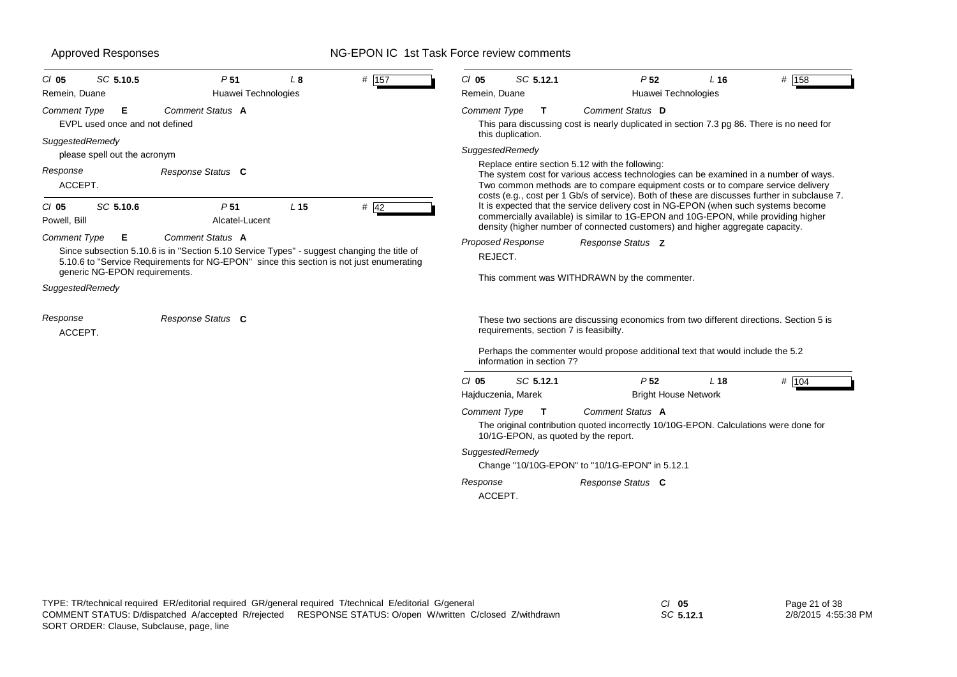| Remein, Duane                                       | P <sub>51</sub><br>Huawei Technologies                                                                                                                                                                    | L <sub>8</sub>  | # 157  | SC 5.12.1<br>$CI$ 05<br>Remein, Duane                                                                                                                                                                                                            |                                                                               | P <sub>52</sub><br>Huawei Technologies         | L <sub>16</sub> | # $158$                                                                                                                                                                                                                                                                   |  |  |
|-----------------------------------------------------|-----------------------------------------------------------------------------------------------------------------------------------------------------------------------------------------------------------|-----------------|--------|--------------------------------------------------------------------------------------------------------------------------------------------------------------------------------------------------------------------------------------------------|-------------------------------------------------------------------------------|------------------------------------------------|-----------------|---------------------------------------------------------------------------------------------------------------------------------------------------------------------------------------------------------------------------------------------------------------------------|--|--|
| Comment Type<br>Е<br>EVPL used once and not defined | Comment Status A                                                                                                                                                                                          |                 |        | <b>Comment Type</b><br>T                                                                                                                                                                                                                         |                                                                               | Comment Status D                               |                 | This para discussing cost is nearly duplicated in section 7.3 pg 86. There is no need for                                                                                                                                                                                 |  |  |
| SuggestedRemedy<br>please spell out the acronym     |                                                                                                                                                                                                           |                 |        | this duplication.<br>SuggestedRemedy                                                                                                                                                                                                             |                                                                               |                                                |                 |                                                                                                                                                                                                                                                                           |  |  |
| Response<br>ACCEPT.                                 | Response Status C                                                                                                                                                                                         |                 |        |                                                                                                                                                                                                                                                  | Replace entire section 5.12 with the following:                               |                                                |                 | The system cost for various access technologies can be examined in a number of ways.<br>Two common methods are to compare equipment costs or to compare service delivery<br>costs (e.g., cost per 1 Gb/s of service). Both of these are discusses further in subclause 7. |  |  |
| SC 5.10.6<br>CI 05<br>Powell, Bill                  | P <sub>51</sub><br>Alcatel-Lucent                                                                                                                                                                         | L <sub>15</sub> | $#$ 42 |                                                                                                                                                                                                                                                  | density (higher number of connected customers) and higher aggregate capacity. |                                                |                 | It is expected that the service delivery cost in NG-EPON (when such systems become<br>commercially available) is similar to 1G-EPON and 10G-EPON, while providing higher                                                                                                  |  |  |
| Comment Type<br>Е<br>generic NG-EPON requirements.  | Comment Status A<br>Since subsection 5.10.6 is in "Section 5.10 Service Types" - suggest changing the title of<br>5.10.6 to "Service Requirements for NG-EPON" since this section is not just enumerating |                 |        | <b>Proposed Response</b><br>REJECT.                                                                                                                                                                                                              | This comment was WITHDRAWN by the commenter.                                  | Response Status Z                              |                 |                                                                                                                                                                                                                                                                           |  |  |
| SuggestedRemedy                                     | Response Status C                                                                                                                                                                                         |                 |        |                                                                                                                                                                                                                                                  |                                                                               |                                                |                 |                                                                                                                                                                                                                                                                           |  |  |
| Response<br>ACCEPT.                                 |                                                                                                                                                                                                           |                 |        | These two sections are discussing economics from two different directions. Section 5 is<br>requirements, section 7 is feasibilty.<br>Perhaps the commenter would propose additional text that would include the 5.2<br>information in section 7? |                                                                               |                                                |                 |                                                                                                                                                                                                                                                                           |  |  |
|                                                     |                                                                                                                                                                                                           |                 |        | $CI$ 05<br>SC 5.12.1<br>Hajduczenia, Marek                                                                                                                                                                                                       |                                                                               | P <sub>52</sub><br><b>Bright House Network</b> | L <sub>18</sub> | # 104                                                                                                                                                                                                                                                                     |  |  |
|                                                     |                                                                                                                                                                                                           |                 |        | Comment Status A<br>Comment Type<br>T<br>The original contribution quoted incorrectly 10/10G-EPON. Calculations were done for<br>10/1G-EPON, as quoted by the report.                                                                            |                                                                               |                                                |                 |                                                                                                                                                                                                                                                                           |  |  |
|                                                     |                                                                                                                                                                                                           |                 |        | SuggestedRemedy<br>Change "10/10G-EPON" to "10/1G-EPON" in 5.12.1                                                                                                                                                                                |                                                                               |                                                |                 |                                                                                                                                                                                                                                                                           |  |  |
|                                                     |                                                                                                                                                                                                           |                 |        |                                                                                                                                                                                                                                                  |                                                                               |                                                |                 |                                                                                                                                                                                                                                                                           |  |  |

*SC* **5.12.1**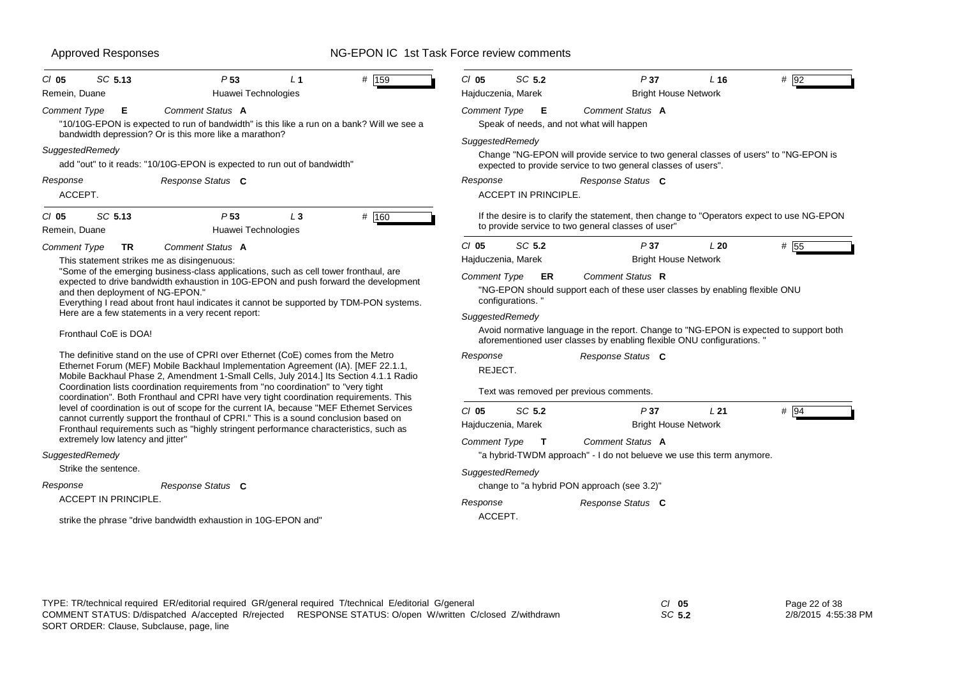| $CI$ 05                                                                                                                                                                                                                                                                                                                                                          | SC 5.13                           | P <sub>53</sub>                                                                                                                                                                                                                                               | L <sub>1</sub> | # 159 | $CI$ 05                                 | SC 5.2           |                             | P37                                                                                                                                                              | L16 | # 92 |
|------------------------------------------------------------------------------------------------------------------------------------------------------------------------------------------------------------------------------------------------------------------------------------------------------------------------------------------------------------------|-----------------------------------|---------------------------------------------------------------------------------------------------------------------------------------------------------------------------------------------------------------------------------------------------------------|----------------|-------|-----------------------------------------|------------------|-----------------------------|------------------------------------------------------------------------------------------------------------------------------------------------------------------|-----|------|
| Remein, Duane                                                                                                                                                                                                                                                                                                                                                    |                                   | Huawei Technologies                                                                                                                                                                                                                                           |                |       | Hajduczenia, Marek                      |                  |                             | <b>Bright House Network</b>                                                                                                                                      |     |      |
| <b>Comment Type</b>                                                                                                                                                                                                                                                                                                                                              | Е                                 | <b>Comment Status A</b><br>"10/10G-EPON is expected to run of bandwidth" is this like a run on a bank? Will we see a                                                                                                                                          |                |       | <b>Comment Type</b>                     |                  | E                           | Comment Status A<br>Speak of needs, and not what will happen                                                                                                     |     |      |
| SuggestedRemedy                                                                                                                                                                                                                                                                                                                                                  |                                   | bandwidth depression? Or is this more like a marathon?<br>add "out" to it reads: "10/10G-EPON is expected to run out of bandwidth"                                                                                                                            |                |       | SuggestedRemedy                         |                  |                             | Change "NG-EPON will provide service to two general classes of users" to "NG-EPON is<br>expected to provide service to two general classes of users".            |     |      |
| Response<br>ACCEPT.                                                                                                                                                                                                                                                                                                                                              |                                   | Response Status C                                                                                                                                                                                                                                             |                |       | Response                                |                  | <b>ACCEPT IN PRINCIPLE.</b> | Response Status C                                                                                                                                                |     |      |
| $Cl$ 05<br>Remein, Duane                                                                                                                                                                                                                                                                                                                                         | SC 5.13                           | P <sub>53</sub><br>Huawei Technologies                                                                                                                                                                                                                        | $L_3$          | # 160 |                                         |                  |                             | If the desire is to clarify the statement, then change to "Operators expect to use NG-EPON<br>to provide service to two general classes of user"                 |     |      |
| <b>Comment Type</b>                                                                                                                                                                                                                                                                                                                                              | <b>TR</b>                         | <b>Comment Status A</b>                                                                                                                                                                                                                                       |                |       | $CI$ 05                                 | SC 5.2           |                             | P37                                                                                                                                                              | L20 | # 55 |
|                                                                                                                                                                                                                                                                                                                                                                  |                                   | This statement strikes me as disingenuous:                                                                                                                                                                                                                    |                |       | Hajduczenia, Marek                      |                  |                             | <b>Bright House Network</b>                                                                                                                                      |     |      |
| "Some of the emerging business-class applications, such as cell tower fronthaul, are<br>expected to drive bandwidth exhaustion in 10G-EPON and push forward the development<br>and then deployment of NG-EPON."<br>Everything I read about front haul indicates it cannot be supported by TDM-PON systems.<br>Here are a few statements in a very recent report: |                                   |                                                                                                                                                                                                                                                               |                |       | Comment Type<br>SuggestedRemedy         | configurations." | ER                          | Comment Status R<br>"NG-EPON should support each of these user classes by enabling flexible ONU                                                                  |     |      |
|                                                                                                                                                                                                                                                                                                                                                                  | Fronthaul CoE is DOA!             |                                                                                                                                                                                                                                                               |                |       |                                         |                  |                             | Avoid normative language in the report. Change to "NG-EPON is expected to support both<br>aforementioned user classes by enabling flexible ONU configurations. " |     |      |
|                                                                                                                                                                                                                                                                                                                                                                  |                                   | The definitive stand on the use of CPRI over Ethernet (CoE) comes from the Metro<br>Ethernet Forum (MEF) Mobile Backhaul Implementation Agreement (IA). [MEF 22.1.1,<br>Mobile Backhaul Phase 2, Amendment 1-Small Cells, July 2014.] Its Section 4.1.1 Radio |                |       | Response<br>REJECT.                     |                  |                             | Response Status C                                                                                                                                                |     |      |
|                                                                                                                                                                                                                                                                                                                                                                  |                                   | Coordination lists coordination requirements from "no coordination" to "very tight<br>coordination". Both Fronthaul and CPRI have very tight coordination requirements. This                                                                                  |                |       | Text was removed per previous comments. |                  |                             |                                                                                                                                                                  |     |      |
|                                                                                                                                                                                                                                                                                                                                                                  |                                   | level of coordination is out of scope for the current IA, because "MEF Ethernet Services                                                                                                                                                                      |                |       | $CI$ 05                                 | SC 5.2           |                             | P37                                                                                                                                                              | L21 | # 94 |
|                                                                                                                                                                                                                                                                                                                                                                  |                                   | cannot currently support the fronthaul of CPRI." This is a sound conclusion based on<br>Fronthaul requirements such as "highly stringent performance characteristics, such as                                                                                 |                |       | Hajduczenia, Marek                      |                  |                             | <b>Bright House Network</b>                                                                                                                                      |     |      |
|                                                                                                                                                                                                                                                                                                                                                                  | extremely low latency and jitter" |                                                                                                                                                                                                                                                               |                |       | Comment Type $T$                        |                  |                             | Comment Status A                                                                                                                                                 |     |      |
| SuggestedRemedy                                                                                                                                                                                                                                                                                                                                                  |                                   |                                                                                                                                                                                                                                                               |                |       |                                         |                  |                             | "a hybrid-TWDM approach" - I do not belueve we use this term anymore.                                                                                            |     |      |
| Strike the sentence.                                                                                                                                                                                                                                                                                                                                             |                                   |                                                                                                                                                                                                                                                               |                |       | SuggestedRemedy                         |                  |                             |                                                                                                                                                                  |     |      |
| Response                                                                                                                                                                                                                                                                                                                                                         |                                   | Response Status C                                                                                                                                                                                                                                             |                |       |                                         |                  |                             | change to "a hybrid PON approach (see 3.2)"                                                                                                                      |     |      |
|                                                                                                                                                                                                                                                                                                                                                                  | <b>ACCEPT IN PRINCIPLE.</b>       |                                                                                                                                                                                                                                                               |                |       | Response                                |                  |                             | Response Status C                                                                                                                                                |     |      |
|                                                                                                                                                                                                                                                                                                                                                                  |                                   | strike the phrase "drive bandwidth exhaustion in 10G-EPON and"                                                                                                                                                                                                |                |       | ACCEPT.                                 |                  |                             |                                                                                                                                                                  |     |      |

| TYPE: TR/technical required ER/editorial required GR/general required T/technical E/editorial G/general |                                                                                                           | $CI$ 05 | Page 22 of 38       |
|---------------------------------------------------------------------------------------------------------|-----------------------------------------------------------------------------------------------------------|---------|---------------------|
|                                                                                                         | COMMENT STATUS: D/dispatched A/accepted R/rejected RESPONSE STATUS: O/open W/written C/closed Z/withdrawn | SC 5.2  | 2/8/2015 4:55:38 PM |
| SORT ORDER: Clause, Subclause, page, line                                                               |                                                                                                           |         |                     |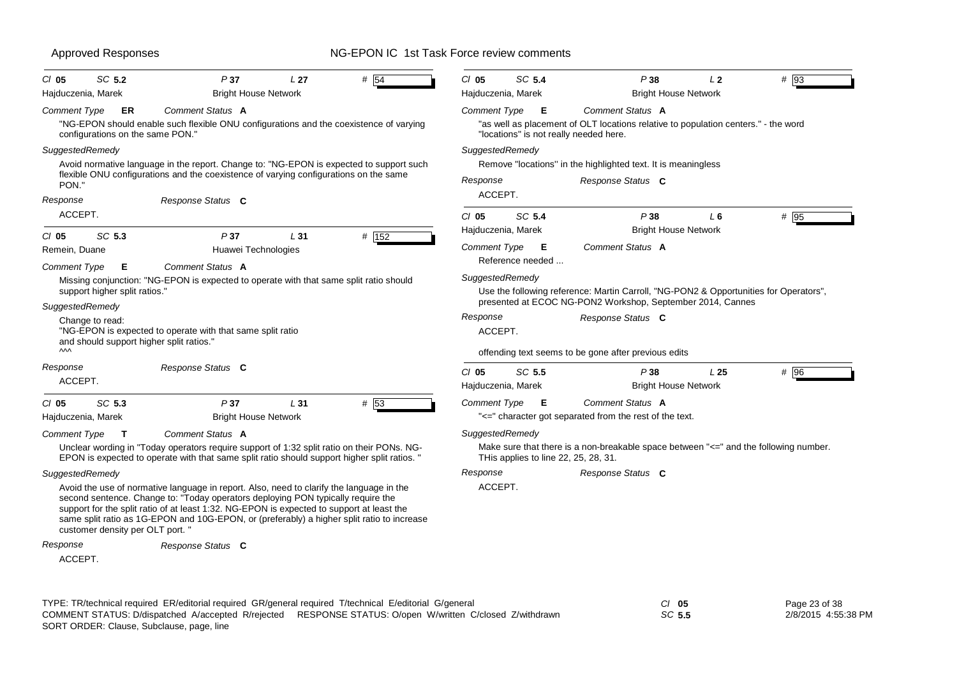| $CI$ 05                       | SC 5.2                                   | P37                                                                                                                                                                                                                                                                                                                                                                     | L <sub>27</sub> | # 54  | $CI$ 05             | SC 5.4                               | P38                                                                                                                                              | 12              | # 93    |
|-------------------------------|------------------------------------------|-------------------------------------------------------------------------------------------------------------------------------------------------------------------------------------------------------------------------------------------------------------------------------------------------------------------------------------------------------------------------|-----------------|-------|---------------------|--------------------------------------|--------------------------------------------------------------------------------------------------------------------------------------------------|-----------------|---------|
| Hajduczenia, Marek            |                                          | <b>Bright House Network</b>                                                                                                                                                                                                                                                                                                                                             |                 |       |                     | Hajduczenia, Marek                   | <b>Bright House Network</b>                                                                                                                      |                 |         |
| <b>Comment Type</b>           | ER<br>configurations on the same PON."   | Comment Status A<br>"NG-EPON should enable such flexible ONU configurations and the coexistence of varying                                                                                                                                                                                                                                                              |                 |       | <b>Comment Type</b> | E                                    | Comment Status A<br>"as well as placement of OLT locations relative to population centers." - the word<br>"locations" is not really needed here. |                 |         |
| SuggestedRemedy               |                                          |                                                                                                                                                                                                                                                                                                                                                                         |                 |       | SuggestedRemedy     |                                      |                                                                                                                                                  |                 |         |
| PON."                         |                                          | Avoid normative language in the report. Change to: "NG-EPON is expected to support such<br>flexible ONU configurations and the coexistence of varying configurations on the same                                                                                                                                                                                        |                 |       | Response            |                                      | Remove "locations" in the highlighted text. It is meaningless<br>Response Status C                                                               |                 |         |
| Response                      |                                          | Response Status C                                                                                                                                                                                                                                                                                                                                                       |                 |       | ACCEPT.             |                                      |                                                                                                                                                  |                 |         |
| ACCEPT.                       |                                          |                                                                                                                                                                                                                                                                                                                                                                         |                 |       | $CI$ 05             | SC 5.4                               | P38                                                                                                                                              | $L_6$           | # 95    |
| $CI$ 05                       | SC 5.3                                   | P37                                                                                                                                                                                                                                                                                                                                                                     | L <sub>31</sub> | # 152 |                     | Hajduczenia, Marek                   | <b>Bright House Network</b>                                                                                                                      |                 |         |
| Remein, Duane                 |                                          | Huawei Technologies                                                                                                                                                                                                                                                                                                                                                     |                 |       | Comment Type        | E<br>Reference needed                | Comment Status A                                                                                                                                 |                 |         |
| <b>Comment Type</b>           | Е                                        | Comment Status A                                                                                                                                                                                                                                                                                                                                                        |                 |       |                     |                                      |                                                                                                                                                  |                 |         |
|                               | support higher split ratios."            | Missing conjunction: "NG-EPON is expected to operate with that same split ratio should                                                                                                                                                                                                                                                                                  |                 |       | SuggestedRemedy     |                                      | Use the following reference: Martin Carroll, "NG-PON2 & Opportunities for Operators",                                                            |                 |         |
| SuggestedRemedy               |                                          |                                                                                                                                                                                                                                                                                                                                                                         |                 |       |                     |                                      | presented at ECOC NG-PON2 Workshop, September 2014, Cannes                                                                                       |                 |         |
| Change to read:               | and should support higher split ratios." | "NG-EPON is expected to operate with that same split ratio                                                                                                                                                                                                                                                                                                              |                 |       | Response<br>ACCEPT. |                                      | Response Status C                                                                                                                                |                 |         |
| $\sim$                        |                                          |                                                                                                                                                                                                                                                                                                                                                                         |                 |       |                     |                                      | offending text seems to be gone after previous edits                                                                                             |                 |         |
| Response<br>ACCEPT.           |                                          | Response Status C                                                                                                                                                                                                                                                                                                                                                       |                 |       | $CI$ 05             | SC 5.5<br>Hajduczenia, Marek         | P38<br><b>Bright House Network</b>                                                                                                               | L <sub>25</sub> | $\#$ 96 |
| $CI$ 05<br>Hajduczenia, Marek | SC 5.3                                   | P37<br><b>Bright House Network</b>                                                                                                                                                                                                                                                                                                                                      | L31             | # 53  | <b>Comment Type</b> | <b>E</b>                             | Comment Status A<br>"<=" character got separated from the rest of the text.                                                                      |                 |         |
| Comment Type                  | $\mathsf{T}$                             | <b>Comment Status A</b>                                                                                                                                                                                                                                                                                                                                                 |                 |       | SuggestedRemedy     |                                      |                                                                                                                                                  |                 |         |
|                               |                                          | Unclear wording in "Today operators require support of 1:32 split ratio on their PONs. NG-<br>EPON is expected to operate with that same split ratio should support higher split ratios. "                                                                                                                                                                              |                 |       |                     | THis applies to line 22, 25, 28, 31. | Make sure that there is a non-breakable space between "<=" and the following number.                                                             |                 |         |
| SuggestedRemedy               |                                          |                                                                                                                                                                                                                                                                                                                                                                         |                 |       | Response            |                                      | Response Status C                                                                                                                                |                 |         |
|                               | customer density per OLT port. "         | Avoid the use of normative language in report. Also, need to clarify the language in the<br>second sentence. Change to: "Today operators deploying PON typically require the<br>support for the split ratio of at least 1:32. NG-EPON is expected to support at least the<br>same split ratio as 1G-EPON and 10G-EPON, or (preferably) a higher split ratio to increase |                 |       | ACCEPT.             |                                      |                                                                                                                                                  |                 |         |
| Response<br>ACCEPT.           |                                          | Response Status C                                                                                                                                                                                                                                                                                                                                                       |                 |       |                     |                                      |                                                                                                                                                  |                 |         |

| $Cl$ 0.5 | Page 23 of 38       |
|----------|---------------------|
| SC 5.5   | 2/8/2015 4:55:38 PM |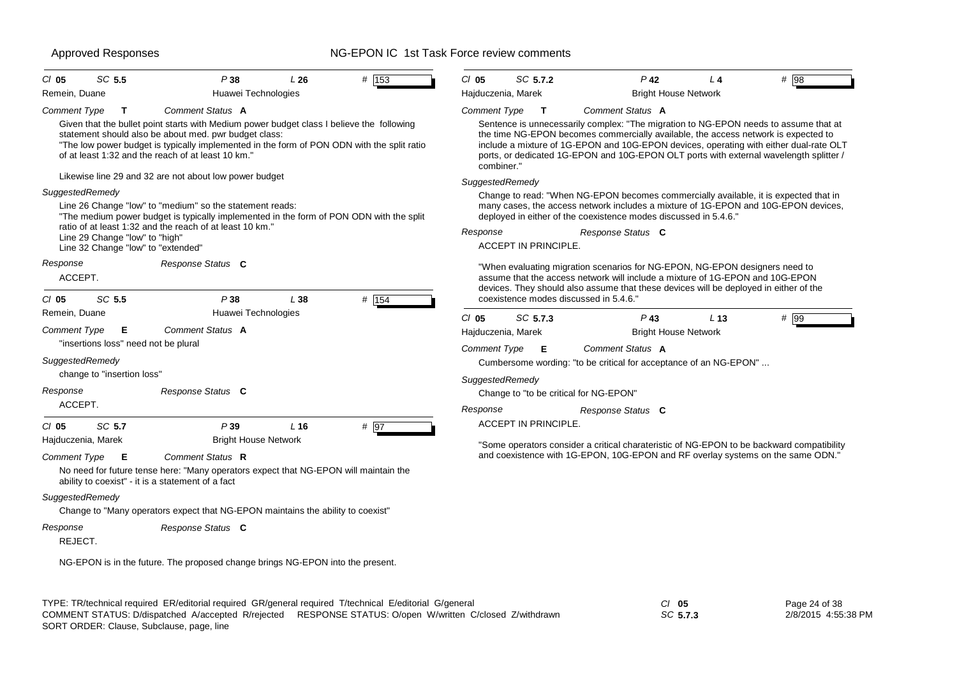| SC 5.5<br>$CI$ 05                                                | P38                                                                                                                                                                                                                                                                                                    | L26             | $#$ 153 | $CI$ 05                                                                                                                                                                                                                                                                                                                                                                      | SC 5.7.2                    |                                                                                                                                                              | $P$ 42                                | L <sub>4</sub>  | # $\overline{98}$                                                                         |
|------------------------------------------------------------------|--------------------------------------------------------------------------------------------------------------------------------------------------------------------------------------------------------------------------------------------------------------------------------------------------------|-----------------|---------|------------------------------------------------------------------------------------------------------------------------------------------------------------------------------------------------------------------------------------------------------------------------------------------------------------------------------------------------------------------------------|-----------------------------|--------------------------------------------------------------------------------------------------------------------------------------------------------------|---------------------------------------|-----------------|-------------------------------------------------------------------------------------------|
| Remein, Duane                                                    | Huawei Technologies                                                                                                                                                                                                                                                                                    |                 |         | Hajduczenia, Marek                                                                                                                                                                                                                                                                                                                                                           |                             |                                                                                                                                                              | <b>Bright House Network</b>           |                 |                                                                                           |
| <b>Comment Type</b><br>$\mathbf{T}$                              | Comment Status A                                                                                                                                                                                                                                                                                       |                 |         | <b>Comment Type</b>                                                                                                                                                                                                                                                                                                                                                          | $\mathbf{T}$                | Comment Status A                                                                                                                                             |                                       |                 |                                                                                           |
|                                                                  | Given that the bullet point starts with Medium power budget class I believe the following<br>statement should also be about med. pwr budget class:<br>"The low power budget is typically implemented in the form of PON ODN with the split ratio<br>of at least 1:32 and the reach of at least 10 km." |                 |         | Sentence is unnecessarily complex: "The migration to NG-EPON needs to assume that at<br>the time NG-EPON becomes commercially available, the access network is expected to<br>include a mixture of 1G-EPON and 10G-EPON devices, operating with either dual-rate OLT<br>ports, or dedicated 1G-EPON and 10G-EPON OLT ports with external wavelength splitter /<br>combiner." |                             |                                                                                                                                                              |                                       |                 |                                                                                           |
|                                                                  | Likewise line 29 and 32 are not about low power budget                                                                                                                                                                                                                                                 |                 |         | SuggestedRemedy                                                                                                                                                                                                                                                                                                                                                              |                             |                                                                                                                                                              |                                       |                 |                                                                                           |
| SuggestedRemedy                                                  |                                                                                                                                                                                                                                                                                                        |                 |         |                                                                                                                                                                                                                                                                                                                                                                              |                             |                                                                                                                                                              |                                       |                 | Change to read: "When NG-EPON becomes commercially available, it is expected that in      |
|                                                                  | Line 26 Change "low" to "medium" so the statement reads:<br>"The medium power budget is typically implemented in the form of PON ODN with the split                                                                                                                                                    |                 |         |                                                                                                                                                                                                                                                                                                                                                                              |                             | deployed in either of the coexistence modes discussed in 5.4.6."                                                                                             |                                       |                 | many cases, the access network includes a mixture of 1G-EPON and 10G-EPON devices,        |
| Line 29 Change "low" to "high"                                   | ratio of at least 1:32 and the reach of at least 10 km."                                                                                                                                                                                                                                               |                 |         | Response                                                                                                                                                                                                                                                                                                                                                                     |                             | Response Status C                                                                                                                                            |                                       |                 |                                                                                           |
| Line 32 Change "low" to "extended"                               |                                                                                                                                                                                                                                                                                                        |                 |         |                                                                                                                                                                                                                                                                                                                                                                              | ACCEPT IN PRINCIPLE.        |                                                                                                                                                              |                                       |                 |                                                                                           |
| Response<br>ACCEPT.                                              | Response Status C                                                                                                                                                                                                                                                                                      |                 |         |                                                                                                                                                                                                                                                                                                                                                                              |                             | "When evaluating migration scenarios for NG-EPON, NG-EPON designers need to<br>assume that the access network will include a mixture of 1G-EPON and 10G-EPON |                                       |                 | devices. They should also assume that these devices will be deployed in either of the     |
| SC 5.5<br>$CI$ 05                                                | P38                                                                                                                                                                                                                                                                                                    | L 38            | # 154   |                                                                                                                                                                                                                                                                                                                                                                              |                             | coexistence modes discussed in 5.4.6."                                                                                                                       |                                       |                 |                                                                                           |
| Remein, Duane                                                    | Huawei Technologies                                                                                                                                                                                                                                                                                    |                 |         |                                                                                                                                                                                                                                                                                                                                                                              | SC 5.7.3                    |                                                                                                                                                              |                                       |                 |                                                                                           |
| <b>Comment Type</b><br>Е<br>"insertions loss" need not be plural | Comment Status A                                                                                                                                                                                                                                                                                       |                 |         | $CI$ 05<br>Hajduczenia, Marek                                                                                                                                                                                                                                                                                                                                                |                             |                                                                                                                                                              | $P$ 43<br><b>Bright House Network</b> | L <sub>13</sub> | # 99                                                                                      |
| SuggestedRemedy                                                  |                                                                                                                                                                                                                                                                                                        |                 |         | Comment Type                                                                                                                                                                                                                                                                                                                                                                 | Е                           | Comment Status A<br>Cumbersome wording: "to be critical for acceptance of an NG-EPON"                                                                        |                                       |                 |                                                                                           |
| change to "insertion loss"                                       |                                                                                                                                                                                                                                                                                                        |                 |         | SuggestedRemedy                                                                                                                                                                                                                                                                                                                                                              |                             |                                                                                                                                                              |                                       |                 |                                                                                           |
| Response                                                         | Response Status C                                                                                                                                                                                                                                                                                      |                 |         |                                                                                                                                                                                                                                                                                                                                                                              |                             | Change to "to be critical for NG-EPON"                                                                                                                       |                                       |                 |                                                                                           |
| ACCEPT.                                                          |                                                                                                                                                                                                                                                                                                        |                 |         | Response                                                                                                                                                                                                                                                                                                                                                                     |                             | Response Status C                                                                                                                                            |                                       |                 |                                                                                           |
| SC 5.7<br>$CI$ 05                                                | P39                                                                                                                                                                                                                                                                                                    | L <sub>16</sub> | $#$ 97  |                                                                                                                                                                                                                                                                                                                                                                              | <b>ACCEPT IN PRINCIPLE.</b> |                                                                                                                                                              |                                       |                 |                                                                                           |
| Hajduczenia, Marek                                               | <b>Bright House Network</b>                                                                                                                                                                                                                                                                            |                 |         |                                                                                                                                                                                                                                                                                                                                                                              |                             |                                                                                                                                                              |                                       |                 | "Some operators consider a critical charateristic of NG-EPON to be backward compatibility |
| <b>Comment Type</b><br>E                                         | Comment Status R<br>No need for future tense here: "Many operators expect that NG-EPON will maintain the<br>ability to coexist" - it is a statement of a fact                                                                                                                                          |                 |         |                                                                                                                                                                                                                                                                                                                                                                              |                             |                                                                                                                                                              |                                       |                 | and coexistence with 1G-EPON, 10G-EPON and RF overlay systems on the same ODN."           |
| SuggestedRemedy                                                  |                                                                                                                                                                                                                                                                                                        |                 |         |                                                                                                                                                                                                                                                                                                                                                                              |                             |                                                                                                                                                              |                                       |                 |                                                                                           |
|                                                                  | Change to "Many operators expect that NG-EPON maintains the ability to coexist"                                                                                                                                                                                                                        |                 |         |                                                                                                                                                                                                                                                                                                                                                                              |                             |                                                                                                                                                              |                                       |                 |                                                                                           |
| Response<br>REJECT.                                              | Response Status C                                                                                                                                                                                                                                                                                      |                 |         |                                                                                                                                                                                                                                                                                                                                                                              |                             |                                                                                                                                                              |                                       |                 |                                                                                           |
|                                                                  |                                                                                                                                                                                                                                                                                                        |                 |         |                                                                                                                                                                                                                                                                                                                                                                              |                             |                                                                                                                                                              |                                       |                 |                                                                                           |
|                                                                  | NG-EPON is in the future. The proposed change brings NG-EPON into the present.                                                                                                                                                                                                                         |                 |         |                                                                                                                                                                                                                                                                                                                                                                              |                             |                                                                                                                                                              |                                       |                 |                                                                                           |
|                                                                  |                                                                                                                                                                                                                                                                                                        |                 |         |                                                                                                                                                                                                                                                                                                                                                                              |                             |                                                                                                                                                              |                                       |                 |                                                                                           |
|                                                                  |                                                                                                                                                                                                                                                                                                        |                 |         |                                                                                                                                                                                                                                                                                                                                                                              |                             |                                                                                                                                                              |                                       |                 |                                                                                           |

TYPE: TR/technical required ER/editorial required GR/general required T/technical E/editorial G/general *Cl* **05** SORT ORDER: Clause, Subclause, page, line COMMENT STATUS: D/dispatched A/accepted R/rejected RESPONSE STATUS: O/open W/written C/closed Z/withdrawn

*SC* **5.7.3** Page 24 of 38 2/8/2015 4:55:38 PM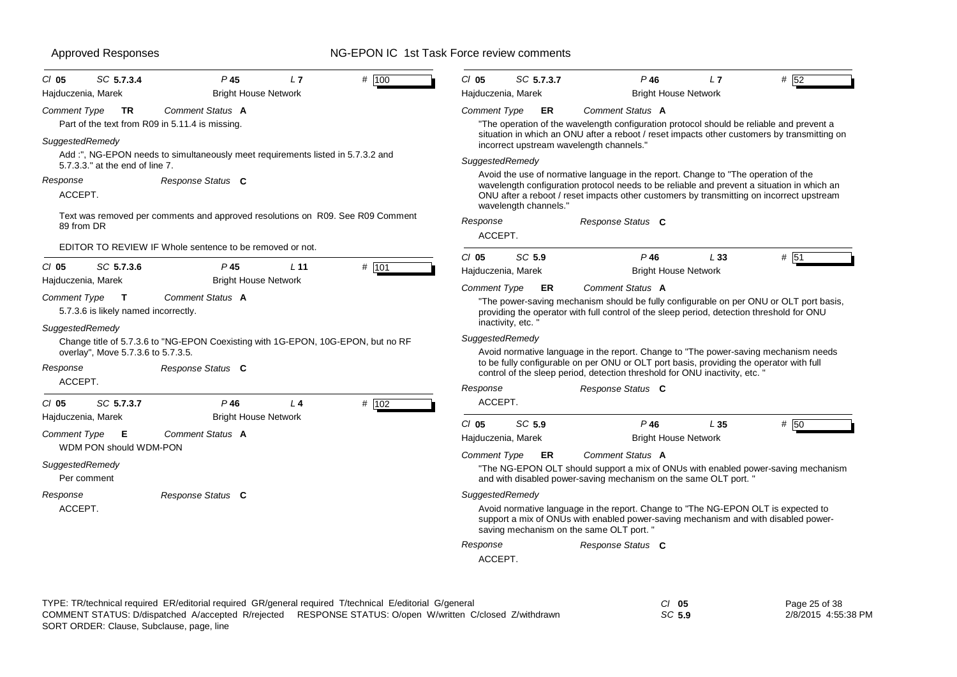| $CI$ 05<br>Hajduczenia, Marek  | SC 5.7.3.4                                           | P <sub>45</sub><br><b>Bright House Network</b>                                   | L7             | # 100 | $CI$ 05<br>Hajduczenia, Marek | SC 5.7.3.7            | $P$ 46<br><b>Bright House Network</b>                                                                                                                                                                                                                                        | L7       | #152 |
|--------------------------------|------------------------------------------------------|----------------------------------------------------------------------------------|----------------|-------|-------------------------------|-----------------------|------------------------------------------------------------------------------------------------------------------------------------------------------------------------------------------------------------------------------------------------------------------------------|----------|------|
| Comment Type                   | TR.                                                  | Comment Status A<br>Part of the text from R09 in 5.11.4 is missing.              |                |       | <b>Comment Type</b>           | ER                    | Comment Status A<br>"The operation of the wavelength configuration protocol should be reliable and prevent a<br>situation in which an ONU after a reboot / reset impacts other customers by transmitting on                                                                  |          |      |
| SuggestedRemedy                | 5.7.3.3." at the end of line 7.                      | Add :", NG-EPON needs to simultaneously meet requirements listed in 5.7.3.2 and  |                |       | SuggestedRemedy               |                       | incorrect upstream wavelength channels."                                                                                                                                                                                                                                     |          |      |
| Response<br>ACCEPT.            |                                                      | Response Status C                                                                |                |       |                               | wavelength channels." | Avoid the use of normative language in the report. Change to "The operation of the<br>wavelength configuration protocol needs to be reliable and prevent a situation in which an<br>ONU after a reboot / reset impacts other customers by transmitting on incorrect upstream |          |      |
| 89 from DR                     |                                                      | Text was removed per comments and approved resolutions on R09. See R09 Comment   |                |       | Response<br>ACCEPT.           |                       | Response Status C                                                                                                                                                                                                                                                            |          |      |
|                                |                                                      | EDITOR TO REVIEW IF Whole sentence to be removed or not.                         |                |       | $CI$ 05                       | SC 5.9                | $P$ 46                                                                                                                                                                                                                                                                       | L33      | # 51 |
| $CI$ 05                        | SC 5.7.3.6                                           | P 45                                                                             | $L$ 11         | # 101 | Hajduczenia, Marek            |                       | <b>Bright House Network</b>                                                                                                                                                                                                                                                  |          |      |
| Hajduczenia, Marek             |                                                      | <b>Bright House Network</b>                                                      |                |       | <b>Comment Type</b>           | ER                    | Comment Status A                                                                                                                                                                                                                                                             |          |      |
| Comment Type                   | $\mathbf{T}$<br>5.7.3.6 is likely named incorrectly. | Comment Status A                                                                 |                |       |                               | inactivity, etc.      | "The power-saving mechanism should be fully configurable on per ONU or OLT port basis,<br>providing the operator with full control of the sleep period, detection threshold for ONU                                                                                          |          |      |
| SuggestedRemedy                | overlay", Move 5.7.3.6 to 5.7.3.5.                   | Change title of 5.7.3.6 to "NG-EPON Coexisting with 1G-EPON, 10G-EPON, but no RF |                |       | SuggestedRemedy               |                       | Avoid normative language in the report. Change to "The power-saving mechanism needs"                                                                                                                                                                                         |          |      |
| Response                       |                                                      | Response Status C                                                                |                |       |                               |                       | to be fully configurable on per ONU or OLT port basis, providing the operator with full<br>control of the sleep period, detection threshold for ONU inactivity, etc.                                                                                                         |          |      |
| ACCEPT.                        |                                                      |                                                                                  |                |       | Response                      |                       | Response Status C                                                                                                                                                                                                                                                            |          |      |
| $CI$ 05<br>Hajduczenia, Marek  | SC 5.7.3.7                                           | $P$ 46<br><b>Bright House Network</b>                                            | L <sub>4</sub> | # 102 | ACCEPT.                       |                       |                                                                                                                                                                                                                                                                              |          |      |
| Comment Type                   | Е                                                    | Comment Status A                                                                 |                |       | $Cl$ 05<br>Hajduczenia, Marek | SC 5.9                | $P$ 46<br><b>Bright House Network</b>                                                                                                                                                                                                                                        | $L_{35}$ | # 50 |
|                                | WDM PON should WDM-PON                               |                                                                                  |                |       | <b>Comment Type</b>           | ER                    | <b>Comment Status A</b>                                                                                                                                                                                                                                                      |          |      |
| SuggestedRemedy<br>Per comment |                                                      |                                                                                  |                |       |                               |                       | "The NG-EPON OLT should support a mix of ONUs with enabled power-saving mechanism<br>and with disabled power-saving mechanism on the same OLT port. "                                                                                                                        |          |      |
| Response                       |                                                      | Response Status C                                                                |                |       | SuggestedRemedy               |                       |                                                                                                                                                                                                                                                                              |          |      |
| ACCEPT.                        |                                                      |                                                                                  |                |       |                               |                       | Avoid normative language in the report. Change to "The NG-EPON OLT is expected to<br>support a mix of ONUs with enabled power-saving mechanism and with disabled power-<br>saving mechanism on the same OLT port. "                                                          |          |      |
|                                |                                                      |                                                                                  |                |       | Response                      |                       | Response Status C                                                                                                                                                                                                                                                            |          |      |
|                                |                                                      |                                                                                  |                |       | ACCEPT.                       |                       |                                                                                                                                                                                                                                                                              |          |      |

Page 25 of 38 2/8/2015 4:55:38 PM

*SC* **5.9**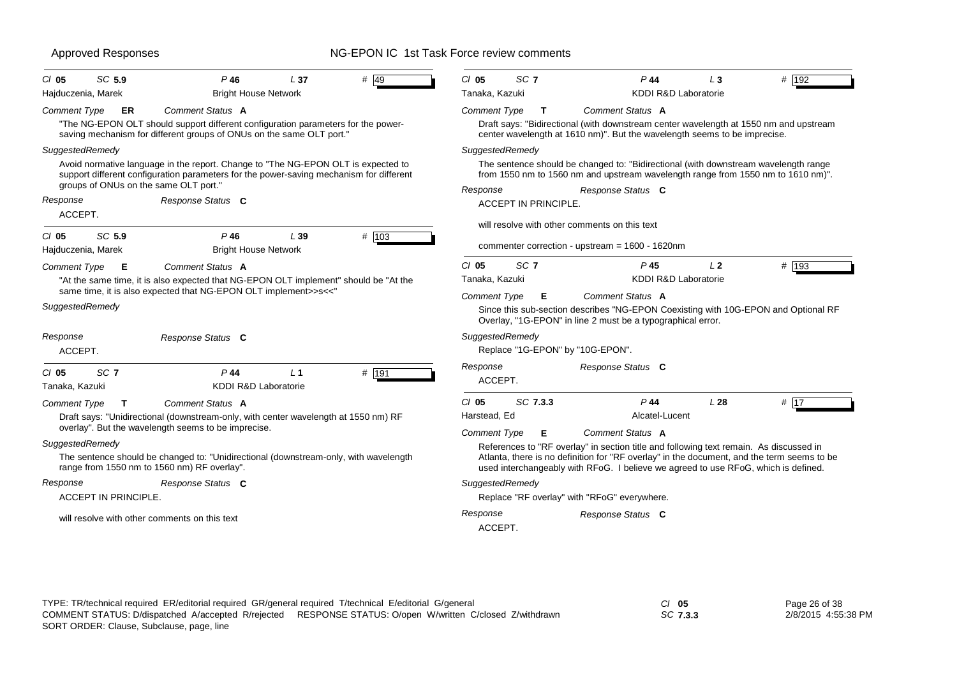| SC 5.9<br># 49<br>$P$ 46<br>$CI$ 05<br>L37<br>Hajduczenia, Marek<br><b>Bright House Network</b>                                                                                                     | SC <sub>7</sub><br># 192<br>$CI$ 05<br>P44<br>$\sqrt{3}$<br>Tanaka, Kazuki<br><b>KDDI R&amp;D Laboratorie</b>                                                                                                      |
|-----------------------------------------------------------------------------------------------------------------------------------------------------------------------------------------------------|--------------------------------------------------------------------------------------------------------------------------------------------------------------------------------------------------------------------|
| Comment Status A<br>Comment Type<br>ER<br>"The NG-EPON OLT should support different configuration parameters for the power-<br>saving mechanism for different groups of ONUs on the same OLT port." | <b>Comment Type</b><br>Comment Status A<br>Т<br>Draft says: "Bidirectional (with downstream center wavelength at 1550 nm and upstream<br>center wavelength at 1610 nm)". But the wavelength seems to be imprecise. |
| SuggestedRemedy                                                                                                                                                                                     | SuggestedRemedy                                                                                                                                                                                                    |
| Avoid normative language in the report. Change to "The NG-EPON OLT is expected to<br>support different configuration parameters for the power-saving mechanism for different                        | The sentence should be changed to: "Bidirectional (with downstream wavelength range<br>from 1550 nm to 1560 nm and upstream wavelength range from 1550 nm to 1610 nm)".                                            |
| groups of ONUs on the same OLT port."                                                                                                                                                               | Response Status C<br>Response                                                                                                                                                                                      |
| Response<br>Response Status C                                                                                                                                                                       | <b>ACCEPT IN PRINCIPLE.</b>                                                                                                                                                                                        |
| ACCEPT.                                                                                                                                                                                             | will resolve with other comments on this text                                                                                                                                                                      |
| SC 5.9<br># 103<br>$P$ 46<br>L39<br>$CI$ 05                                                                                                                                                         |                                                                                                                                                                                                                    |
| Hajduczenia, Marek<br><b>Bright House Network</b>                                                                                                                                                   | commenter correction - upstream = $1600 - 1620$ nm                                                                                                                                                                 |
| Comment Status A<br><b>Comment Type</b><br>Е                                                                                                                                                        | SC <sub>7</sub><br>P <sub>45</sub><br>$CI$ 05<br>L <sub>2</sub><br># $193$                                                                                                                                         |
| "At the same time, it is also expected that NG-EPON OLT implement" should be "At the                                                                                                                | <b>KDDI R&amp;D Laboratorie</b><br>Tanaka, Kazuki                                                                                                                                                                  |
| same time, it is also expected that NG-EPON OLT implement>>s<<"                                                                                                                                     | <b>Comment Type</b><br>Comment Status A<br>Е                                                                                                                                                                       |
| SuggestedRemedy                                                                                                                                                                                     | Since this sub-section describes "NG-EPON Coexisting with 10G-EPON and Optional RF<br>Overlay, "1G-EPON" in line 2 must be a typographical error.                                                                  |
| Response Status C<br>Response                                                                                                                                                                       | SuggestedRemedy                                                                                                                                                                                                    |
| ACCEPT.                                                                                                                                                                                             | Replace "1G-EPON" by "10G-EPON".                                                                                                                                                                                   |
| SC <sub>7</sub><br>$P$ 44<br># 191<br>$CI$ 05<br>L <sub>1</sub><br>KDDI R&D Laboratorie<br>Tanaka, Kazuki                                                                                           | Response<br>Response Status C<br>ACCEPT.                                                                                                                                                                           |
| <b>Comment Type</b><br>Comment Status A<br>$\mathbf{T}$                                                                                                                                             | SC 7.3.3<br>$CI$ 05<br>P 44<br>L28<br># $17$                                                                                                                                                                       |
| Draft says: "Unidirectional (downstream-only, with center wavelength at 1550 nm) RF                                                                                                                 | Alcatel-Lucent<br>Harstead, Ed                                                                                                                                                                                     |
| overlay". But the wavelength seems to be imprecise.                                                                                                                                                 | Comment Status A<br><b>Comment Type</b><br>Е                                                                                                                                                                       |
| SuggestedRemedy                                                                                                                                                                                     | References to "RF overlay" in section title and following text remain. As discussed in                                                                                                                             |
| The sentence should be changed to: "Unidirectional (downstream-only, with wavelength<br>range from 1550 nm to 1560 nm) RF overlay".                                                                 | Atlanta, there is no definition for "RF overlay" in the document, and the term seems to be<br>used interchangeably with RFoG. I believe we agreed to use RFoG, which is defined.                                   |
| Response Status C<br>Response                                                                                                                                                                       | SuggestedRemedy                                                                                                                                                                                                    |
| ACCEPT IN PRINCIPLE.                                                                                                                                                                                | Replace "RF overlay" with "RFoG" everywhere.                                                                                                                                                                       |
| will resolve with other comments on this text                                                                                                                                                       | Response<br>Response Status C<br>ACCEPT.                                                                                                                                                                           |

| C/ 05    | Page 26 of 38       |
|----------|---------------------|
| SC 7.3.3 | 2/8/2015 4:55:38 PM |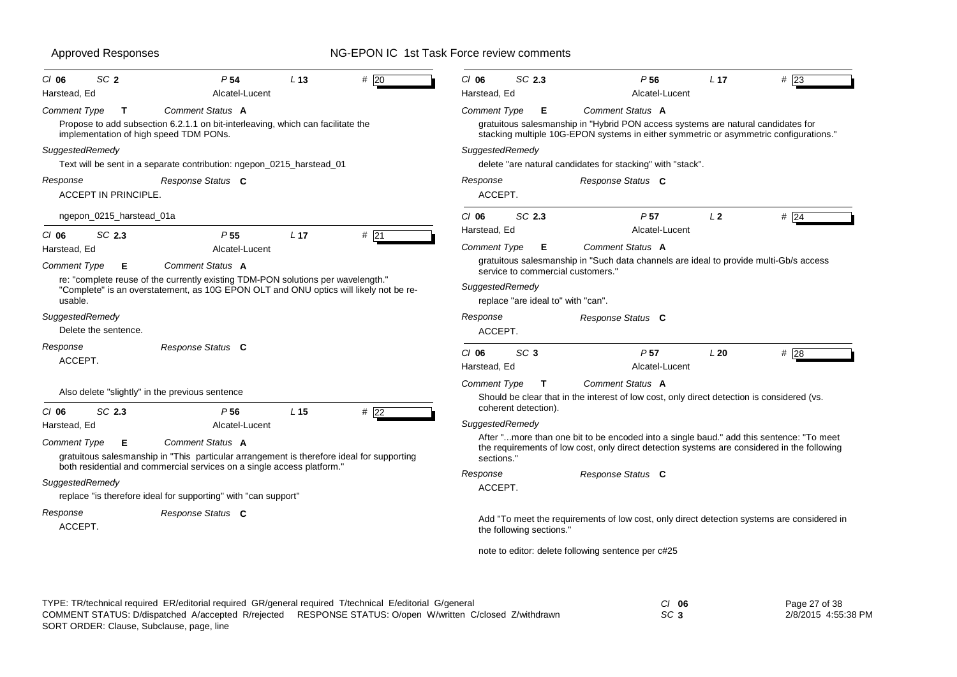| SC <sub>2</sub><br>P <sub>54</sub><br>CI 06                                                                                                                                          | L <sub>13</sub> | #20    | SC 2.3<br>$CI$ 06                                                                                                         | P <sub>56</sub>                                                                                                                                                                               | L <sub>17</sub> | $#$ 23 |  |  |
|--------------------------------------------------------------------------------------------------------------------------------------------------------------------------------------|-----------------|--------|---------------------------------------------------------------------------------------------------------------------------|-----------------------------------------------------------------------------------------------------------------------------------------------------------------------------------------------|-----------------|--------|--|--|
| Harstead, Ed<br>Alcatel-Lucent                                                                                                                                                       |                 |        | Harstead, Ed                                                                                                              | Alcatel-Lucent                                                                                                                                                                                |                 |        |  |  |
| Comment Status A<br><b>Comment Type</b><br>T<br>Propose to add subsection 6.2.1.1 on bit-interleaving, which can facilitate the<br>implementation of high speed TDM PONs.            |                 |        | Comment Type<br>Е                                                                                                         | Comment Status A<br>gratuitous salesmanship in "Hybrid PON access systems are natural candidates for<br>stacking multiple 10G-EPON systems in either symmetric or asymmetric configurations." |                 |        |  |  |
| SuggestedRemedy<br>Text will be sent in a separate contribution: ngepon_0215_harstead_01                                                                                             |                 |        | SuggestedRemedy                                                                                                           | delete "are natural candidates for stacking" with "stack".                                                                                                                                    |                 |        |  |  |
| Response<br>Response Status C<br><b>ACCEPT IN PRINCIPLE.</b>                                                                                                                         |                 |        | Response<br>ACCEPT.                                                                                                       | Response Status C                                                                                                                                                                             |                 |        |  |  |
| ngepon_0215_harstead_01a                                                                                                                                                             |                 |        | SC 2.3<br>$CI$ 06                                                                                                         | P <sub>57</sub>                                                                                                                                                                               | L <sub>2</sub>  | #24    |  |  |
| $CI$ 06<br>SC 2.3<br>P <sub>55</sub>                                                                                                                                                 | L <sub>17</sub> | $#$ 21 | Harstead, Ed                                                                                                              | Alcatel-Lucent                                                                                                                                                                                |                 |        |  |  |
| Alcatel-Lucent<br>Harstead, Ed                                                                                                                                                       |                 |        | <b>Comment Type</b><br>Е                                                                                                  | Comment Status A                                                                                                                                                                              |                 |        |  |  |
| Comment Status A<br><b>Comment Type</b><br>Е                                                                                                                                         |                 |        | gratuitous salesmanship in "Such data channels are ideal to provide multi-Gb/s access<br>service to commercial customers. |                                                                                                                                                                                               |                 |        |  |  |
| re: "complete reuse of the currently existing TDM-PON solutions per wavelength."<br>"Complete" is an overstatement, as 10G EPON OLT and ONU optics will likely not be re-<br>usable. |                 |        | SuggestedRemedy<br>replace "are ideal to" with "can".                                                                     |                                                                                                                                                                                               |                 |        |  |  |
| SuggestedRemedy<br>Delete the sentence.                                                                                                                                              |                 |        | Response<br>ACCEPT.                                                                                                       | Response Status C                                                                                                                                                                             |                 |        |  |  |
| Response Status C<br>Response<br>ACCEPT.                                                                                                                                             |                 |        | SC <sub>3</sub><br>$Cl$ 06<br>Harstead, Ed                                                                                | P <sub>57</sub><br>Alcatel-Lucent                                                                                                                                                             | L20             | # 28   |  |  |
| Also delete "slightly" in the previous sentence                                                                                                                                      |                 |        | <b>Comment Type</b><br>T                                                                                                  | Comment Status A                                                                                                                                                                              |                 |        |  |  |
|                                                                                                                                                                                      |                 |        | coherent detection).                                                                                                      | Should be clear that in the interest of low cost, only direct detection is considered (vs.                                                                                                    |                 |        |  |  |
| SC 2.3<br>$CI$ 06<br>P <sub>56</sub><br>Harstead, Ed<br>Alcatel-Lucent                                                                                                               | L <sub>15</sub> | # 22   | SuggestedRemedy                                                                                                           |                                                                                                                                                                                               |                 |        |  |  |
| Comment Status A<br><b>Comment Type</b><br>Е<br>gratuitous salesmanship in "This particular arrangement is therefore ideal for supporting                                            |                 |        | sections.                                                                                                                 | After "more than one bit to be encoded into a single baud." add this sentence: "To meet<br>the requirements of low cost, only direct detection systems are considered in the following        |                 |        |  |  |
| both residential and commercial services on a single access platform."                                                                                                               |                 |        | Response                                                                                                                  | Response Status C                                                                                                                                                                             |                 |        |  |  |
| SuggestedRemedy<br>replace "is therefore ideal for supporting" with "can support"                                                                                                    |                 |        | ACCEPT.                                                                                                                   |                                                                                                                                                                                               |                 |        |  |  |
| Response Status C<br>Response<br>ACCEPT.                                                                                                                                             |                 |        | the following sections."                                                                                                  | Add "To meet the requirements of low cost, only direct detection systems are considered in                                                                                                    |                 |        |  |  |
|                                                                                                                                                                                      |                 |        |                                                                                                                           | note to editor: delete following sentence per c#25                                                                                                                                            |                 |        |  |  |

Page 27 of 38 2/8/2015 4:55:38 PM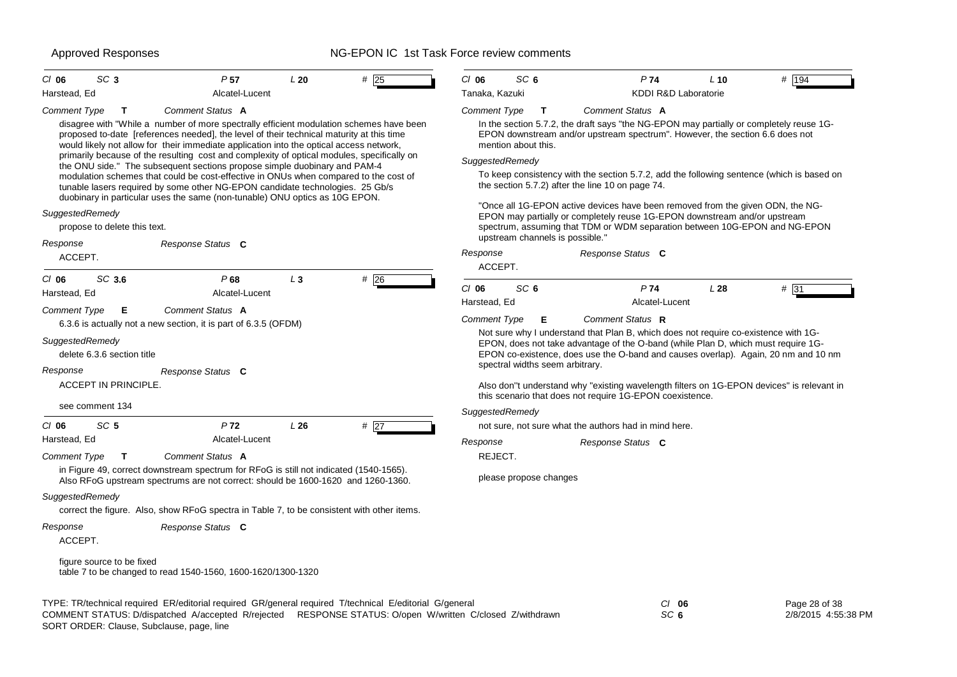| SC <sub>3</sub><br>$CI$ 06<br>Harstead, Ed      | P <sub>57</sub><br>Alcatel-Lucent                                                                                                                                                                                                                                              | L20   | $#$ 25            | $CI$ 06<br>Tanaka, Kazuki | SC <sub>6</sub>                 | P74<br>KDDI R&D Laboratorie                                                                                                                                                                                                                                    | $L$ 10 | # 194         |
|-------------------------------------------------|--------------------------------------------------------------------------------------------------------------------------------------------------------------------------------------------------------------------------------------------------------------------------------|-------|-------------------|---------------------------|---------------------------------|----------------------------------------------------------------------------------------------------------------------------------------------------------------------------------------------------------------------------------------------------------------|--------|---------------|
| <b>Comment Type</b><br>T                        | Comment Status A                                                                                                                                                                                                                                                               |       |                   | <b>Comment Type</b>       | $\mathbf{T}$                    | Comment Status A                                                                                                                                                                                                                                               |        |               |
|                                                 | disagree with "While a number of more spectrally efficient modulation schemes have been<br>proposed to-date [references needed], the level of their technical maturity at this time<br>would likely not allow for their immediate application into the optical access network, |       |                   |                           | mention about this.             | In the section 5.7.2, the draft says "the NG-EPON may partially or completely reuse 1G-<br>EPON downstream and/or upstream spectrum". However, the section 6.6 does not                                                                                        |        |               |
|                                                 | primarily because of the resulting cost and complexity of optical modules, specifically on<br>the ONU side." The subsequent sections propose simple duobinary and PAM-4                                                                                                        |       |                   | SuggestedRemedy           |                                 |                                                                                                                                                                                                                                                                |        |               |
|                                                 | modulation schemes that could be cost-effective in ONUs when compared to the cost of<br>tunable lasers required by some other NG-EPON candidate technologies. 25 Gb/s<br>duobinary in particular uses the same (non-tunable) ONU optics as 10G EPON.                           |       |                   |                           |                                 | To keep consistency with the section 5.7.2, add the following sentence (which is based on<br>the section 5.7.2) after the line 10 on page 74.                                                                                                                  |        |               |
| SuggestedRemedy<br>propose to delete this text. |                                                                                                                                                                                                                                                                                |       |                   |                           | upstream channels is possible." | "Once all 1G-EPON active devices have been removed from the given ODN, the NG-<br>EPON may partially or completely reuse 1G-EPON downstream and/or upstream<br>spectrum, assuming that TDM or WDM separation between 10G-EPON and NG-EPON                      |        |               |
| Response                                        | Response Status C                                                                                                                                                                                                                                                              |       |                   |                           |                                 |                                                                                                                                                                                                                                                                |        |               |
| ACCEPT.                                         |                                                                                                                                                                                                                                                                                |       |                   | Response<br>ACCEPT.       |                                 | Response Status C                                                                                                                                                                                                                                              |        |               |
| SC 3.6<br>$CI$ 06                               | P68                                                                                                                                                                                                                                                                            | $L_3$ | #26               |                           |                                 |                                                                                                                                                                                                                                                                |        |               |
| Harstead, Ed                                    | Alcatel-Lucent                                                                                                                                                                                                                                                                 |       |                   | $CI$ 06                   | SC <sub>6</sub>                 | P74                                                                                                                                                                                                                                                            | L28    | # 31          |
| <b>Comment Type</b><br>Е                        | Comment Status A                                                                                                                                                                                                                                                               |       |                   | Harstead, Ed              |                                 | Alcatel-Lucent                                                                                                                                                                                                                                                 |        |               |
|                                                 | 6.3.6 is actually not a new section, it is part of 6.3.5 (OFDM)                                                                                                                                                                                                                |       |                   | <b>Comment Type</b>       | Е                               | Comment Status R                                                                                                                                                                                                                                               |        |               |
| SuggestedRemedy<br>delete 6.3.6 section title   |                                                                                                                                                                                                                                                                                |       |                   |                           |                                 | Not sure why I understand that Plan B, which does not require co-existence with 1G-<br>EPON, does not take advantage of the O-band (while Plan D, which must require 1G-<br>EPON co-existence, does use the O-band and causes overlap). Again, 20 nm and 10 nm |        |               |
| Response                                        | Response Status C                                                                                                                                                                                                                                                              |       |                   |                           | spectral widths seem arbitrary. |                                                                                                                                                                                                                                                                |        |               |
| <b>ACCEPT IN PRINCIPLE.</b>                     |                                                                                                                                                                                                                                                                                |       |                   |                           |                                 | Also don"t understand why "existing wavelength filters on 1G-EPON devices" is relevant in<br>this scenario that does not require 1G-EPON coexistence.                                                                                                          |        |               |
| see comment 134                                 |                                                                                                                                                                                                                                                                                |       |                   | SuggestedRemedy           |                                 |                                                                                                                                                                                                                                                                |        |               |
| SC <sub>5</sub><br>$CI$ 06                      | P <sub>72</sub>                                                                                                                                                                                                                                                                | L26   | # $\overline{27}$ |                           |                                 | not sure, not sure what the authors had in mind here.                                                                                                                                                                                                          |        |               |
| Harstead, Ed                                    | Alcatel-Lucent                                                                                                                                                                                                                                                                 |       |                   | Response                  |                                 | Response Status C                                                                                                                                                                                                                                              |        |               |
| <b>Comment Type</b><br>$\mathbf{T}$             | Comment Status A                                                                                                                                                                                                                                                               |       |                   | REJECT.                   |                                 |                                                                                                                                                                                                                                                                |        |               |
|                                                 | in Figure 49, correct downstream spectrum for RFoG is still not indicated (1540-1565).<br>Also RFoG upstream spectrums are not correct: should be 1600-1620 and 1260-1360.                                                                                                     |       |                   |                           | please propose changes          |                                                                                                                                                                                                                                                                |        |               |
| SuggestedRemedy                                 | correct the figure. Also, show RFoG spectra in Table 7, to be consistent with other items.                                                                                                                                                                                     |       |                   |                           |                                 |                                                                                                                                                                                                                                                                |        |               |
| Response<br>ACCEPT.                             | Response Status C                                                                                                                                                                                                                                                              |       |                   |                           |                                 |                                                                                                                                                                                                                                                                |        |               |
| figure source to be fixed                       | table 7 to be changed to read 1540-1560, 1600-1620/1300-1320                                                                                                                                                                                                                   |       |                   |                           |                                 |                                                                                                                                                                                                                                                                |        |               |
|                                                 | TYPE: TR/technical required ER/editorial required GR/general required T/technical E/editorial G/general                                                                                                                                                                        |       |                   |                           |                                 | $Cl$ 06                                                                                                                                                                                                                                                        |        | Page 28 of 38 |

SORT ORDER: Clause, Subclause, page, line COMMENT STATUS: D/dispatched A/accepted R/rejected RESPONSE STATUS: O/open W/written C/closed Z/withdrawn 2/8/2015 4:55:38 PM

*SC* **6**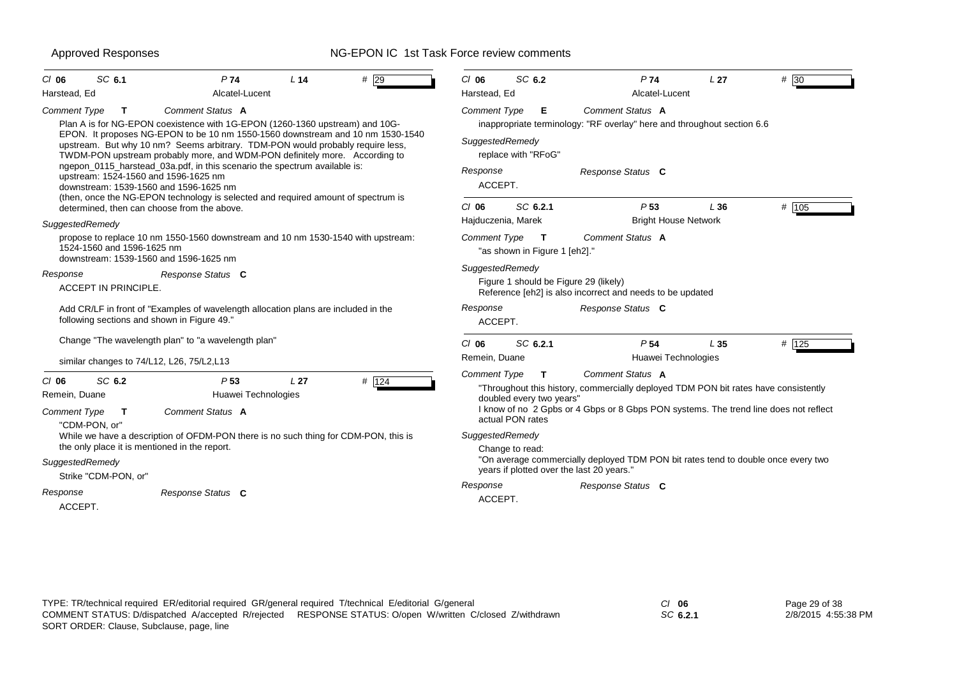| SC 6.1<br>P <sub>74</sub><br># 29<br>$CI$ 06<br>L <sub>14</sub>                                                                                                                                                                                  | $CI$ 06<br>SC 6.2<br>P74<br># 30<br>L <sub>27</sub>                                                                                                                                                                                                                                   |  |  |  |  |  |  |
|--------------------------------------------------------------------------------------------------------------------------------------------------------------------------------------------------------------------------------------------------|---------------------------------------------------------------------------------------------------------------------------------------------------------------------------------------------------------------------------------------------------------------------------------------|--|--|--|--|--|--|
| Harstead, Ed<br>Alcatel-Lucent                                                                                                                                                                                                                   | Harstead, Ed<br>Alcatel-Lucent                                                                                                                                                                                                                                                        |  |  |  |  |  |  |
| Comment Status A<br>Comment Type<br>$\mathbf{T}$<br>Plan A is for NG-EPON coexistence with 1G-EPON (1260-1360 upstream) and 10G-                                                                                                                 | Comment Status A<br><b>Comment Type</b><br>Е<br>inappropriate terminology: "RF overlay" here and throughout section 6.6                                                                                                                                                               |  |  |  |  |  |  |
| EPON. It proposes NG-EPON to be 10 nm 1550-1560 downstream and 10 nm 1530-1540<br>upstream. But why 10 nm? Seems arbitrary. TDM-PON would probably require less,<br>TWDM-PON upstream probably more, and WDM-PON definitely more. According to   | SuggestedRemedy<br>replace with "RFoG"                                                                                                                                                                                                                                                |  |  |  |  |  |  |
| ngepon_0115_harstead_03a.pdf, in this scenario the spectrum available is:<br>upstream: 1524-1560 and 1596-1625 nm<br>downstream: 1539-1560 and 1596-1625 nm<br>(then, once the NG-EPON technology is selected and required amount of spectrum is | Response<br>Response Status C<br>ACCEPT.                                                                                                                                                                                                                                              |  |  |  |  |  |  |
| determined, then can choose from the above.<br>SuggestedRemedy                                                                                                                                                                                   | SC 6.2.1<br>$#$ 105<br>$Cl$ 06<br>P <sub>53</sub><br>L36<br><b>Bright House Network</b><br>Hajduczenia, Marek                                                                                                                                                                         |  |  |  |  |  |  |
| propose to replace 10 nm 1550-1560 downstream and 10 nm 1530-1540 with upstream:<br>1524-1560 and 1596-1625 nm<br>downstream: 1539-1560 and 1596-1625 nm                                                                                         | Comment Status A<br><b>Comment Type</b><br>$\mathbf T$<br>"as shown in Figure 1 [eh2]."                                                                                                                                                                                               |  |  |  |  |  |  |
| Response<br>Response Status C<br><b>ACCEPT IN PRINCIPLE.</b>                                                                                                                                                                                     | SuggestedRemedy<br>Figure 1 should be Figure 29 (likely)<br>Reference [eh2] is also incorrect and needs to be updated                                                                                                                                                                 |  |  |  |  |  |  |
| Add CR/LF in front of "Examples of wavelength allocation plans are included in the<br>following sections and shown in Figure 49."                                                                                                                | Response Status C<br>Response<br>ACCEPT.                                                                                                                                                                                                                                              |  |  |  |  |  |  |
| Change "The wavelength plan" to "a wavelength plan"                                                                                                                                                                                              | SC 6.2.1<br>P <sub>54</sub><br># 125<br>$CI$ 06<br>L <sub>35</sub>                                                                                                                                                                                                                    |  |  |  |  |  |  |
| similar changes to 74/L12, L26, 75/L2,L13                                                                                                                                                                                                        | Huawei Technologies<br>Remein, Duane                                                                                                                                                                                                                                                  |  |  |  |  |  |  |
| # 124<br>SC 6.2<br>L <sub>27</sub><br>$CI$ 06<br>P <sub>53</sub><br>Remein, Duane<br>Huawei Technologies<br>Comment Status A<br><b>Comment Type</b><br>$\mathbf{T}$<br>"CDM-PON. or"                                                             | Comment Status A<br><b>Comment Type</b><br>$\mathbf T$<br>"Throughout this history, commercially deployed TDM PON bit rates have consistently<br>doubled every two years"<br>I know of no 2 Gpbs or 4 Gbps or 8 Gbps PON systems. The trend line does not reflect<br>actual PON rates |  |  |  |  |  |  |
| While we have a description of OFDM-PON there is no such thing for CDM-PON, this is<br>the only place it is mentioned in the report.<br>SuggestedRemedy                                                                                          | SuggestedRemedy<br>Change to read:<br>"On average commercially deployed TDM PON bit rates tend to double once every two<br>years if plotted over the last 20 years."                                                                                                                  |  |  |  |  |  |  |
| Strike "CDM-PON, or"                                                                                                                                                                                                                             | Response<br>Response Status C                                                                                                                                                                                                                                                         |  |  |  |  |  |  |
| Response<br>Response Status C<br>ACCEPT.                                                                                                                                                                                                         | ACCEPT.                                                                                                                                                                                                                                                                               |  |  |  |  |  |  |

*SC* **6.2.1**

Page 29 of 38 2/8/2015 4:55:38 PM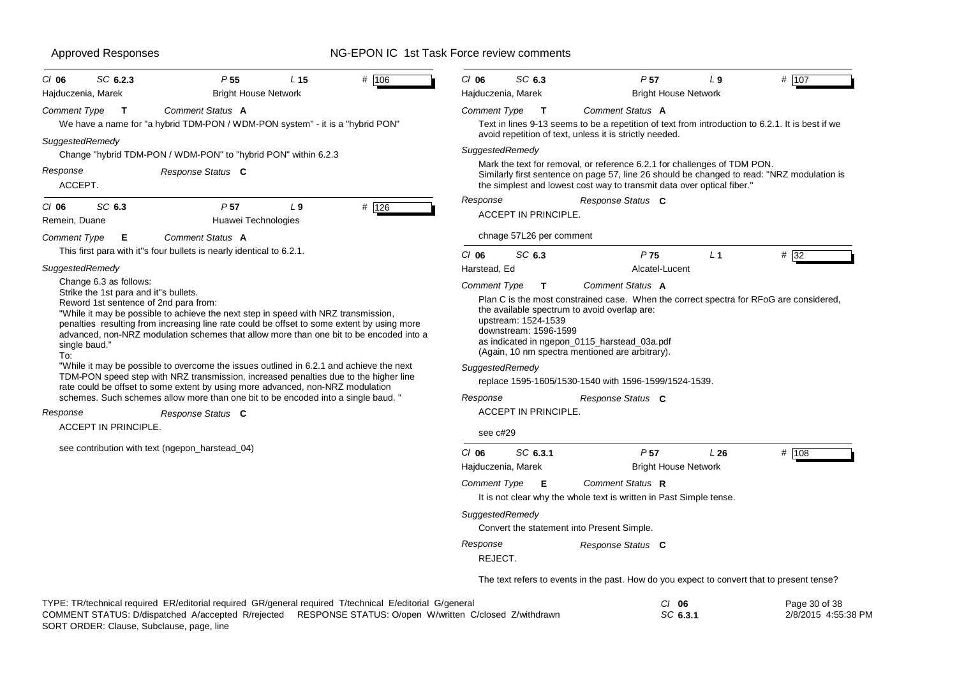| $CI$ 06<br>Hajduczenia, Marek | SC 6.2.3                                                        | P <sub>55</sub>                                                                                                                                                                                                                                                                                                                                                                                                                                                                                                                                                                          | L <sub>15</sub><br><b>Bright House Network</b> | # 106 | $CI$ 06<br>Hajduczenia, Marek   | SC 6.3                                                                                                                                                                                                                                           | P <sub>57</sub><br><b>Bright House Network</b>                                                                                                                                                                                                                                                                         | L <sub>9</sub> | # 107 |  |  |  |
|-------------------------------|-----------------------------------------------------------------|------------------------------------------------------------------------------------------------------------------------------------------------------------------------------------------------------------------------------------------------------------------------------------------------------------------------------------------------------------------------------------------------------------------------------------------------------------------------------------------------------------------------------------------------------------------------------------------|------------------------------------------------|-------|---------------------------------|--------------------------------------------------------------------------------------------------------------------------------------------------------------------------------------------------------------------------------------------------|------------------------------------------------------------------------------------------------------------------------------------------------------------------------------------------------------------------------------------------------------------------------------------------------------------------------|----------------|-------|--|--|--|
| Comment Type                  | $\mathbf{T}$                                                    | Comment Status A                                                                                                                                                                                                                                                                                                                                                                                                                                                                                                                                                                         |                                                |       | <b>Comment Type</b>             | $\mathbf{T}$                                                                                                                                                                                                                                     | Comment Status A                                                                                                                                                                                                                                                                                                       |                |       |  |  |  |
|                               |                                                                 | We have a name for "a hybrid TDM-PON / WDM-PON system" - it is a "hybrid PON"                                                                                                                                                                                                                                                                                                                                                                                                                                                                                                            |                                                |       |                                 |                                                                                                                                                                                                                                                  | Text in lines 9-13 seems to be a repetition of text from introduction to 6.2.1. It is best if we<br>avoid repetition of text, unless it is strictly needed.                                                                                                                                                            |                |       |  |  |  |
| SuggestedRemedy               |                                                                 | Change "hybrid TDM-PON / WDM-PON" to "hybrid PON" within 6.2.3                                                                                                                                                                                                                                                                                                                                                                                                                                                                                                                           |                                                |       | SuggestedRemedy                 |                                                                                                                                                                                                                                                  |                                                                                                                                                                                                                                                                                                                        |                |       |  |  |  |
| Response                      | Response Status C<br>ACCEPT.                                    |                                                                                                                                                                                                                                                                                                                                                                                                                                                                                                                                                                                          |                                                |       |                                 | Mark the text for removal, or reference 6.2.1 for challenges of TDM PON.<br>Similarly first sentence on page 57, line 26 should be changed to read: "NRZ modulation is<br>the simplest and lowest cost way to transmit data over optical fiber." |                                                                                                                                                                                                                                                                                                                        |                |       |  |  |  |
| $Cl$ 06<br>Remein, Duane      | SC 6.3                                                          | P <sub>57</sub>                                                                                                                                                                                                                                                                                                                                                                                                                                                                                                                                                                          | L <sub>9</sub><br>Huawei Technologies          | # 126 | Response                        | <b>ACCEPT IN PRINCIPLE.</b>                                                                                                                                                                                                                      | Response Status C                                                                                                                                                                                                                                                                                                      |                |       |  |  |  |
| Comment Type                  | Е                                                               | Comment Status A                                                                                                                                                                                                                                                                                                                                                                                                                                                                                                                                                                         |                                                |       |                                 | chnage 57L26 per comment                                                                                                                                                                                                                         |                                                                                                                                                                                                                                                                                                                        |                |       |  |  |  |
|                               |                                                                 | This first para with it"s four bullets is nearly identical to 6.2.1.                                                                                                                                                                                                                                                                                                                                                                                                                                                                                                                     |                                                |       | $CI$ 06                         | SC 6.3                                                                                                                                                                                                                                           | P75                                                                                                                                                                                                                                                                                                                    | L <sub>1</sub> | # 32  |  |  |  |
|                               | SuggestedRemedy                                                 |                                                                                                                                                                                                                                                                                                                                                                                                                                                                                                                                                                                          |                                                |       |                                 | Harstead, Ed                                                                                                                                                                                                                                     | Alcatel-Lucent                                                                                                                                                                                                                                                                                                         |                |       |  |  |  |
| single baud."<br>To:          | Change 6.3 as follows:<br>Strike the 1st para and it"s bullets. | Reword 1st sentence of 2nd para from:<br>"While it may be possible to achieve the next step in speed with NRZ transmission,<br>penalties resulting from increasing line rate could be offset to some extent by using more<br>advanced, non-NRZ modulation schemes that allow more than one bit to be encoded into a<br>"While it may be possible to overcome the issues outlined in 6.2.1 and achieve the next<br>TDM-PON speed step with NRZ transmission, increased penalties due to the higher line<br>rate could be offset to some extent by using more advanced, non-NRZ modulation |                                                |       | Comment Type<br>SuggestedRemedy | T<br>upstream: 1524-1539<br>downstream: 1596-1599                                                                                                                                                                                                | Comment Status A<br>Plan C is the most constrained case. When the correct spectra for RFoG are considered,<br>the available spectrum to avoid overlap are:<br>as indicated in ngepon_0115_harstead_03a.pdf<br>(Again, 10 nm spectra mentioned are arbitrary).<br>replace 1595-1605/1530-1540 with 1596-1599/1524-1539. |                |       |  |  |  |
|                               |                                                                 | schemes. Such schemes allow more than one bit to be encoded into a single baud. "                                                                                                                                                                                                                                                                                                                                                                                                                                                                                                        |                                                |       | Response                        | <b>ACCEPT IN PRINCIPLE</b>                                                                                                                                                                                                                       | Response Status C                                                                                                                                                                                                                                                                                                      |                |       |  |  |  |
| Response                      | <b>ACCEPT IN PRINCIPLE.</b>                                     | Response Status C                                                                                                                                                                                                                                                                                                                                                                                                                                                                                                                                                                        |                                                |       | see c#29                        |                                                                                                                                                                                                                                                  |                                                                                                                                                                                                                                                                                                                        |                |       |  |  |  |
|                               |                                                                 | see contribution with text (ngepon_harstead_04)                                                                                                                                                                                                                                                                                                                                                                                                                                                                                                                                          |                                                |       | $CI$ 06<br>Hajduczenia, Marek   | SC 6.3.1                                                                                                                                                                                                                                         | P <sub>57</sub><br><b>Bright House Network</b>                                                                                                                                                                                                                                                                         | L26            | # 108 |  |  |  |
|                               |                                                                 |                                                                                                                                                                                                                                                                                                                                                                                                                                                                                                                                                                                          |                                                |       | <b>Comment Type</b>             | Е                                                                                                                                                                                                                                                | Comment Status R<br>It is not clear why the whole text is written in Past Simple tense.                                                                                                                                                                                                                                |                |       |  |  |  |
|                               |                                                                 |                                                                                                                                                                                                                                                                                                                                                                                                                                                                                                                                                                                          |                                                |       | SuggestedRemedy                 |                                                                                                                                                                                                                                                  | Convert the statement into Present Simple.                                                                                                                                                                                                                                                                             |                |       |  |  |  |
|                               |                                                                 |                                                                                                                                                                                                                                                                                                                                                                                                                                                                                                                                                                                          |                                                |       | Response<br>REJECT.             |                                                                                                                                                                                                                                                  | Response Status C                                                                                                                                                                                                                                                                                                      |                |       |  |  |  |
|                               |                                                                 |                                                                                                                                                                                                                                                                                                                                                                                                                                                                                                                                                                                          |                                                |       |                                 |                                                                                                                                                                                                                                                  | The text refers to events in the past. How do you expect to convert that to present tense?                                                                                                                                                                                                                             |                |       |  |  |  |
|                               |                                                                 |                                                                                                                                                                                                                                                                                                                                                                                                                                                                                                                                                                                          |                                                |       |                                 |                                                                                                                                                                                                                                                  |                                                                                                                                                                                                                                                                                                                        |                |       |  |  |  |

TYPE: TR/technical required ER/editorial required GR/general required T/technical E/editorial G/general *Cl* **06** *SC* **6.3.1** Page 30 of 38 2/8/2015 4:55:38 PM SORT ORDER: Clause, Subclause, page, line COMMENT STATUS: D/dispatched A/accepted R/rejected RESPONSE STATUS: O/open W/written C/closed Z/withdrawn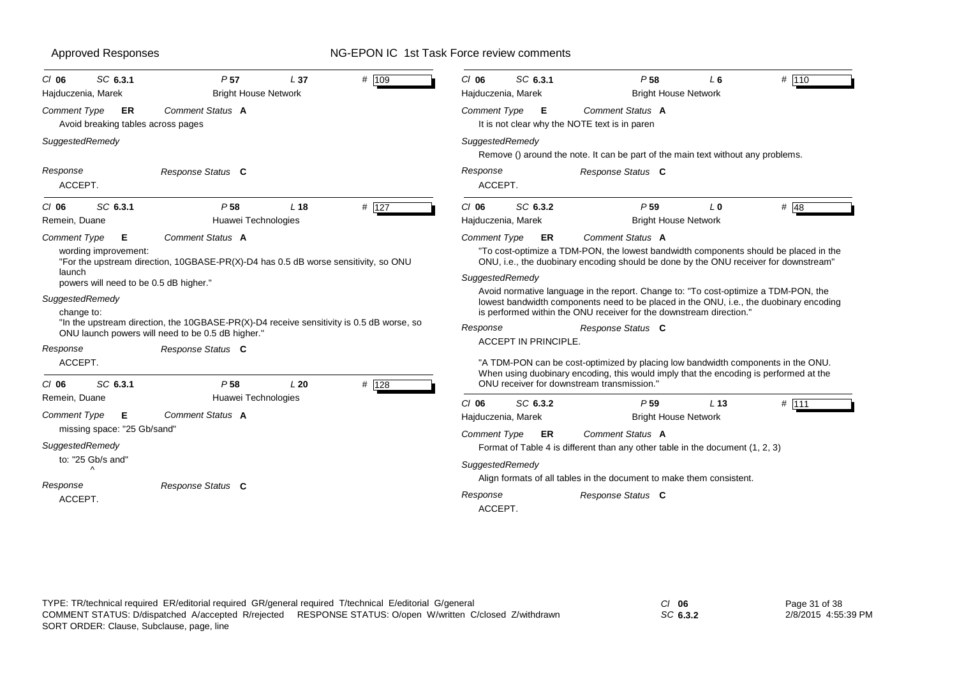| SC 6.3.1<br>$CI$ 06<br>Hajduczenia, Marek                                                                                                                    | P 57<br><b>Bright House Network</b>                                                                                                                                                                                                                                          | L <sub>37</sub> | # 109 | $CI$ 06<br>Hajduczenia, Marek                                 | SC 6.3.1                          | P <sub>58</sub>                                                                                                                                                                                                                                                                                                                                                                                                                                                                                                                                                                                                                                            | L 6<br><b>Bright House Network</b>    | # 110  |
|--------------------------------------------------------------------------------------------------------------------------------------------------------------|------------------------------------------------------------------------------------------------------------------------------------------------------------------------------------------------------------------------------------------------------------------------------|-----------------|-------|---------------------------------------------------------------|-----------------------------------|------------------------------------------------------------------------------------------------------------------------------------------------------------------------------------------------------------------------------------------------------------------------------------------------------------------------------------------------------------------------------------------------------------------------------------------------------------------------------------------------------------------------------------------------------------------------------------------------------------------------------------------------------------|---------------------------------------|--------|
| <b>Comment Type</b><br>ER<br>Avoid breaking tables across pages                                                                                              | Comment Status A                                                                                                                                                                                                                                                             |                 |       | <b>Comment Type</b>                                           | E                                 | <b>Comment Status A</b><br>It is not clear why the NOTE text is in parent                                                                                                                                                                                                                                                                                                                                                                                                                                                                                                                                                                                  |                                       |        |
| SuggestedRemedy                                                                                                                                              |                                                                                                                                                                                                                                                                              |                 |       | SuggestedRemedy                                               |                                   | Remove () around the note. It can be part of the main text without any problems.                                                                                                                                                                                                                                                                                                                                                                                                                                                                                                                                                                           |                                       |        |
| Response<br>ACCEPT.                                                                                                                                          | Response Status C                                                                                                                                                                                                                                                            |                 |       | Response<br>ACCEPT.                                           |                                   | Response Status C                                                                                                                                                                                                                                                                                                                                                                                                                                                                                                                                                                                                                                          |                                       |        |
| SC 6.3.1<br>$CI$ 06<br>Remein, Duane                                                                                                                         | P <sub>58</sub><br>Huawei Technologies                                                                                                                                                                                                                                       | L <sub>18</sub> | # 127 | $CI$ 06<br>Hajduczenia, Marek                                 | SC 6.3.2                          | P <sub>59</sub>                                                                                                                                                                                                                                                                                                                                                                                                                                                                                                                                                                                                                                            | L O<br><b>Bright House Network</b>    | # $48$ |
| <b>Comment Type</b><br>Е<br>wording improvement:<br>launch<br>powers will need to be 0.5 dB higher."<br>SuggestedRemedy<br>change to:<br>Response<br>ACCEPT. | Comment Status A<br>"For the upstream direction, 10GBASE-PR(X)-D4 has 0.5 dB worse sensitivity, so ONU<br>"In the upstream direction, the 10GBASE-PR(X)-D4 receive sensitivity is 0.5 dB worse, so<br>ONU launch powers will need to be 0.5 dB higher."<br>Response Status C |                 |       | <b>Comment Type</b><br>SuggestedRemedy<br>Response            | ER<br><b>ACCEPT IN PRINCIPLE.</b> | Comment Status A<br>"To cost-optimize a TDM-PON, the lowest bandwidth components should be placed in the<br>ONU, i.e., the duobinary encoding should be done by the ONU receiver for downstream"<br>Avoid normative language in the report. Change to: "To cost-optimize a TDM-PON, the<br>lowest bandwidth components need to be placed in the ONU, i.e., the duobinary encoding<br>is performed within the ONU receiver for the downstream direction."<br>Response Status C<br>"A TDM-PON can be cost-optimized by placing low bandwidth components in the ONU.<br>When using duobinary encoding, this would imply that the encoding is performed at the |                                       |        |
| SC 6.3.1<br>$CI$ 06<br>Remein, Duane<br>Comment Type<br>E                                                                                                    | P <sub>58</sub><br>Huawei Technologies<br>Comment Status A                                                                                                                                                                                                                   | L20             | # 128 | $CI$ 06<br>Hajduczenia, Marek                                 | SC 6.3.2                          | ONU receiver for downstream transmission."<br>P <sub>59</sub>                                                                                                                                                                                                                                                                                                                                                                                                                                                                                                                                                                                              | $L$ 13<br><b>Bright House Network</b> | # 111  |
| missing space: "25 Gb/sand"<br>SuggestedRemedy<br>to: "25 Gb/s and"<br>$\wedge$<br>Response<br>ACCEPT.                                                       | Response Status C                                                                                                                                                                                                                                                            |                 |       | <b>Comment Type</b><br>SuggestedRemedy<br>Response<br>ACCEPT. | ER                                | Comment Status A<br>Format of Table 4 is different than any other table in the document (1, 2, 3)<br>Align formats of all tables in the document to make them consistent.<br>Response Status C                                                                                                                                                                                                                                                                                                                                                                                                                                                             |                                       |        |

*SC* **6.3.2**

Page 31 of 38 2/8/2015 4:55:39 PM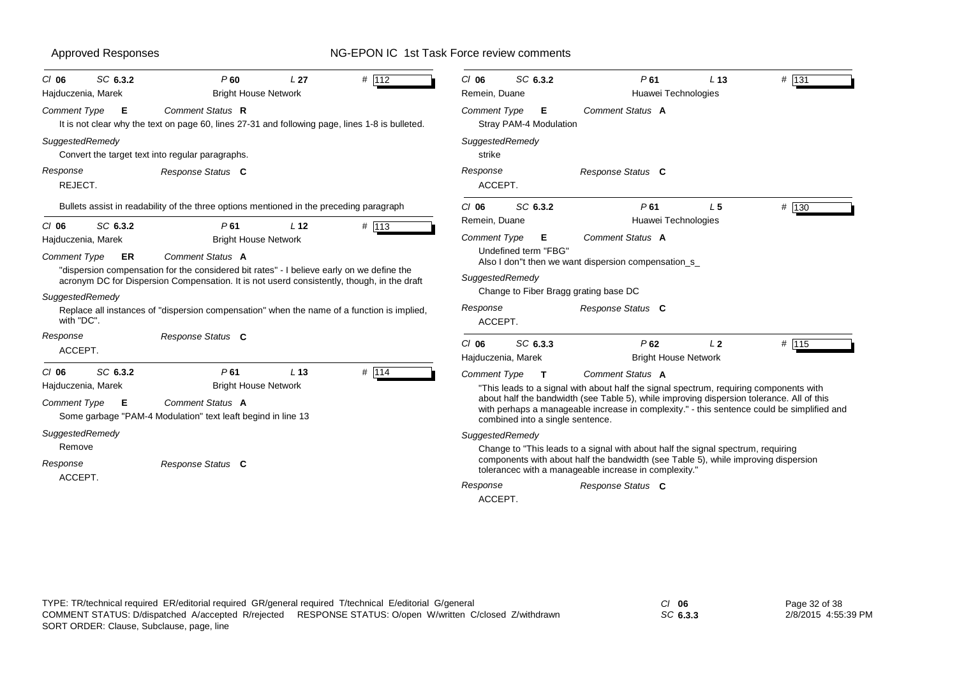| SC 6.3.2<br>$CI$ 06<br>Hajduczenia, Marek                                                          | # 112<br>P60<br>L <sub>27</sub><br><b>Bright House Network</b>                                                                                                                                                                                                                                                                           | SC 6.3.2<br>P61<br># 131<br>$CI$ 06<br>L <sub>13</sub><br>Remein, Duane<br>Huawei Technologies                                                                                                                                                                                                                                                                                                      |
|----------------------------------------------------------------------------------------------------|------------------------------------------------------------------------------------------------------------------------------------------------------------------------------------------------------------------------------------------------------------------------------------------------------------------------------------------|-----------------------------------------------------------------------------------------------------------------------------------------------------------------------------------------------------------------------------------------------------------------------------------------------------------------------------------------------------------------------------------------------------|
| Comment Type<br>E                                                                                  | Comment Status R<br>It is not clear why the text on page 60, lines 27-31 and following page, lines 1-8 is bulleted.                                                                                                                                                                                                                      | Comment Status A<br><b>Comment Type</b><br>E<br>Stray PAM-4 Modulation                                                                                                                                                                                                                                                                                                                              |
| SuggestedRemedy                                                                                    | Convert the target text into regular paragraphs.                                                                                                                                                                                                                                                                                         | SuggestedRemedy<br>strike                                                                                                                                                                                                                                                                                                                                                                           |
| Response<br>REJECT.                                                                                | Response Status C                                                                                                                                                                                                                                                                                                                        | Response<br>Response Status C<br>ACCEPT.                                                                                                                                                                                                                                                                                                                                                            |
| SC 6.3.2<br>$CI$ 06                                                                                | Bullets assist in readability of the three options mentioned in the preceding paragraph<br># 113<br>P61<br>L <sub>12</sub>                                                                                                                                                                                                               | SC 6.3.2<br>$#$ 130<br>P61<br>L <sub>5</sub><br>$Cl$ 06<br>Remein, Duane<br>Huawei Technologies                                                                                                                                                                                                                                                                                                     |
| Hajduczenia, Marek<br><b>Comment Type</b><br>ER<br>SuggestedRemedy<br>with "DC".                   | <b>Bright House Network</b><br>Comment Status A<br>"dispersion compensation for the considered bit rates" - I believe early on we define the<br>acronym DC for Dispersion Compensation. It is not userd consistently, though, in the draft<br>Replace all instances of "dispersion compensation" when the name of a function is implied, | <b>Comment Type</b><br>Comment Status A<br>Е<br>Undefined term "FBG"<br>Also I don"t then we want dispersion compensation_s_<br>SuggestedRemedy<br>Change to Fiber Bragg grating base DC<br>Response<br>Response Status C<br>ACCEPT.                                                                                                                                                                |
| Response<br>ACCEPT.                                                                                | Response Status C                                                                                                                                                                                                                                                                                                                        | SC 6.3.3<br>P62<br>$Cl$ 06<br>L <sub>2</sub><br># 115<br><b>Bright House Network</b><br>Hajduczenia, Marek                                                                                                                                                                                                                                                                                          |
| SC 6.3.2<br>$CI$ 06<br>Hajduczenia, Marek<br><b>Comment Type</b><br>E<br>SuggestedRemedy<br>Remove | P61<br># 114<br>L <sub>13</sub><br><b>Bright House Network</b><br>Comment Status A<br>Some garbage "PAM-4 Modulation" text leaft begind in line 13                                                                                                                                                                                       | <b>Comment Type</b><br>Comment Status A<br>$\mathbf{T}$<br>"This leads to a signal with about half the signal spectrum, requiring components with<br>about half the bandwidth (see Table 5), while improving dispersion tolerance. All of this<br>with perhaps a manageable increase in complexity." - this sentence could be simplified and<br>combined into a single sentence.<br>SuggestedRemedy |
| Response<br>ACCEPT.                                                                                | Response Status C                                                                                                                                                                                                                                                                                                                        | Change to "This leads to a signal with about half the signal spectrum, requiring<br>components with about half the bandwidth (see Table 5), while improving dispersion<br>tolerancec with a manageable increase in complexity."<br>Response<br>Response Status C<br>ACCEPT.                                                                                                                         |

*SC* **6.3.3** Page 32 of 38 2/8/2015 4:55:39 PM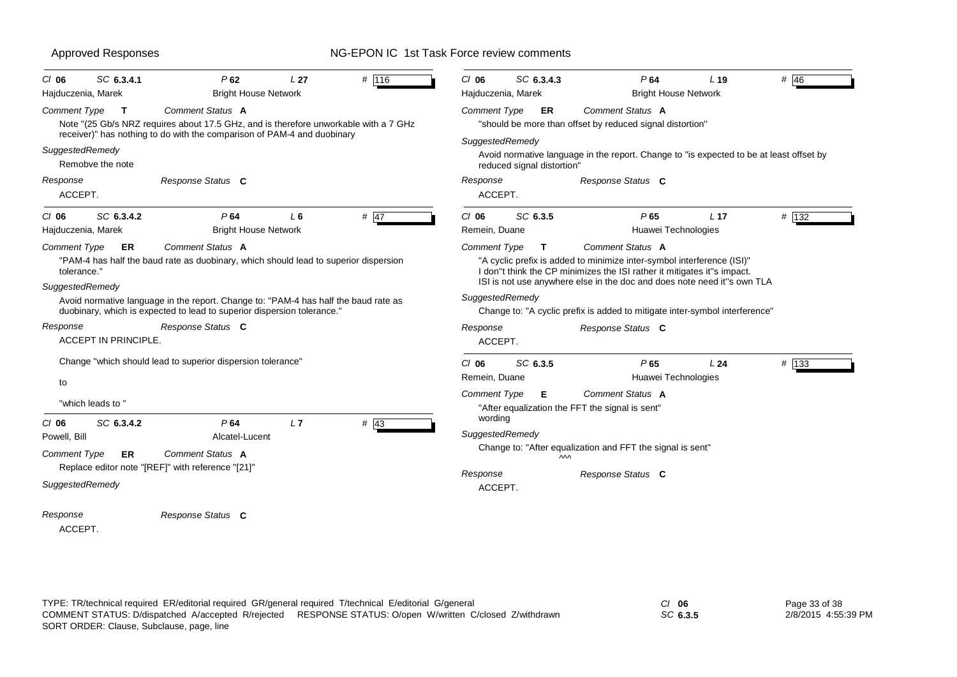| SC 6.3.4.1<br>$CI$ 06<br>Hajduczenia, Marek                          | P62<br><b>Bright House Network</b>                                                                                                                                                  | L <sub>27</sub> | # 116  | SC 6.3.4.3<br>$CI$ 06<br>Hajduczenia, Marek   |                                                                                                                                                                                                                              | P64<br><b>Bright House Network</b> | $L$ 19          | # 46                                                                                    |
|----------------------------------------------------------------------|-------------------------------------------------------------------------------------------------------------------------------------------------------------------------------------|-----------------|--------|-----------------------------------------------|------------------------------------------------------------------------------------------------------------------------------------------------------------------------------------------------------------------------------|------------------------------------|-----------------|-----------------------------------------------------------------------------------------|
| <b>Comment Type</b><br>$\mathbf{T}$                                  | Comment Status A<br>Note "(25 Gb/s NRZ requires about 17.5 GHz, and is therefore unworkable with a 7 GHz<br>receiver)" has nothing to do with the comparison of PAM-4 and duobinary |                 |        | <b>Comment Type</b>                           | ER<br>"should be more than offset by reduced signal distortion"                                                                                                                                                              | Comment Status A                   |                 |                                                                                         |
| SuggestedRemedy<br>Remobve the note                                  |                                                                                                                                                                                     |                 |        | SuggestedRemedy<br>reduced signal distortion" |                                                                                                                                                                                                                              |                                    |                 | Avoid normative language in the report. Change to "is expected to be at least offset by |
| Response<br>ACCEPT.                                                  | Response Status C                                                                                                                                                                   |                 |        | Response<br>ACCEPT.                           |                                                                                                                                                                                                                              | Response Status C                  |                 |                                                                                         |
| SC 6.3.4.2<br>$CI$ 06<br>Hajduczenia, Marek                          | P64<br><b>Bright House Network</b>                                                                                                                                                  | $L_6$           | # $47$ | SC 6.3.5<br>$CI$ 06<br>Remein, Duane          |                                                                                                                                                                                                                              | P65<br>Huawei Technologies         | L <sub>17</sub> | # 132                                                                                   |
| Comment Type<br>ER.<br>tolerance."                                   | Comment Status A<br>"PAM-4 has half the baud rate as duobinary, which should lead to superior dispersion                                                                            |                 |        | <b>Comment Type</b><br>T                      | "A cyclic prefix is added to minimize inter-symbol interference (ISI)"<br>I don"t think the CP minimizes the ISI rather it mitigates it"s impact.<br>ISI is not use anywhere else in the doc and does note need it"s own TLA | Comment Status A                   |                 |                                                                                         |
| SuggestedRemedy                                                      | Avoid normative language in the report. Change to: "PAM-4 has half the baud rate as<br>duobinary, which is expected to lead to superior dispersion tolerance."                      |                 |        | SuggestedRemedy                               | Change to: "A cyclic prefix is added to mitigate inter-symbol interference"                                                                                                                                                  |                                    |                 |                                                                                         |
| Response<br>ACCEPT IN PRINCIPLE.                                     | Response Status C                                                                                                                                                                   |                 |        | Response<br>ACCEPT.                           |                                                                                                                                                                                                                              | Response Status C                  |                 |                                                                                         |
| to                                                                   | Change "which should lead to superior dispersion tolerance"                                                                                                                         |                 |        | $CI$ 06<br>SC 6.3.5<br>Remein, Duane          |                                                                                                                                                                                                                              | P65<br>Huawei Technologies         | L24             | # 133                                                                                   |
| "which leads to "                                                    |                                                                                                                                                                                     |                 |        | Comment Type<br>Е<br>wording                  | "After equalization the FFT the signal is sent"                                                                                                                                                                              | Comment Status A                   |                 |                                                                                         |
| SC 6.3.4.2<br>$CI$ 06<br>Powell, Bill                                | P64<br>Alcatel-Lucent                                                                                                                                                               | L7              | $#$ 43 | SuggestedRemedy                               |                                                                                                                                                                                                                              |                                    |                 |                                                                                         |
| <b>Comment Type</b><br><b>ER</b>                                     | Comment Status A                                                                                                                                                                    |                 |        |                                               | Change to: "After equalization and FFT the signal is sent"<br>$\sim$                                                                                                                                                         |                                    |                 |                                                                                         |
| Replace editor note "[REF]" with reference "[21]"<br>SuggestedRemedy |                                                                                                                                                                                     |                 |        | Response<br>ACCEPT.                           |                                                                                                                                                                                                                              | Response Status C                  |                 |                                                                                         |
| Response                                                             | Response Status C                                                                                                                                                                   |                 |        |                                               |                                                                                                                                                                                                                              |                                    |                 |                                                                                         |

ACCEPT.

*SC* **6.3.5**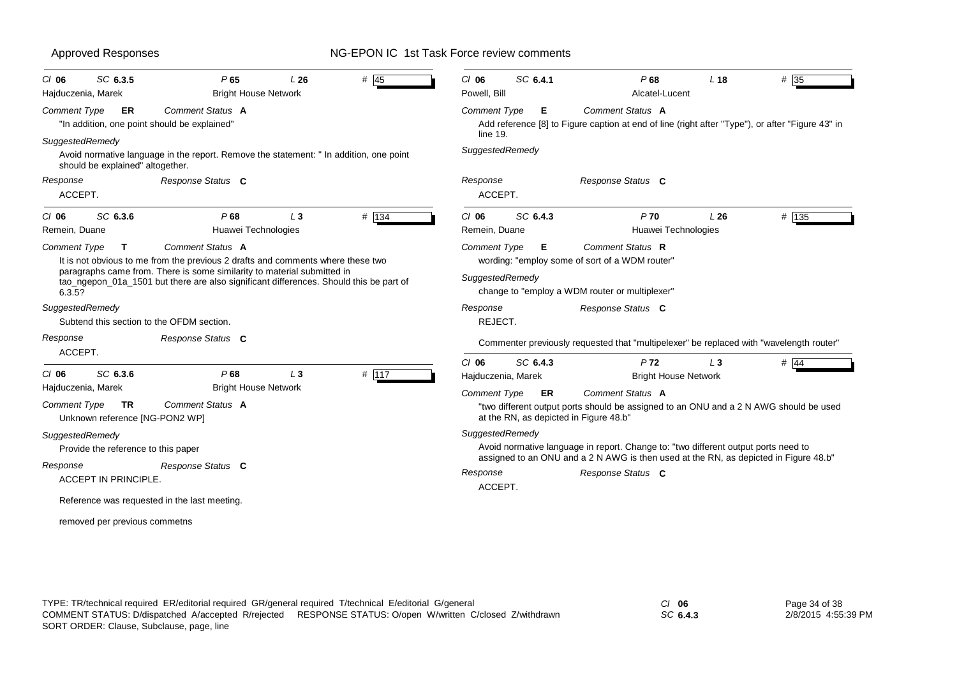| SC 6.3.5<br>C/06<br>Hajduczenia, Marek                      | P65<br><b>Bright House Network</b>                                                                                                                                                                                                                                       | L26   | # $\overline{45}$ | $CI$ 06<br>Powell, Bill                | SC 6.4.1 | P68<br>Alcatel-Lucent                                                                                                                                                      | L <sub>18</sub> | $#$ 35  |
|-------------------------------------------------------------|--------------------------------------------------------------------------------------------------------------------------------------------------------------------------------------------------------------------------------------------------------------------------|-------|-------------------|----------------------------------------|----------|----------------------------------------------------------------------------------------------------------------------------------------------------------------------------|-----------------|---------|
| Comment Type<br>ER                                          | Comment Status A<br>"In addition, one point should be explained"                                                                                                                                                                                                         |       |                   | <b>Comment Type</b><br>line 19.        | Е        | Comment Status A<br>Add reference [8] to Figure caption at end of line (right after "Type"), or after "Figure 43" in                                                       |                 |         |
| SuggestedRemedy<br>should be explained" altogether.         | Avoid normative language in the report. Remove the statement: " In addition, one point                                                                                                                                                                                   |       |                   | SuggestedRemedy                        |          |                                                                                                                                                                            |                 |         |
| Response<br>ACCEPT.                                         | Response Status C                                                                                                                                                                                                                                                        |       |                   | Response<br>ACCEPT.                    |          | Response Status C                                                                                                                                                          |                 |         |
| SC 6.3.6<br>$CI$ 06<br>Remein, Duane                        | P68<br>Huawei Technologies                                                                                                                                                                                                                                               | $L_3$ | # 134             | $CI$ 06<br>Remein, Duane               | SC 6.4.3 | P70<br>Huawei Technologies                                                                                                                                                 | L26             | # 135   |
| <b>Comment Type</b><br>$\mathbf{T}$<br>6.3.5?               | Comment Status A<br>It is not obvious to me from the previous 2 drafts and comments where these two<br>paragraphs came from. There is some similarity to material submitted in<br>tao_ngepon_01a_1501 but there are also significant differences. Should this be part of |       |                   | <b>Comment Type</b><br>SuggestedRemedy | Е        | Comment Status R<br>wording: "employ some of sort of a WDM router"<br>change to "employ a WDM router or multiplexer"                                                       |                 |         |
| SuggestedRemedy                                             | Subtend this section to the OFDM section.                                                                                                                                                                                                                                |       |                   | Response<br>REJECT.                    |          | Response Status C                                                                                                                                                          |                 |         |
| Response<br>ACCEPT.                                         | Response Status C                                                                                                                                                                                                                                                        |       |                   |                                        |          | Commenter previously requested that "multipelexer" be replaced with "wavelength router"                                                                                    |                 |         |
| SC 6.3.6<br>$CI$ 06<br>Hajduczenia, Marek                   | P68<br><b>Bright House Network</b>                                                                                                                                                                                                                                       | L3    | # 117             | $CI$ 06<br>Hajduczenia, Marek          | SC 6.4.3 | <b>P72</b><br><b>Bright House Network</b>                                                                                                                                  | $L_3$           | # $ 44$ |
| Comment Type<br><b>TR</b><br>Unknown reference [NG-PON2 WP] | Comment Status A                                                                                                                                                                                                                                                         |       |                   | <b>Comment Type</b>                    | ER       | Comment Status A<br>"two different output ports should be assigned to an ONU and a 2 N AWG should be used<br>at the RN, as depicted in Figure 48.b"                        |                 |         |
| SuggestedRemedy<br>Provide the reference to this paper      |                                                                                                                                                                                                                                                                          |       |                   | SuggestedRemedy                        |          | Avoid normative language in report. Change to: "two different output ports need to<br>assigned to an ONU and a 2 N AWG is then used at the RN, as depicted in Figure 48.b" |                 |         |
| Response<br><b>ACCEPT IN PRINCIPLE.</b>                     | Response Status C                                                                                                                                                                                                                                                        |       |                   | Response<br>ACCEPT.                    |          | Response Status C                                                                                                                                                          |                 |         |
|                                                             | Reference was requested in the last meeting.                                                                                                                                                                                                                             |       |                   |                                        |          |                                                                                                                                                                            |                 |         |
| removed per previous commetns                               |                                                                                                                                                                                                                                                                          |       |                   |                                        |          |                                                                                                                                                                            |                 |         |

*SC* **6.4.3** Page 34 of 38 2/8/2015 4:55:39 PM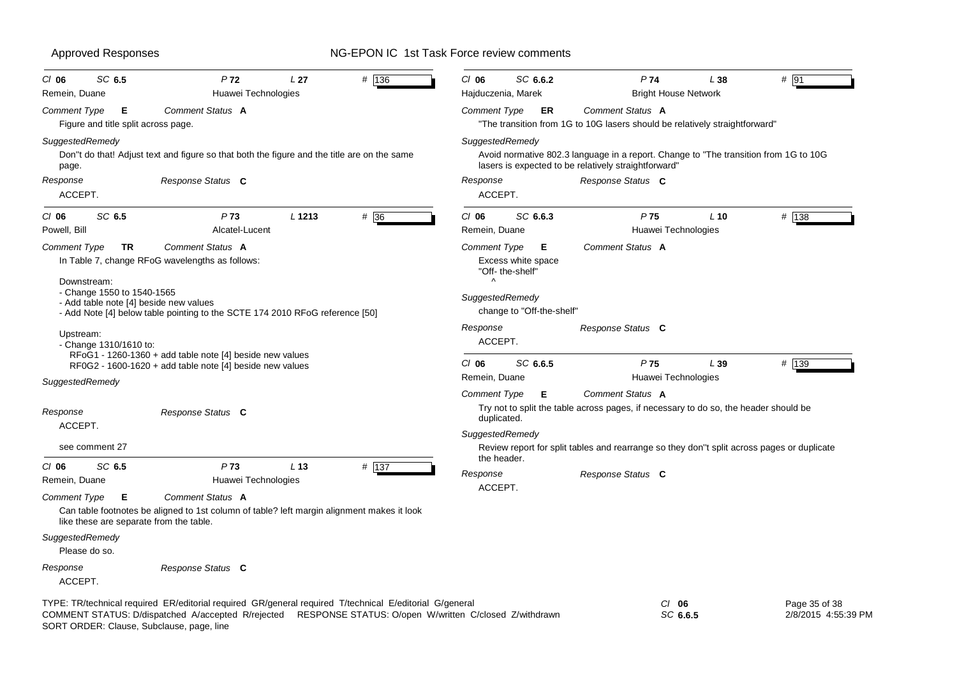| <b>Approved Responses</b>                                                                                 |                                                                                                                                                     |        | NG-EPON IC 1st Task Force review comments                                                                       |                                                                                                                                                                                                        |        |       |
|-----------------------------------------------------------------------------------------------------------|-----------------------------------------------------------------------------------------------------------------------------------------------------|--------|-----------------------------------------------------------------------------------------------------------------|--------------------------------------------------------------------------------------------------------------------------------------------------------------------------------------------------------|--------|-------|
| SC 6.5<br>$CI$ 06<br>Remein, Duane                                                                        | P <sub>72</sub><br>L <sub>27</sub><br>Huawei Technologies                                                                                           | # 136  | SC 6.6.2<br>$CI$ 06<br>Hajduczenia, Marek                                                                       | P74<br><b>Bright House Network</b>                                                                                                                                                                     | L38    | # 91  |
| <b>Comment Type</b><br>Е<br>Figure and title split across page.                                           | Comment Status A                                                                                                                                    |        | <b>Comment Type</b><br>ER                                                                                       | Comment Status A<br>"The transition from 1G to 10G lasers should be relatively straightforward"                                                                                                        |        |       |
| SuggestedRemedy<br>page.                                                                                  | Don"t do that! Adjust text and figure so that both the figure and the title are on the same                                                         |        | SuggestedRemedy                                                                                                 | Avoid normative 802.3 language in a report. Change to "The transition from 1G to 10G<br>lasers is expected to be relatively straightforward"                                                           |        |       |
| Response<br>ACCEPT.                                                                                       | Response Status C                                                                                                                                   |        | Response<br>ACCEPT.                                                                                             | Response Status C                                                                                                                                                                                      |        |       |
| SC 6.5<br>$CI$ 06<br>Powell, Bill                                                                         | P73<br>L <sub>1213</sub><br>Alcatel-Lucent                                                                                                          | $#$ 36 | SC 6.6.3<br>$CI$ 06<br>Remein, Duane                                                                            | P <sub>75</sub><br>Huawei Technologies                                                                                                                                                                 | $L$ 10 | # 138 |
| Comment Type<br>TR<br>Downstream:<br>- Change 1550 to 1540-1565<br>- Add table note [4] beside new values | Comment Status A<br>In Table 7, change RFoG wavelengths as follows:<br>- Add Note [4] below table pointing to the SCTE 174 2010 RFoG reference [50] |        | Comment Type<br>Е<br>Excess white space<br>"Off-the-shelf"<br>Λ<br>SuggestedRemedy<br>change to "Off-the-shelf" | Comment Status A                                                                                                                                                                                       |        |       |
| Upstream:<br>- Change $1310/1610$ to:                                                                     | RFoG1 - 1260-1360 + add table note [4] beside new values                                                                                            |        | Response<br>ACCEPT.<br>SC 6.6.5<br>$CI$ 06                                                                      | Response Status C<br>P <sub>75</sub>                                                                                                                                                                   | L39    | # 139 |
| SuggestedRemedy                                                                                           | RF0G2 - 1600-1620 + add table note [4] beside new values                                                                                            |        | Remein, Duane                                                                                                   | Huawei Technologies                                                                                                                                                                                    |        |       |
| Response<br>ACCEPT.<br>see comment 27                                                                     | Response Status C                                                                                                                                   |        | Comment Type<br>Е<br>duplicated.<br>SuggestedRemedy                                                             | Comment Status A<br>Try not to split the table across pages, if necessary to do so, the header should be<br>Review report for split tables and rearrange so they don"t split across pages or duplicate |        |       |
| SC 6.5<br>$CI$ 06<br>Remein, Duane                                                                        | P <sub>73</sub><br>L <sub>13</sub><br>Huawei Technologies                                                                                           | # 137  | the header.<br>Response                                                                                         | Response Status C                                                                                                                                                                                      |        |       |
| Comment Type<br>Е<br>like these are separate from the table.                                              | Comment Status A<br>Can table footnotes be aligned to 1st column of table? left margin alignment makes it look                                      |        | ACCEPT.                                                                                                         |                                                                                                                                                                                                        |        |       |
| SuggestedRemedy<br>Please do so.                                                                          |                                                                                                                                                     |        |                                                                                                                 |                                                                                                                                                                                                        |        |       |
| Response<br>ACCEPT.                                                                                       | Response Status C                                                                                                                                   |        |                                                                                                                 |                                                                                                                                                                                                        |        |       |
|                                                                                                           |                                                                                                                                                     |        |                                                                                                                 |                                                                                                                                                                                                        |        |       |

TYPE: TR/technical required ER/editorial required GR/general required T/technical E/editorial G/general *Cl* **06** SORT ORDER: Clause, Subclause, page, line COMMENT STATUS: D/dispatched A/accepted R/rejected RESPONSE STATUS: O/open W/written C/closed Z/withdrawn

Page 35 of 38 2/8/2015 4:55:39 PM

*SC* **6.6.5**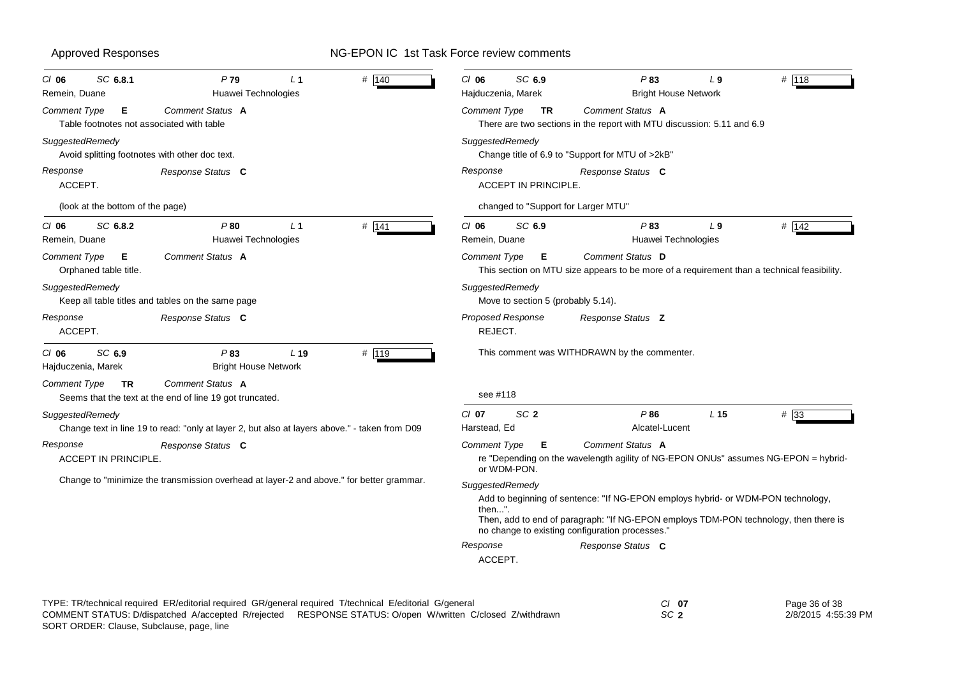| SC 6.8.1<br>CI 06<br>Remein, Duane                                | P79<br>Huawei Technologies                                                                    | L <sub>1</sub> | # 140   | SC 6.9<br>$CI$ 06<br>Hajduczenia, Marek    |                                                                                                                                                          | P83<br><b>Bright House Network</b> | L <sub>9</sub>  | # 118                                                                                |
|-------------------------------------------------------------------|-----------------------------------------------------------------------------------------------|----------------|---------|--------------------------------------------|----------------------------------------------------------------------------------------------------------------------------------------------------------|------------------------------------|-----------------|--------------------------------------------------------------------------------------|
| Comment Type<br>Е<br>Table footnotes not associated with table    | Comment Status A                                                                              |                |         | <b>Comment Type</b>                        | Comment Status A<br>TR<br>There are two sections in the report with MTU discussion: 5.11 and 6.9                                                         |                                    |                 |                                                                                      |
| SuggestedRemedy<br>Avoid splitting footnotes with other doc text. |                                                                                               |                |         | SuggestedRemedy                            | Change title of 6.9 to "Support for MTU of >2kB"                                                                                                         |                                    |                 |                                                                                      |
| Response<br>ACCEPT.                                               | Response Status C                                                                             |                |         | Response<br><b>ACCEPT IN PRINCIPLE.</b>    | Response Status C                                                                                                                                        |                                    |                 |                                                                                      |
| (look at the bottom of the page)                                  |                                                                                               |                |         |                                            | changed to "Support for Larger MTU"                                                                                                                      |                                    |                 |                                                                                      |
| SC 6.8.2<br>$CI$ 06<br>Remein, Duane                              | P80<br>Huawei Technologies                                                                    | L <sub>1</sub> | $#$ 141 | $CI$ 06<br>SC 6.9<br>Remein, Duane         |                                                                                                                                                          | P83<br>Huawei Technologies         | L <sub>9</sub>  | # $\overline{142}$                                                                   |
| Comment Type<br>Е<br>Orphaned table title.                        | Comment Status A                                                                              |                |         | <b>Comment Type</b>                        | Comment Status D<br>E<br>This section on MTU size appears to be more of a requirement than a technical feasibility.                                      |                                    |                 |                                                                                      |
| SuggestedRemedy                                                   | Keep all table titles and tables on the same page                                             |                |         | SuggestedRemedy                            | Move to section 5 (probably 5.14).                                                                                                                       |                                    |                 |                                                                                      |
| Response<br>ACCEPT.                                               | Response Status C                                                                             |                |         | Proposed Response<br>REJECT.               | Response Status Z                                                                                                                                        |                                    |                 |                                                                                      |
| SC 6.9<br>$CI$ 06<br>Hajduczenia, Marek                           | P83<br><b>Bright House Network</b>                                                            | $L$ 19         | # $119$ |                                            | This comment was WITHDRAWN by the commenter.                                                                                                             |                                    |                 |                                                                                      |
| Comment Type<br>TR                                                | Comment Status A<br>Seems that the text at the end of line 19 got truncated.                  |                |         | see #118                                   |                                                                                                                                                          |                                    |                 |                                                                                      |
| SuggestedRemedy                                                   | Change text in line 19 to read: "only at layer 2, but also at layers above." - taken from D09 |                |         | SC <sub>2</sub><br>$CI$ 07<br>Harstead, Ed |                                                                                                                                                          | P86<br>Alcatel-Lucent              | L <sub>15</sub> | $#$ 33                                                                               |
| Response<br>ACCEPT IN PRINCIPLE.                                  | Response Status C                                                                             |                |         | <b>Comment Type</b><br>or WDM-PON.         | Comment Status A<br>E                                                                                                                                    |                                    |                 | re "Depending on the wavelength agility of NG-EPON ONUs" assumes NG-EPON = hybrid-   |
|                                                                   | Change to "minimize the transmission overhead at layer-2 and above." for better grammar.      |                |         | SuggestedRemedy<br>then".<br>Response      | Add to beginning of sentence: "If NG-EPON employs hybrid- or WDM-PON technology,<br>no change to existing configuration processes."<br>Response Status C |                                    |                 | Then, add to end of paragraph: "If NG-EPON employs TDM-PON technology, then there is |
|                                                                   |                                                                                               |                |         | ACCEPT.                                    |                                                                                                                                                          |                                    |                 |                                                                                      |

TYPE: TR/technical required ER/editorial required GR/general required T/technical E/editorial G/general *Cl* **07** *SC* **2** SORT ORDER: Clause, Subclause, page, line COMMENT STATUS: D/dispatched A/accepted R/rejected RESPONSE STATUS: O/open W/written C/closed Z/withdrawn

Page 36 of 38 2/8/2015 4:55:39 PM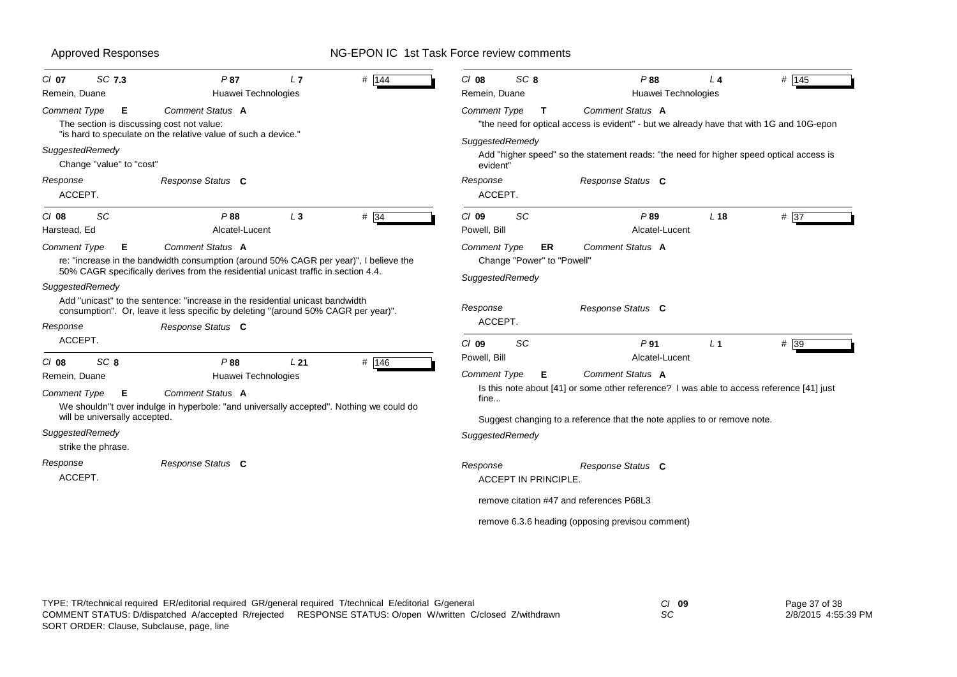| SC 7.3<br>$CI$ 07                           | P87<br>L <sub>7</sub>                                                                                                                                                                           | # 144             | SC <sub>8</sub><br>$Cl$ 08                                                 | P88                                                                                                          | L <sub>4</sub>  | # 145 |  |
|---------------------------------------------|-------------------------------------------------------------------------------------------------------------------------------------------------------------------------------------------------|-------------------|----------------------------------------------------------------------------|--------------------------------------------------------------------------------------------------------------|-----------------|-------|--|
| Remein, Duane                               | Huawei Technologies                                                                                                                                                                             |                   | Remein, Duane                                                              | Huawei Technologies                                                                                          |                 |       |  |
| <b>Comment Type</b><br>E.                   | Comment Status A<br>The section is discussing cost not value:                                                                                                                                   |                   | <b>Comment Type</b><br>т                                                   | Comment Status A<br>"the need for optical access is evident" - but we already have that with 1G and 10G-epon |                 |       |  |
|                                             | "is hard to speculate on the relative value of such a device."                                                                                                                                  |                   | SuggestedRemedy                                                            |                                                                                                              |                 |       |  |
| SuggestedRemedy<br>Change "value" to "cost" |                                                                                                                                                                                                 |                   | evident"                                                                   | Add "higher speed" so the statement reads: "the need for higher speed optical access is                      |                 |       |  |
| Response<br>ACCEPT.                         | Response Status C                                                                                                                                                                               |                   | Response<br>ACCEPT.                                                        | Response Status C                                                                                            |                 |       |  |
| SC<br>$Cl$ 08<br>Harstead, Ed               | P88<br>$L_3$<br>Alcatel-Lucent                                                                                                                                                                  | $# \overline{34}$ | SC<br>$Cl$ 09<br>Powell, Bill                                              | P89<br>Alcatel-Lucent                                                                                        | L <sub>18</sub> | # 37  |  |
| <b>Comment Type</b><br>Е                    | Comment Status A<br>re: "increase in the bandwidth consumption (around 50% CAGR per year)", I believe the<br>50% CAGR specifically derives from the residential unicast traffic in section 4.4. |                   | <b>Comment Type</b><br>ER<br>Change "Power" to "Powell"<br>SuggestedRemedy | Comment Status A                                                                                             |                 |       |  |
| SuggestedRemedy<br>Response                 | Add "unicast" to the sentence: "increase in the residential unicast bandwidth<br>consumption". Or, leave it less specific by deleting "(around 50% CAGR per year)".<br>Response Status C        |                   | Response<br>ACCEPT.                                                        | Response Status C                                                                                            |                 |       |  |
| ACCEPT.                                     |                                                                                                                                                                                                 |                   | SC<br>$Cl$ 09                                                              | P <sub>91</sub>                                                                                              | L <sub>1</sub>  | # 39  |  |
| SC <sub>8</sub><br>$Cl$ 08                  | P88<br>L21                                                                                                                                                                                      | # $146$           | Powell, Bill                                                               | Alcatel-Lucent                                                                                               |                 |       |  |
| Remein, Duane                               | Huawei Technologies                                                                                                                                                                             |                   | <b>Comment Type</b><br>Е                                                   | Comment Status A                                                                                             |                 |       |  |
| <b>Comment Type</b><br>Е                    | Comment Status A<br>We shouldn"t over indulge in hyperbole: "and universally accepted". Nothing we could do                                                                                     |                   | fine                                                                       | Is this note about [41] or some other reference? I was able to access reference [41] just                    |                 |       |  |
| will be universally accepted.               |                                                                                                                                                                                                 |                   | Suggest changing to a reference that the note applies to or remove note.   |                                                                                                              |                 |       |  |
| SuggestedRemedy<br>strike the phrase.       |                                                                                                                                                                                                 |                   | SuggestedRemedy                                                            |                                                                                                              |                 |       |  |
| Response<br>ACCEPT.                         | Response Status C                                                                                                                                                                               |                   | Response<br><b>ACCEPT IN PRINCIPLE.</b>                                    | Response Status C                                                                                            |                 |       |  |
|                                             |                                                                                                                                                                                                 |                   | remove citation #47 and references P68L3                                   |                                                                                                              |                 |       |  |
|                                             |                                                                                                                                                                                                 |                   |                                                                            | remove 6.3.6 heading (opposing previsou comment)                                                             |                 |       |  |
|                                             |                                                                                                                                                                                                 |                   |                                                                            |                                                                                                              |                 |       |  |

| TYPE: TR/technical required ER/editorial required GR/general required T/technical E/editorial G/general   | $Cl$ 09 | Page 37 of 38       |
|-----------------------------------------------------------------------------------------------------------|---------|---------------------|
| COMMENT STATUS: D/dispatched A/accepted R/rejected RESPONSE STATUS: O/open W/written C/closed Z/withdrawn | SC      | 2/8/2015 4:55:39 PM |
| SORT ORDER: Clause, Subclause, page, line                                                                 |         |                     |